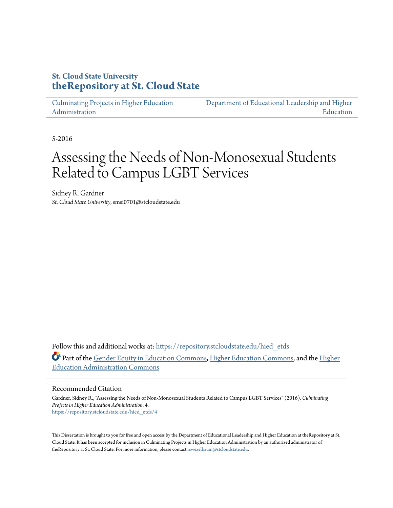## **St. Cloud State University [theRepository at St. Cloud State](https://repository.stcloudstate.edu?utm_source=repository.stcloudstate.edu%2Fhied_etds%2F4&utm_medium=PDF&utm_campaign=PDFCoverPages)**

[Culminating Projects in Higher Education](https://repository.stcloudstate.edu/hied_etds?utm_source=repository.stcloudstate.edu%2Fhied_etds%2F4&utm_medium=PDF&utm_campaign=PDFCoverPages) [Administration](https://repository.stcloudstate.edu/hied_etds?utm_source=repository.stcloudstate.edu%2Fhied_etds%2F4&utm_medium=PDF&utm_campaign=PDFCoverPages)

[Department of Educational Leadership and Higher](https://repository.stcloudstate.edu/elhe?utm_source=repository.stcloudstate.edu%2Fhied_etds%2F4&utm_medium=PDF&utm_campaign=PDFCoverPages) [Education](https://repository.stcloudstate.edu/elhe?utm_source=repository.stcloudstate.edu%2Fhied_etds%2F4&utm_medium=PDF&utm_campaign=PDFCoverPages)

5-2016

# Assessing the Needs of Non-Monosexual Students Related to Campus LGBT Services

Sidney R. Gardner *St. Cloud State University*, smsi0701@stcloudstate.edu

Follow this and additional works at: [https://repository.stcloudstate.edu/hied\\_etds](https://repository.stcloudstate.edu/hied_etds?utm_source=repository.stcloudstate.edu%2Fhied_etds%2F4&utm_medium=PDF&utm_campaign=PDFCoverPages) Part of the [Gender Equity in Education Commons](http://network.bepress.com/hgg/discipline/1376?utm_source=repository.stcloudstate.edu%2Fhied_etds%2F4&utm_medium=PDF&utm_campaign=PDFCoverPages), [Higher Education Commons](http://network.bepress.com/hgg/discipline/1245?utm_source=repository.stcloudstate.edu%2Fhied_etds%2F4&utm_medium=PDF&utm_campaign=PDFCoverPages), and the [Higher](http://network.bepress.com/hgg/discipline/791?utm_source=repository.stcloudstate.edu%2Fhied_etds%2F4&utm_medium=PDF&utm_campaign=PDFCoverPages) [Education Administration Commons](http://network.bepress.com/hgg/discipline/791?utm_source=repository.stcloudstate.edu%2Fhied_etds%2F4&utm_medium=PDF&utm_campaign=PDFCoverPages)

#### Recommended Citation

Gardner, Sidney R., "Assessing the Needs of Non-Monosexual Students Related to Campus LGBT Services" (2016). *Culminating Projects in Higher Education Administration*. 4. [https://repository.stcloudstate.edu/hied\\_etds/4](https://repository.stcloudstate.edu/hied_etds/4?utm_source=repository.stcloudstate.edu%2Fhied_etds%2F4&utm_medium=PDF&utm_campaign=PDFCoverPages)

This Dissertation is brought to you for free and open access by the Department of Educational Leadership and Higher Education at theRepository at St. Cloud State. It has been accepted for inclusion in Culminating Projects in Higher Education Administration by an authorized administrator of theRepository at St. Cloud State. For more information, please contact [rswexelbaum@stcloudstate.edu](mailto:rswexelbaum@stcloudstate.edu).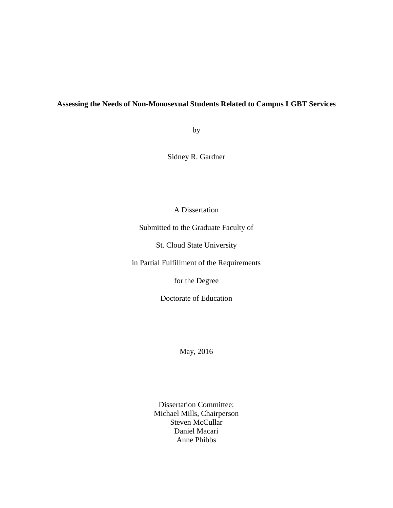### **Assessing the Needs of Non-Monosexual Students Related to Campus LGBT Services**

by

Sidney R. Gardner

A Dissertation

Submitted to the Graduate Faculty of

St. Cloud State University

in Partial Fulfillment of the Requirements

for the Degree

Doctorate of Education

May, 2016

Dissertation Committee: Michael Mills, Chairperson Steven McCullar Daniel Macari Anne Phibbs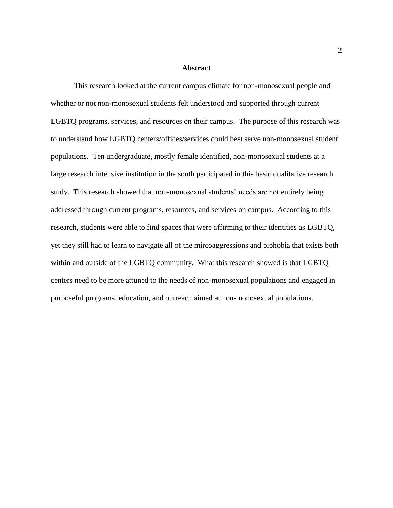#### **Abstract**

This research looked at the current campus climate for non-monosexual people and whether or not non-monosexual students felt understood and supported through current LGBTQ programs, services, and resources on their campus. The purpose of this research was to understand how LGBTQ centers/offices/services could best serve non-monosexual student populations. Ten undergraduate, mostly female identified, non-monosexual students at a large research intensive institution in the south participated in this basic qualitative research study. This research showed that non-monosexual students' needs are not entirely being addressed through current programs, resources, and services on campus. According to this research, students were able to find spaces that were affirming to their identities as LGBTQ, yet they still had to learn to navigate all of the mircoaggressions and biphobia that exists both within and outside of the LGBTQ community. What this research showed is that LGBTQ centers need to be more attuned to the needs of non-monosexual populations and engaged in purposeful programs, education, and outreach aimed at non-monosexual populations.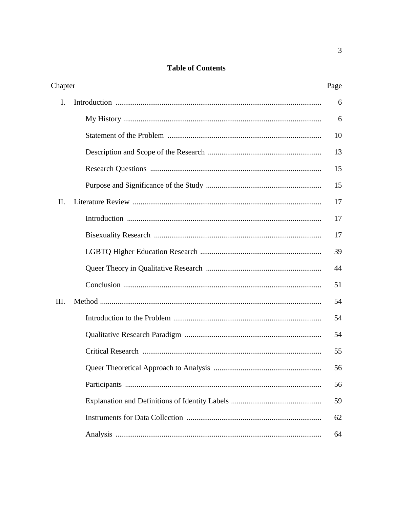## **Table of Contents**

| Chapter        |  | Page |
|----------------|--|------|
| $\mathbf{I}$ . |  | 6    |
|                |  | 6    |
|                |  | 10   |
|                |  | 13   |
|                |  | 15   |
|                |  | 15   |
| II.            |  | 17   |
|                |  | 17   |
|                |  | 17   |
|                |  | 39   |
|                |  | 44   |
|                |  | 51   |
| Ш.             |  | 54   |
|                |  | 54   |
|                |  | 54   |
|                |  | 55   |
|                |  | 56   |
|                |  | 56   |
|                |  | 59   |
|                |  | 62   |
|                |  | 64   |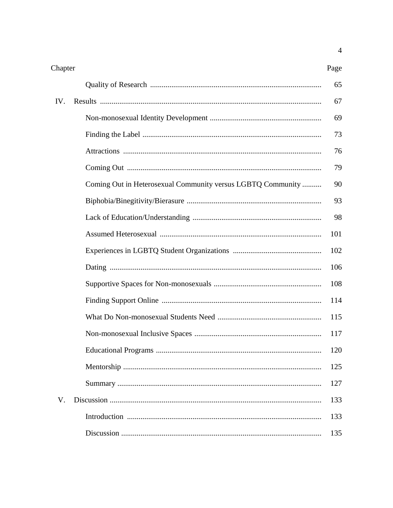| Chapter |                                                             | Page |
|---------|-------------------------------------------------------------|------|
|         |                                                             | 65   |
| IV.     |                                                             | 67   |
|         |                                                             | 69   |
|         |                                                             | 73   |
|         |                                                             | 76   |
|         |                                                             | 79   |
|         | Coming Out in Heterosexual Community versus LGBTQ Community | 90   |
|         |                                                             | 93   |
|         |                                                             | 98   |
|         |                                                             | 101  |
|         |                                                             | 102  |
|         |                                                             | 106  |
|         |                                                             | 108  |
|         |                                                             | 114  |
|         |                                                             | 115  |
|         |                                                             | 117  |
|         |                                                             | 120  |
|         |                                                             | 125  |
|         |                                                             | 127  |
| V.      |                                                             | 133  |
|         |                                                             | 133  |
|         |                                                             | 135  |

 $\overline{4}$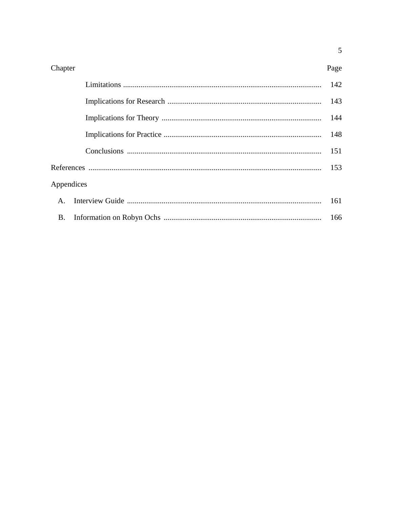| Chapter      |  | Page |
|--------------|--|------|
|              |  | 142  |
|              |  |      |
|              |  |      |
|              |  |      |
|              |  | 151  |
|              |  | 153  |
| Appendices   |  |      |
| $\mathbf{A}$ |  | 161  |
| <b>B.</b>    |  |      |

 $\overline{5}$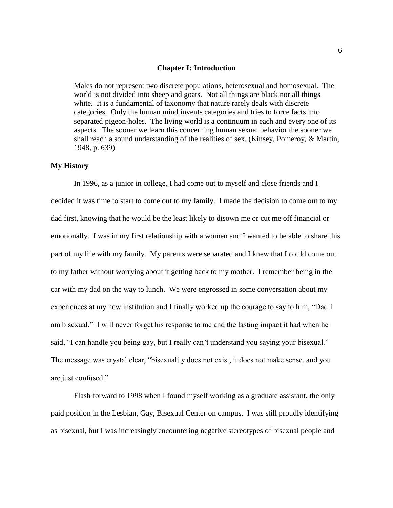#### **Chapter I: Introduction**

Males do not represent two discrete populations, heterosexual and homosexual. The world is not divided into sheep and goats. Not all things are black nor all things white. It is a fundamental of taxonomy that nature rarely deals with discrete categories. Only the human mind invents categories and tries to force facts into separated pigeon-holes. The living world is a continuum in each and every one of its aspects. The sooner we learn this concerning human sexual behavior the sooner we shall reach a sound understanding of the realities of sex. (Kinsey, Pomeroy, & Martin, 1948, p. 639)

#### **My History**

In 1996, as a junior in college, I had come out to myself and close friends and I decided it was time to start to come out to my family. I made the decision to come out to my dad first, knowing that he would be the least likely to disown me or cut me off financial or emotionally. I was in my first relationship with a women and I wanted to be able to share this part of my life with my family. My parents were separated and I knew that I could come out to my father without worrying about it getting back to my mother. I remember being in the car with my dad on the way to lunch. We were engrossed in some conversation about my experiences at my new institution and I finally worked up the courage to say to him, "Dad I am bisexual." I will never forget his response to me and the lasting impact it had when he said, "I can handle you being gay, but I really can't understand you saying your bisexual." The message was crystal clear, "bisexuality does not exist, it does not make sense, and you are just confused."

Flash forward to 1998 when I found myself working as a graduate assistant, the only paid position in the Lesbian, Gay, Bisexual Center on campus. I was still proudly identifying as bisexual, but I was increasingly encountering negative stereotypes of bisexual people and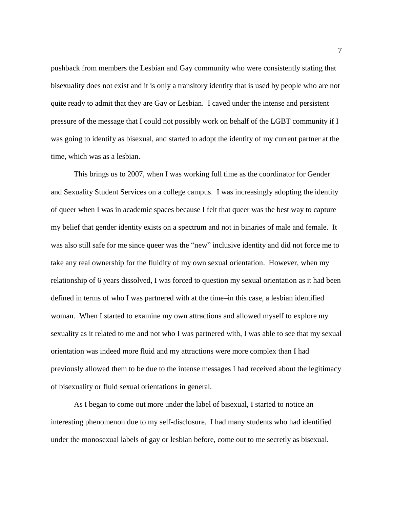pushback from members the Lesbian and Gay community who were consistently stating that bisexuality does not exist and it is only a transitory identity that is used by people who are not quite ready to admit that they are Gay or Lesbian. I caved under the intense and persistent pressure of the message that I could not possibly work on behalf of the LGBT community if I was going to identify as bisexual, and started to adopt the identity of my current partner at the time, which was as a lesbian.

This brings us to 2007, when I was working full time as the coordinator for Gender and Sexuality Student Services on a college campus. I was increasingly adopting the identity of queer when I was in academic spaces because I felt that queer was the best way to capture my belief that gender identity exists on a spectrum and not in binaries of male and female. It was also still safe for me since queer was the "new" inclusive identity and did not force me to take any real ownership for the fluidity of my own sexual orientation. However, when my relationship of 6 years dissolved, I was forced to question my sexual orientation as it had been defined in terms of who I was partnered with at the time–in this case, a lesbian identified woman. When I started to examine my own attractions and allowed myself to explore my sexuality as it related to me and not who I was partnered with, I was able to see that my sexual orientation was indeed more fluid and my attractions were more complex than I had previously allowed them to be due to the intense messages I had received about the legitimacy of bisexuality or fluid sexual orientations in general.

As I began to come out more under the label of bisexual, I started to notice an interesting phenomenon due to my self-disclosure. I had many students who had identified under the monosexual labels of gay or lesbian before, come out to me secretly as bisexual.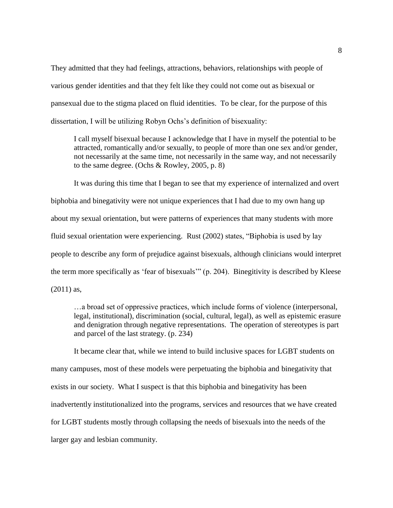They admitted that they had feelings, attractions, behaviors, relationships with people of various gender identities and that they felt like they could not come out as bisexual or pansexual due to the stigma placed on fluid identities. To be clear, for the purpose of this dissertation, I will be utilizing Robyn Ochs's definition of bisexuality:

I call myself bisexual because I acknowledge that I have in myself the potential to be attracted, romantically and/or sexually, to people of more than one sex and/or gender, not necessarily at the same time, not necessarily in the same way, and not necessarily to the same degree. (Ochs & Rowley, 2005, p. 8)

It was during this time that I began to see that my experience of internalized and overt biphobia and binegativity were not unique experiences that I had due to my own hang up about my sexual orientation, but were patterns of experiences that many students with more fluid sexual orientation were experiencing. Rust (2002) states, "Biphobia is used by lay people to describe any form of prejudice against bisexuals, although clinicians would interpret the term more specifically as 'fear of bisexuals'" (p. 204). Binegitivity is described by Kleese (2011) as,

…a broad set of oppressive practices, which include forms of violence (interpersonal, legal, institutional), discrimination (social, cultural, legal), as well as epistemic erasure and denigration through negative representations. The operation of stereotypes is part and parcel of the last strategy. (p. 234)

It became clear that, while we intend to build inclusive spaces for LGBT students on many campuses, most of these models were perpetuating the biphobia and binegativity that exists in our society. What I suspect is that this biphobia and binegativity has been inadvertently institutionalized into the programs, services and resources that we have created for LGBT students mostly through collapsing the needs of bisexuals into the needs of the larger gay and lesbian community.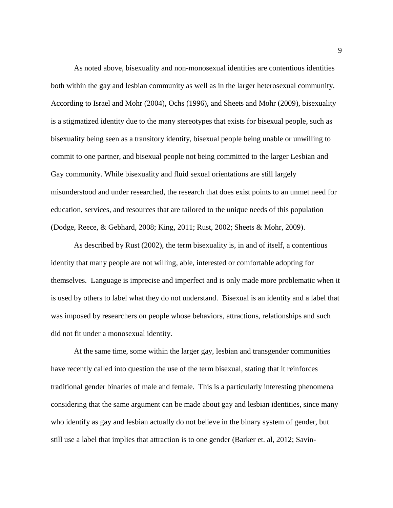As noted above, bisexuality and non-monosexual identities are contentious identities both within the gay and lesbian community as well as in the larger heterosexual community. According to Israel and Mohr (2004), Ochs (1996), and Sheets and Mohr (2009), bisexuality is a stigmatized identity due to the many stereotypes that exists for bisexual people, such as bisexuality being seen as a transitory identity, bisexual people being unable or unwilling to commit to one partner, and bisexual people not being committed to the larger Lesbian and Gay community. While bisexuality and fluid sexual orientations are still largely misunderstood and under researched, the research that does exist points to an unmet need for education, services, and resources that are tailored to the unique needs of this population (Dodge, Reece, & Gebhard, 2008; King, 2011; Rust, 2002; Sheets & Mohr, 2009).

As described by Rust (2002), the term bisexuality is, in and of itself, a contentious identity that many people are not willing, able, interested or comfortable adopting for themselves. Language is imprecise and imperfect and is only made more problematic when it is used by others to label what they do not understand. Bisexual is an identity and a label that was imposed by researchers on people whose behaviors, attractions, relationships and such did not fit under a monosexual identity.

At the same time, some within the larger gay, lesbian and transgender communities have recently called into question the use of the term bisexual, stating that it reinforces traditional gender binaries of male and female. This is a particularly interesting phenomena considering that the same argument can be made about gay and lesbian identities, since many who identify as gay and lesbian actually do not believe in the binary system of gender, but still use a label that implies that attraction is to one gender (Barker et. al, 2012; Savin-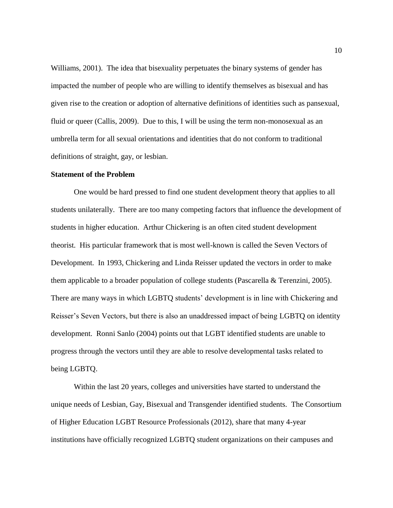Williams, 2001). The idea that bisexuality perpetuates the binary systems of gender has impacted the number of people who are willing to identify themselves as bisexual and has given rise to the creation or adoption of alternative definitions of identities such as pansexual, fluid or queer (Callis, 2009). Due to this, I will be using the term non-monosexual as an umbrella term for all sexual orientations and identities that do not conform to traditional definitions of straight, gay, or lesbian.

#### **Statement of the Problem**

One would be hard pressed to find one student development theory that applies to all students unilaterally. There are too many competing factors that influence the development of students in higher education. Arthur Chickering is an often cited student development theorist. His particular framework that is most well-known is called the Seven Vectors of Development. In 1993, Chickering and Linda Reisser updated the vectors in order to make them applicable to a broader population of college students (Pascarella & Terenzini, 2005). There are many ways in which LGBTQ students' development is in line with Chickering and Reisser's Seven Vectors, but there is also an unaddressed impact of being LGBTQ on identity development. Ronni Sanlo (2004) points out that LGBT identified students are unable to progress through the vectors until they are able to resolve developmental tasks related to being LGBTQ.

Within the last 20 years, colleges and universities have started to understand the unique needs of Lesbian, Gay, Bisexual and Transgender identified students. The Consortium of Higher Education LGBT Resource Professionals (2012), share that many 4-year institutions have officially recognized LGBTQ student organizations on their campuses and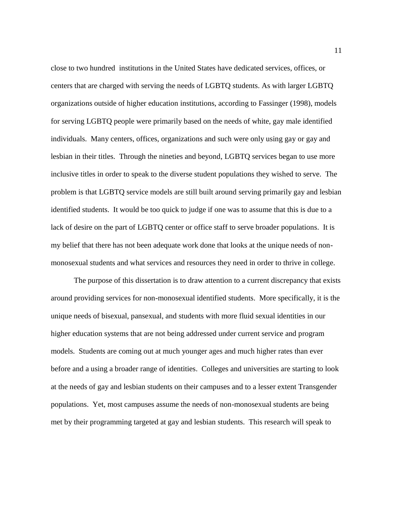close to two hundred institutions in the United States have dedicated services, offices, or centers that are charged with serving the needs of LGBTQ students. As with larger LGBTQ organizations outside of higher education institutions, according to Fassinger (1998), models for serving LGBTQ people were primarily based on the needs of white, gay male identified individuals. Many centers, offices, organizations and such were only using gay or gay and lesbian in their titles. Through the nineties and beyond, LGBTQ services began to use more inclusive titles in order to speak to the diverse student populations they wished to serve. The problem is that LGBTQ service models are still built around serving primarily gay and lesbian identified students. It would be too quick to judge if one was to assume that this is due to a lack of desire on the part of LGBTQ center or office staff to serve broader populations. It is my belief that there has not been adequate work done that looks at the unique needs of nonmonosexual students and what services and resources they need in order to thrive in college.

The purpose of this dissertation is to draw attention to a current discrepancy that exists around providing services for non-monosexual identified students. More specifically, it is the unique needs of bisexual, pansexual, and students with more fluid sexual identities in our higher education systems that are not being addressed under current service and program models. Students are coming out at much younger ages and much higher rates than ever before and a using a broader range of identities. Colleges and universities are starting to look at the needs of gay and lesbian students on their campuses and to a lesser extent Transgender populations. Yet, most campuses assume the needs of non-monosexual students are being met by their programming targeted at gay and lesbian students. This research will speak to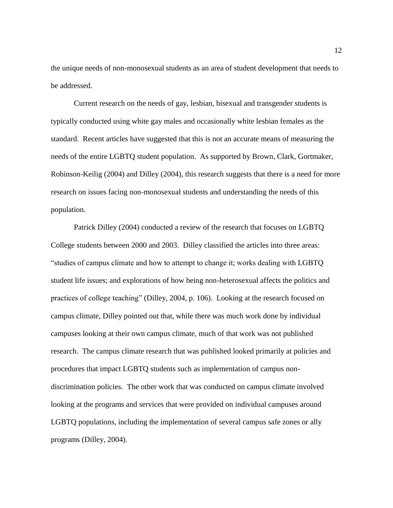the unique needs of non-monosexual students as an area of student development that needs to be addressed.

Current research on the needs of gay, lesbian, bisexual and transgender students is typically conducted using white gay males and occasionally white lesbian females as the standard. Recent articles have suggested that this is not an accurate means of measuring the needs of the entire LGBTQ student population. As supported by Brown, Clark, Gortmaker, Robinson-Keilig (2004) and Dilley (2004), this research suggests that there is a need for more research on issues facing non-monosexual students and understanding the needs of this population.

Patrick Dilley (2004) conducted a review of the research that focuses on LGBTQ College students between 2000 and 2003. Dilley classified the articles into three areas: "studies of campus climate and how to attempt to change it; works dealing with LGBTQ student life issues; and explorations of how being non-heterosexual affects the politics and practices of college teaching" (Dilley, 2004, p. 106). Looking at the research focused on campus climate, Dilley pointed out that, while there was much work done by individual campuses looking at their own campus climate, much of that work was not published research. The campus climate research that was published looked primarily at policies and procedures that impact LGBTQ students such as implementation of campus nondiscrimination policies. The other work that was conducted on campus climate involved looking at the programs and services that were provided on individual campuses around LGBTQ populations, including the implementation of several campus safe zones or ally programs (Dilley, 2004).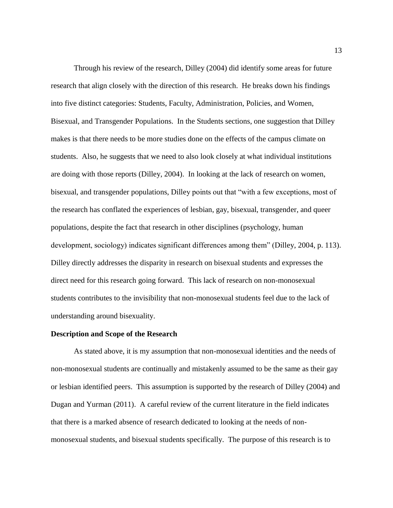Through his review of the research, Dilley (2004) did identify some areas for future research that align closely with the direction of this research. He breaks down his findings into five distinct categories: Students, Faculty, Administration, Policies, and Women, Bisexual, and Transgender Populations. In the Students sections, one suggestion that Dilley makes is that there needs to be more studies done on the effects of the campus climate on students. Also, he suggests that we need to also look closely at what individual institutions are doing with those reports (Dilley, 2004). In looking at the lack of research on women, bisexual, and transgender populations, Dilley points out that "with a few exceptions, most of the research has conflated the experiences of lesbian, gay, bisexual, transgender, and queer populations, despite the fact that research in other disciplines (psychology, human development, sociology) indicates significant differences among them" (Dilley, 2004, p. 113). Dilley directly addresses the disparity in research on bisexual students and expresses the direct need for this research going forward. This lack of research on non-monosexual students contributes to the invisibility that non-monosexual students feel due to the lack of understanding around bisexuality.

#### **Description and Scope of the Research**

As stated above, it is my assumption that non-monosexual identities and the needs of non-monosexual students are continually and mistakenly assumed to be the same as their gay or lesbian identified peers. This assumption is supported by the research of Dilley (2004) and Dugan and Yurman (2011). A careful review of the current literature in the field indicates that there is a marked absence of research dedicated to looking at the needs of nonmonosexual students, and bisexual students specifically. The purpose of this research is to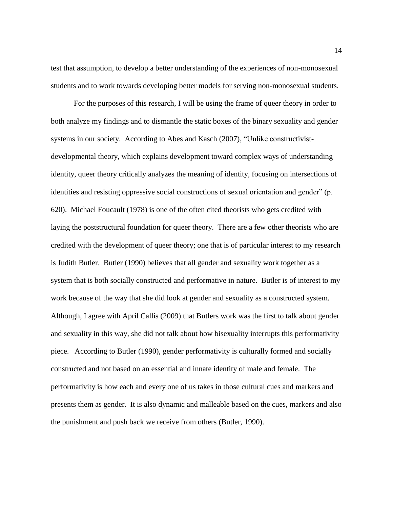test that assumption, to develop a better understanding of the experiences of non-monosexual students and to work towards developing better models for serving non-monosexual students.

For the purposes of this research, I will be using the frame of queer theory in order to both analyze my findings and to dismantle the static boxes of the binary sexuality and gender systems in our society. According to Abes and Kasch (2007), "Unlike constructivistdevelopmental theory, which explains development toward complex ways of understanding identity, queer theory critically analyzes the meaning of identity, focusing on intersections of identities and resisting oppressive social constructions of sexual orientation and gender" (p. 620). Michael Foucault (1978) is one of the often cited theorists who gets credited with laying the poststructural foundation for queer theory. There are a few other theorists who are credited with the development of queer theory; one that is of particular interest to my research is Judith Butler. Butler (1990) believes that all gender and sexuality work together as a system that is both socially constructed and performative in nature. Butler is of interest to my work because of the way that she did look at gender and sexuality as a constructed system. Although, I agree with April Callis (2009) that Butlers work was the first to talk about gender and sexuality in this way, she did not talk about how bisexuality interrupts this performativity piece. According to Butler (1990), gender performativity is culturally formed and socially constructed and not based on an essential and innate identity of male and female. The performativity is how each and every one of us takes in those cultural cues and markers and presents them as gender. It is also dynamic and malleable based on the cues, markers and also the punishment and push back we receive from others (Butler, 1990).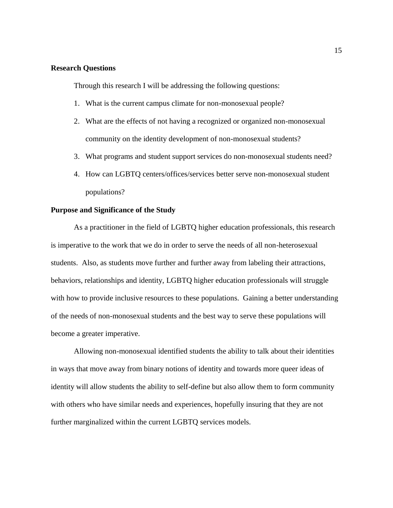#### **Research Questions**

Through this research I will be addressing the following questions:

- 1. What is the current campus climate for non-monosexual people?
- 2. What are the effects of not having a recognized or organized non-monosexual community on the identity development of non-monosexual students?
- 3. What programs and student support services do non-monosexual students need?
- 4. How can LGBTQ centers/offices/services better serve non-monosexual student populations?

#### **Purpose and Significance of the Study**

As a practitioner in the field of LGBTQ higher education professionals, this research is imperative to the work that we do in order to serve the needs of all non-heterosexual students. Also, as students move further and further away from labeling their attractions, behaviors, relationships and identity, LGBTQ higher education professionals will struggle with how to provide inclusive resources to these populations. Gaining a better understanding of the needs of non-monosexual students and the best way to serve these populations will become a greater imperative.

Allowing non-monosexual identified students the ability to talk about their identities in ways that move away from binary notions of identity and towards more queer ideas of identity will allow students the ability to self-define but also allow them to form community with others who have similar needs and experiences, hopefully insuring that they are not further marginalized within the current LGBTQ services models.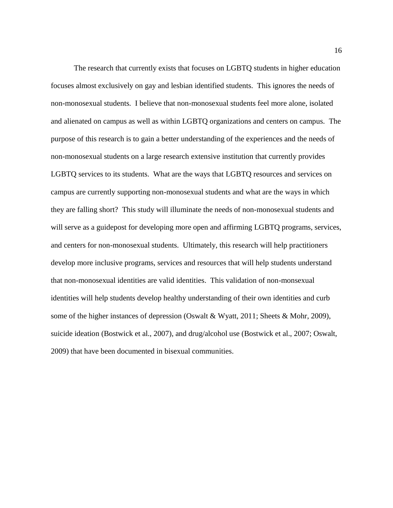The research that currently exists that focuses on LGBTQ students in higher education focuses almost exclusively on gay and lesbian identified students. This ignores the needs of non-monosexual students. I believe that non-monosexual students feel more alone, isolated and alienated on campus as well as within LGBTQ organizations and centers on campus. The purpose of this research is to gain a better understanding of the experiences and the needs of non-monosexual students on a large research extensive institution that currently provides LGBTQ services to its students. What are the ways that LGBTQ resources and services on campus are currently supporting non-monosexual students and what are the ways in which they are falling short? This study will illuminate the needs of non-monosexual students and will serve as a guidepost for developing more open and affirming LGBTQ programs, services, and centers for non-monosexual students. Ultimately, this research will help practitioners develop more inclusive programs, services and resources that will help students understand that non-monosexual identities are valid identities. This validation of non-monsexual identities will help students develop healthy understanding of their own identities and curb some of the higher instances of depression (Oswalt & Wyatt, 2011; Sheets & Mohr, 2009), suicide ideation (Bostwick et al., 2007), and drug/alcohol use (Bostwick et al., 2007; Oswalt, 2009) that have been documented in bisexual communities.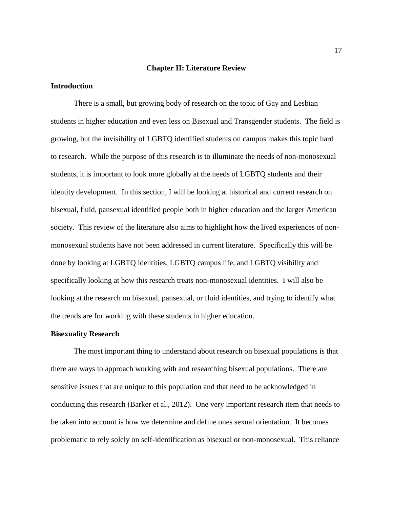#### **Chapter II: Literature Review**

#### **Introduction**

There is a small, but growing body of research on the topic of Gay and Lesbian students in higher education and even less on Bisexual and Transgender students. The field is growing, but the invisibility of LGBTQ identified students on campus makes this topic hard to research. While the purpose of this research is to illuminate the needs of non-monosexual students, it is important to look more globally at the needs of LGBTQ students and their identity development. In this section, I will be looking at historical and current research on bisexual, fluid, pansexual identified people both in higher education and the larger American society. This review of the literature also aims to highlight how the lived experiences of nonmonosexual students have not been addressed in current literature. Specifically this will be done by looking at LGBTQ identities, LGBTQ campus life, and LGBTQ visibility and specifically looking at how this research treats non-monosexual identities. I will also be looking at the research on bisexual, pansexual, or fluid identities, and trying to identify what the trends are for working with these students in higher education.

#### **Bisexuality Research**

The most important thing to understand about research on bisexual populations is that there are ways to approach working with and researching bisexual populations. There are sensitive issues that are unique to this population and that need to be acknowledged in conducting this research (Barker et al., 2012). One very important research item that needs to be taken into account is how we determine and define ones sexual orientation. It becomes problematic to rely solely on self-identification as bisexual or non-monosexual. This reliance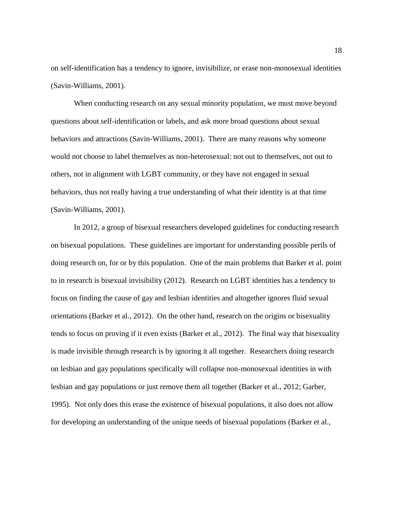on self-identification has a tendency to ignore, invisibilize, or erase non-monosexual identities (Savin-Williams, 2001).

When conducting research on any sexual minority population, we must move beyond questions about self-identification or labels, and ask more broad questions about sexual behaviors and attractions (Savin-Williams, 2001). There are many reasons why someone would not choose to label themselves as non-heterosexual: not out to themselves, not out to others, not in alignment with LGBT community, or they have not engaged in sexual behaviors, thus not really having a true understanding of what their identity is at that time (Savin-Williams, 2001).

In 2012, a group of bisexual researchers developed guidelines for conducting research on bisexual populations. These guidelines are important for understanding possible perils of doing research on, for or by this population. One of the main problems that Barker et al. point to in research is bisexual invisibility (2012). Research on LGBT identities has a tendency to focus on finding the cause of gay and lesbian identities and altogether ignores fluid sexual orientations (Barker et al., 2012). On the other hand, research on the origins or bisexuality tends to focus on proving if it even exists (Barker et al., 2012). The final way that bisexuality is made invisible through research is by ignoring it all together. Researchers doing research on lesbian and gay populations specifically will collapse non-monosexual identities in with lesbian and gay populations or just remove them all together (Barker et al., 2012; Garber, 1995). Not only does this erase the existence of bisexual populations, it also does not allow for developing an understanding of the unique needs of bisexual populations (Barker et al.,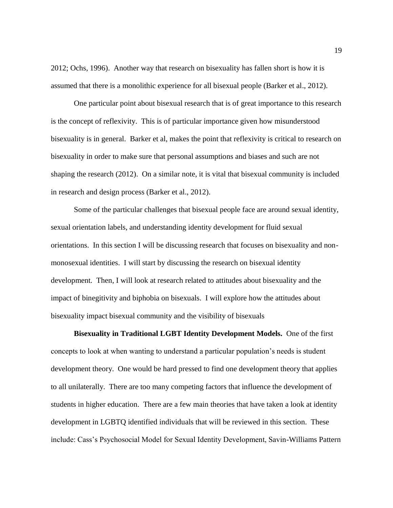2012; Ochs, 1996). Another way that research on bisexuality has fallen short is how it is assumed that there is a monolithic experience for all bisexual people (Barker et al., 2012).

One particular point about bisexual research that is of great importance to this research is the concept of reflexivity. This is of particular importance given how misunderstood bisexuality is in general. Barker et al, makes the point that reflexivity is critical to research on bisexuality in order to make sure that personal assumptions and biases and such are not shaping the research (2012). On a similar note, it is vital that bisexual community is included in research and design process (Barker et al., 2012).

Some of the particular challenges that bisexual people face are around sexual identity, sexual orientation labels, and understanding identity development for fluid sexual orientations. In this section I will be discussing research that focuses on bisexuality and nonmonosexual identities. I will start by discussing the research on bisexual identity development. Then, I will look at research related to attitudes about bisexuality and the impact of binegitivity and biphobia on bisexuals. I will explore how the attitudes about bisexuality impact bisexual community and the visibility of bisexuals

**Bisexuality in Traditional LGBT Identity Development Models.** One of the first concepts to look at when wanting to understand a particular population's needs is student development theory. One would be hard pressed to find one development theory that applies to all unilaterally. There are too many competing factors that influence the development of students in higher education. There are a few main theories that have taken a look at identity development in LGBTQ identified individuals that will be reviewed in this section. These include: Cass's Psychosocial Model for Sexual Identity Development, Savin-Williams Pattern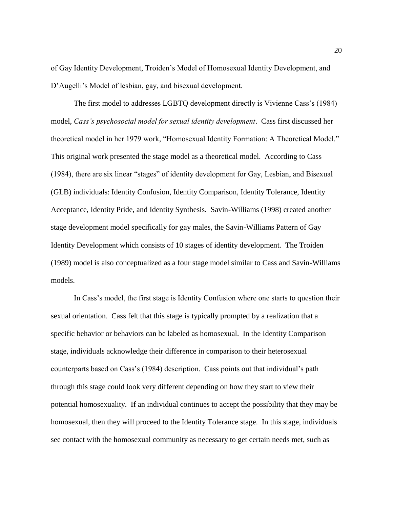of Gay Identity Development, Troiden's Model of Homosexual Identity Development, and D'Augelli's Model of lesbian, gay, and bisexual development.

The first model to addresses LGBTQ development directly is Vivienne Cass's (1984) model, *Cass's psychosocial model for sexual identity development*. Cass first discussed her theoretical model in her 1979 work, "Homosexual Identity Formation: A Theoretical Model." This original work presented the stage model as a theoretical model. According to Cass (1984), there are six linear "stages" of identity development for Gay, Lesbian, and Bisexual (GLB) individuals: Identity Confusion, Identity Comparison, Identity Tolerance, Identity Acceptance, Identity Pride, and Identity Synthesis. Savin-Williams (1998) created another stage development model specifically for gay males, the Savin-Williams Pattern of Gay Identity Development which consists of 10 stages of identity development. The Troiden (1989) model is also conceptualized as a four stage model similar to Cass and Savin-Williams models.

In Cass's model, the first stage is Identity Confusion where one starts to question their sexual orientation. Cass felt that this stage is typically prompted by a realization that a specific behavior or behaviors can be labeled as homosexual. In the Identity Comparison stage, individuals acknowledge their difference in comparison to their heterosexual counterparts based on Cass's (1984) description. Cass points out that individual's path through this stage could look very different depending on how they start to view their potential homosexuality. If an individual continues to accept the possibility that they may be homosexual, then they will proceed to the Identity Tolerance stage. In this stage, individuals see contact with the homosexual community as necessary to get certain needs met, such as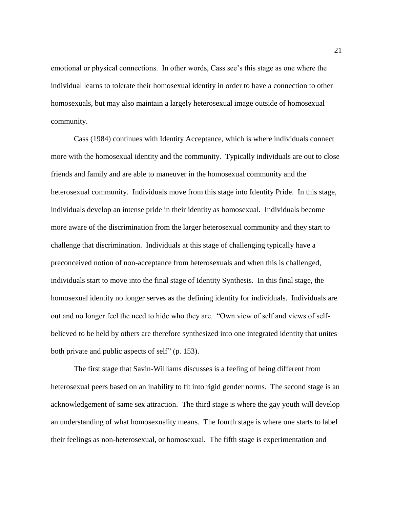emotional or physical connections. In other words, Cass see's this stage as one where the individual learns to tolerate their homosexual identity in order to have a connection to other homosexuals, but may also maintain a largely heterosexual image outside of homosexual community.

Cass (1984) continues with Identity Acceptance, which is where individuals connect more with the homosexual identity and the community. Typically individuals are out to close friends and family and are able to maneuver in the homosexual community and the heterosexual community. Individuals move from this stage into Identity Pride. In this stage, individuals develop an intense pride in their identity as homosexual. Individuals become more aware of the discrimination from the larger heterosexual community and they start to challenge that discrimination. Individuals at this stage of challenging typically have a preconceived notion of non-acceptance from heterosexuals and when this is challenged, individuals start to move into the final stage of Identity Synthesis. In this final stage, the homosexual identity no longer serves as the defining identity for individuals. Individuals are out and no longer feel the need to hide who they are. "Own view of self and views of selfbelieved to be held by others are therefore synthesized into one integrated identity that unites both private and public aspects of self" (p. 153).

The first stage that Savin-Williams discusses is a feeling of being different from heterosexual peers based on an inability to fit into rigid gender norms. The second stage is an acknowledgement of same sex attraction. The third stage is where the gay youth will develop an understanding of what homosexuality means. The fourth stage is where one starts to label their feelings as non-heterosexual, or homosexual. The fifth stage is experimentation and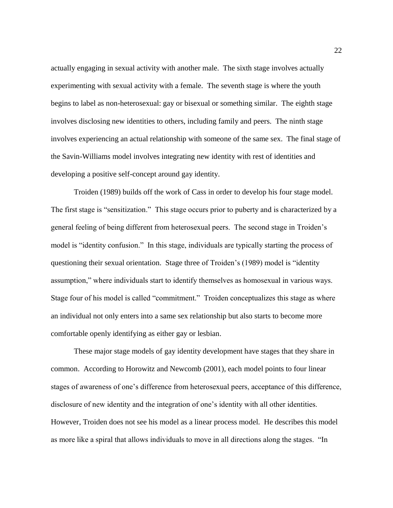actually engaging in sexual activity with another male. The sixth stage involves actually experimenting with sexual activity with a female. The seventh stage is where the youth begins to label as non-heterosexual: gay or bisexual or something similar. The eighth stage involves disclosing new identities to others, including family and peers. The ninth stage involves experiencing an actual relationship with someone of the same sex. The final stage of the Savin-Williams model involves integrating new identity with rest of identities and developing a positive self-concept around gay identity.

Troiden (1989) builds off the work of Cass in order to develop his four stage model. The first stage is "sensitization." This stage occurs prior to puberty and is characterized by a general feeling of being different from heterosexual peers. The second stage in Troiden's model is "identity confusion." In this stage, individuals are typically starting the process of questioning their sexual orientation. Stage three of Troiden's (1989) model is "identity assumption," where individuals start to identify themselves as homosexual in various ways. Stage four of his model is called "commitment." Troiden conceptualizes this stage as where an individual not only enters into a same sex relationship but also starts to become more comfortable openly identifying as either gay or lesbian.

These major stage models of gay identity development have stages that they share in common. According to Horowitz and Newcomb (2001), each model points to four linear stages of awareness of one's difference from heterosexual peers, acceptance of this difference, disclosure of new identity and the integration of one's identity with all other identities. However, Troiden does not see his model as a linear process model. He describes this model as more like a spiral that allows individuals to move in all directions along the stages. "In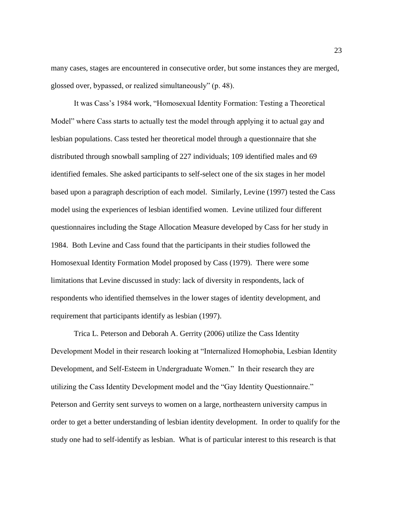many cases, stages are encountered in consecutive order, but some instances they are merged, glossed over, bypassed, or realized simultaneously" (p. 48).

It was Cass's 1984 work, "Homosexual Identity Formation: Testing a Theoretical Model" where Cass starts to actually test the model through applying it to actual gay and lesbian populations. Cass tested her theoretical model through a questionnaire that she distributed through snowball sampling of 227 individuals; 109 identified males and 69 identified females. She asked participants to self-select one of the six stages in her model based upon a paragraph description of each model. Similarly, Levine (1997) tested the Cass model using the experiences of lesbian identified women. Levine utilized four different questionnaires including the Stage Allocation Measure developed by Cass for her study in 1984. Both Levine and Cass found that the participants in their studies followed the Homosexual Identity Formation Model proposed by Cass (1979). There were some limitations that Levine discussed in study: lack of diversity in respondents, lack of respondents who identified themselves in the lower stages of identity development, and requirement that participants identify as lesbian (1997).

Trica L. Peterson and Deborah A. Gerrity (2006) utilize the Cass Identity Development Model in their research looking at "Internalized Homophobia, Lesbian Identity Development, and Self-Esteem in Undergraduate Women." In their research they are utilizing the Cass Identity Development model and the "Gay Identity Questionnaire." Peterson and Gerrity sent surveys to women on a large, northeastern university campus in order to get a better understanding of lesbian identity development. In order to qualify for the study one had to self-identify as lesbian. What is of particular interest to this research is that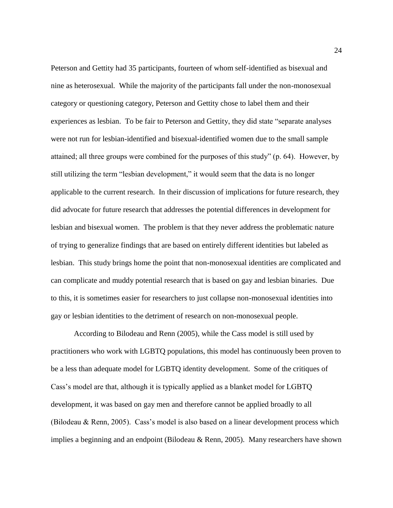Peterson and Gettity had 35 participants, fourteen of whom self-identified as bisexual and nine as heterosexual. While the majority of the participants fall under the non-monosexual category or questioning category, Peterson and Gettity chose to label them and their experiences as lesbian. To be fair to Peterson and Gettity, they did state "separate analyses were not run for lesbian-identified and bisexual-identified women due to the small sample attained; all three groups were combined for the purposes of this study" (p. 64). However, by still utilizing the term "lesbian development," it would seem that the data is no longer applicable to the current research. In their discussion of implications for future research, they did advocate for future research that addresses the potential differences in development for lesbian and bisexual women. The problem is that they never address the problematic nature of trying to generalize findings that are based on entirely different identities but labeled as lesbian. This study brings home the point that non-monosexual identities are complicated and can complicate and muddy potential research that is based on gay and lesbian binaries. Due to this, it is sometimes easier for researchers to just collapse non-monosexual identities into gay or lesbian identities to the detriment of research on non-monosexual people.

According to Bilodeau and Renn (2005), while the Cass model is still used by practitioners who work with LGBTQ populations, this model has continuously been proven to be a less than adequate model for LGBTQ identity development. Some of the critiques of Cass's model are that, although it is typically applied as a blanket model for LGBTQ development, it was based on gay men and therefore cannot be applied broadly to all (Bilodeau & Renn, 2005). Cass's model is also based on a linear development process which implies a beginning and an endpoint (Bilodeau & Renn, 2005). Many researchers have shown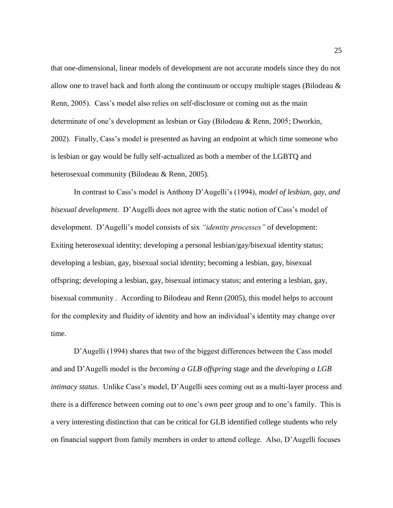that one-dimensional, linear models of development are not accurate models since they do not allow one to travel back and forth along the continuum or occupy multiple stages (Bilodeau & Renn, 2005). Cass's model also relies on self-disclosure or coming out as the main determinate of one's development as lesbian or Gay (Bilodeau & Renn, 2005; Dworkin, 2002). Finally, Cass's model is presented as having an endpoint at which time someone who is lesbian or gay would be fully self-actualized as both a member of the LGBTQ and heterosexual community (Bilodeau & Renn, 2005).

In contrast to Cass's model is Anthony D'Augelli's (1994), *model of lesbian, gay, and bisexual development*. D'Augelli does not agree with the static notion of Cass's model of development. D'Augelli's model consists of six *"identity processes"* of development: Exiting heterosexual identity; developing a personal lesbian/gay/bisexual identity status; developing a lesbian, gay, bisexual social identity; becoming a lesbian, gay, bisexual offspring; developing a lesbian, gay, bisexual intimacy status; and entering a lesbian, gay, bisexual community *.* According to Bilodeau and Renn (2005), this model helps to account for the complexity and fluidity of identity and how an individual's identity may change over time.

D'Augelli (1994) shares that two of the biggest differences between the Cass model and and D'Augelli model is the *becoming a GLB offspring* stage and the *developing a LGB intimacy status*. Unlike Cass's model, D'Augelli sees coming out as a multi-layer process and there is a difference between coming out to one's own peer group and to one's family. This is a very interesting distinction that can be critical for GLB identified college students who rely on financial support from family members in order to attend college. Also, D'Augelli focuses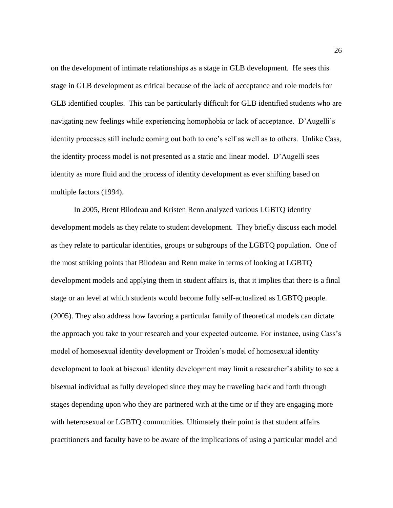on the development of intimate relationships as a stage in GLB development. He sees this stage in GLB development as critical because of the lack of acceptance and role models for GLB identified couples. This can be particularly difficult for GLB identified students who are navigating new feelings while experiencing homophobia or lack of acceptance. D'Augelli's identity processes still include coming out both to one's self as well as to others. Unlike Cass, the identity process model is not presented as a static and linear model. D'Augelli sees identity as more fluid and the process of identity development as ever shifting based on multiple factors (1994).

In 2005, Brent Bilodeau and Kristen Renn analyzed various LGBTQ identity development models as they relate to student development. They briefly discuss each model as they relate to particular identities, groups or subgroups of the LGBTQ population. One of the most striking points that Bilodeau and Renn make in terms of looking at LGBTQ development models and applying them in student affairs is, that it implies that there is a final stage or an level at which students would become fully self-actualized as LGBTQ people. (2005). They also address how favoring a particular family of theoretical models can dictate the approach you take to your research and your expected outcome. For instance, using Cass's model of homosexual identity development or Troiden's model of homosexual identity development to look at bisexual identity development may limit a researcher's ability to see a bisexual individual as fully developed since they may be traveling back and forth through stages depending upon who they are partnered with at the time or if they are engaging more with heterosexual or LGBTQ communities. Ultimately their point is that student affairs practitioners and faculty have to be aware of the implications of using a particular model and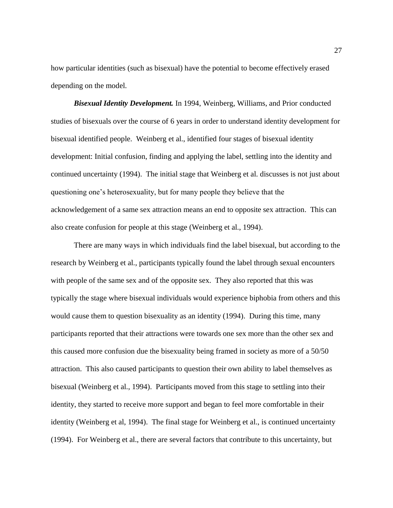how particular identities (such as bisexual) have the potential to become effectively erased depending on the model.

*Bisexual Identity Development.* In 1994, Weinberg, Williams, and Prior conducted studies of bisexuals over the course of 6 years in order to understand identity development for bisexual identified people. Weinberg et al., identified four stages of bisexual identity development: Initial confusion, finding and applying the label, settling into the identity and continued uncertainty (1994). The initial stage that Weinberg et al. discusses is not just about questioning one's heterosexuality, but for many people they believe that the acknowledgement of a same sex attraction means an end to opposite sex attraction. This can also create confusion for people at this stage (Weinberg et al., 1994).

There are many ways in which individuals find the label bisexual, but according to the research by Weinberg et al., participants typically found the label through sexual encounters with people of the same sex and of the opposite sex. They also reported that this was typically the stage where bisexual individuals would experience biphobia from others and this would cause them to question bisexuality as an identity (1994). During this time, many participants reported that their attractions were towards one sex more than the other sex and this caused more confusion due the bisexuality being framed in society as more of a 50/50 attraction. This also caused participants to question their own ability to label themselves as bisexual (Weinberg et al., 1994). Participants moved from this stage to settling into their identity, they started to receive more support and began to feel more comfortable in their identity (Weinberg et al, 1994). The final stage for Weinberg et al., is continued uncertainty (1994). For Weinberg et al., there are several factors that contribute to this uncertainty, but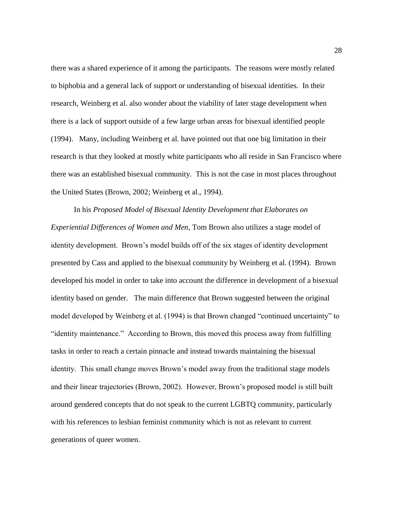there was a shared experience of it among the participants. The reasons were mostly related to biphobia and a general lack of support or understanding of bisexual identities. In their research, Weinberg et al. also wonder about the viability of later stage development when there is a lack of support outside of a few large urban areas for bisexual identified people (1994). Many, including Weinberg et al. have pointed out that one big limitation in their research is that they looked at mostly white participants who all reside in San Francisco where there was an established bisexual community. This is not the case in most places throughout the United States (Brown, 2002; Weinberg et al., 1994).

In his *Proposed Model of Bisexual Identity Development that Elaborates on Experiential Differences of Women and Men*, Tom Brown also utilizes a stage model of identity development. Brown's model builds off of the six stages of identity development presented by Cass and applied to the bisexual community by Weinberg et al. (1994). Brown developed his model in order to take into account the difference in development of a bisexual identity based on gender. The main difference that Brown suggested between the original model developed by Weinberg et al. (1994) is that Brown changed "continued uncertainty" to "identity maintenance." According to Brown, this moved this process away from fulfilling tasks in order to reach a certain pinnacle and instead towards maintaining the bisexual identity. This small change moves Brown's model away from the traditional stage models and their linear trajectories (Brown, 2002). However, Brown's proposed model is still built around gendered concepts that do not speak to the current LGBTQ community, particularly with his references to lesbian feminist community which is not as relevant to current generations of queer women.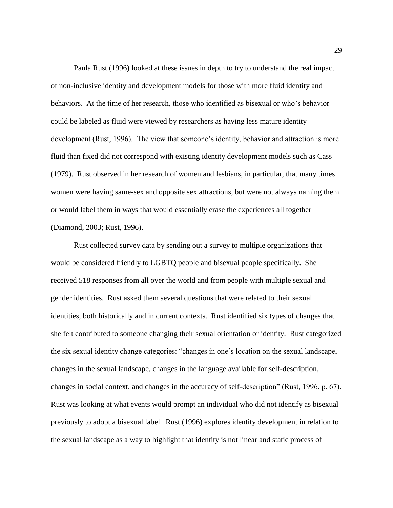Paula Rust (1996) looked at these issues in depth to try to understand the real impact of non-inclusive identity and development models for those with more fluid identity and behaviors. At the time of her research, those who identified as bisexual or who's behavior could be labeled as fluid were viewed by researchers as having less mature identity development (Rust, 1996). The view that someone's identity, behavior and attraction is more fluid than fixed did not correspond with existing identity development models such as Cass (1979). Rust observed in her research of women and lesbians, in particular, that many times women were having same-sex and opposite sex attractions, but were not always naming them or would label them in ways that would essentially erase the experiences all together (Diamond, 2003; Rust, 1996).

Rust collected survey data by sending out a survey to multiple organizations that would be considered friendly to LGBTQ people and bisexual people specifically. She received 518 responses from all over the world and from people with multiple sexual and gender identities. Rust asked them several questions that were related to their sexual identities, both historically and in current contexts. Rust identified six types of changes that she felt contributed to someone changing their sexual orientation or identity. Rust categorized the six sexual identity change categories: "changes in one's location on the sexual landscape, changes in the sexual landscape, changes in the language available for self-description, changes in social context, and changes in the accuracy of self-description" (Rust, 1996, p. 67). Rust was looking at what events would prompt an individual who did not identify as bisexual previously to adopt a bisexual label. Rust (1996) explores identity development in relation to the sexual landscape as a way to highlight that identity is not linear and static process of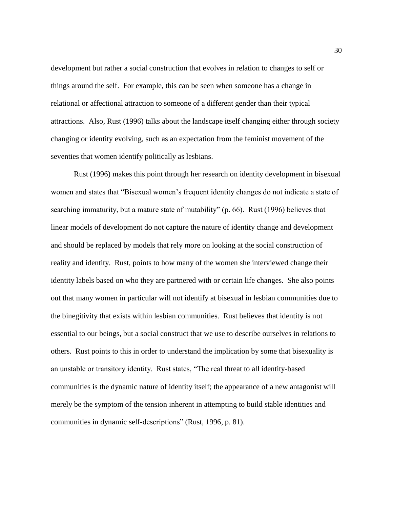development but rather a social construction that evolves in relation to changes to self or things around the self. For example, this can be seen when someone has a change in relational or affectional attraction to someone of a different gender than their typical attractions. Also, Rust (1996) talks about the landscape itself changing either through society changing or identity evolving, such as an expectation from the feminist movement of the seventies that women identify politically as lesbians.

Rust (1996) makes this point through her research on identity development in bisexual women and states that "Bisexual women's frequent identity changes do not indicate a state of searching immaturity, but a mature state of mutability" (p. 66). Rust (1996) believes that linear models of development do not capture the nature of identity change and development and should be replaced by models that rely more on looking at the social construction of reality and identity. Rust, points to how many of the women she interviewed change their identity labels based on who they are partnered with or certain life changes. She also points out that many women in particular will not identify at bisexual in lesbian communities due to the binegitivity that exists within lesbian communities. Rust believes that identity is not essential to our beings, but a social construct that we use to describe ourselves in relations to others. Rust points to this in order to understand the implication by some that bisexuality is an unstable or transitory identity. Rust states, "The real threat to all identity-based communities is the dynamic nature of identity itself; the appearance of a new antagonist will merely be the symptom of the tension inherent in attempting to build stable identities and communities in dynamic self-descriptions" (Rust, 1996, p. 81).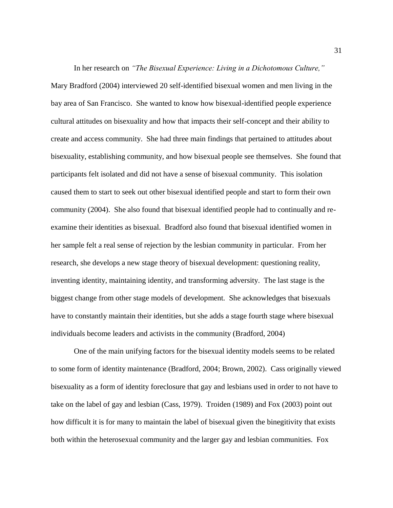In her research on *"The Bisexual Experience: Living in a Dichotomous Culture,"* Mary Bradford (2004) interviewed 20 self-identified bisexual women and men living in the bay area of San Francisco. She wanted to know how bisexual-identified people experience cultural attitudes on bisexuality and how that impacts their self-concept and their ability to create and access community. She had three main findings that pertained to attitudes about bisexuality, establishing community, and how bisexual people see themselves. She found that participants felt isolated and did not have a sense of bisexual community. This isolation caused them to start to seek out other bisexual identified people and start to form their own community (2004). She also found that bisexual identified people had to continually and reexamine their identities as bisexual. Bradford also found that bisexual identified women in her sample felt a real sense of rejection by the lesbian community in particular. From her research, she develops a new stage theory of bisexual development: questioning reality, inventing identity, maintaining identity, and transforming adversity. The last stage is the biggest change from other stage models of development. She acknowledges that bisexuals have to constantly maintain their identities, but she adds a stage fourth stage where bisexual individuals become leaders and activists in the community (Bradford, 2004)

One of the main unifying factors for the bisexual identity models seems to be related to some form of identity maintenance (Bradford, 2004; Brown, 2002). Cass originally viewed bisexuality as a form of identity foreclosure that gay and lesbians used in order to not have to take on the label of gay and lesbian (Cass, 1979). Troiden (1989) and Fox (2003) point out how difficult it is for many to maintain the label of bisexual given the binegitivity that exists both within the heterosexual community and the larger gay and lesbian communities. Fox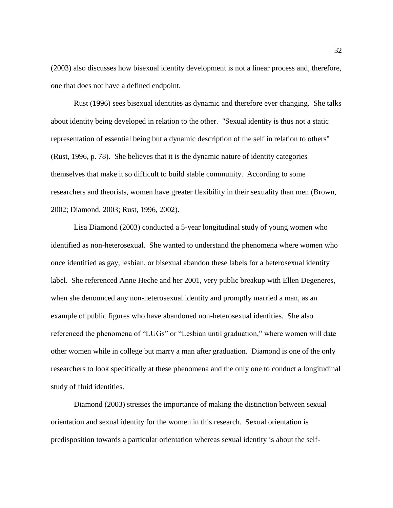(2003) also discusses how bisexual identity development is not a linear process and, therefore, one that does not have a defined endpoint.

Rust (1996) sees bisexual identities as dynamic and therefore ever changing. She talks about identity being developed in relation to the other. "Sexual identity is thus not a static representation of essential being but a dynamic description of the self in relation to others" (Rust, 1996, p. 78). She believes that it is the dynamic nature of identity categories themselves that make it so difficult to build stable community. According to some researchers and theorists, women have greater flexibility in their sexuality than men (Brown, 2002; Diamond, 2003; Rust, 1996, 2002).

Lisa Diamond (2003) conducted a 5-year longitudinal study of young women who identified as non-heterosexual. She wanted to understand the phenomena where women who once identified as gay, lesbian, or bisexual abandon these labels for a heterosexual identity label. She referenced Anne Heche and her 2001, very public breakup with Ellen Degeneres, when she denounced any non-heterosexual identity and promptly married a man, as an example of public figures who have abandoned non-heterosexual identities. She also referenced the phenomena of "LUGs" or "Lesbian until graduation," where women will date other women while in college but marry a man after graduation. Diamond is one of the only researchers to look specifically at these phenomena and the only one to conduct a longitudinal study of fluid identities.

Diamond (2003) stresses the importance of making the distinction between sexual orientation and sexual identity for the women in this research. Sexual orientation is predisposition towards a particular orientation whereas sexual identity is about the self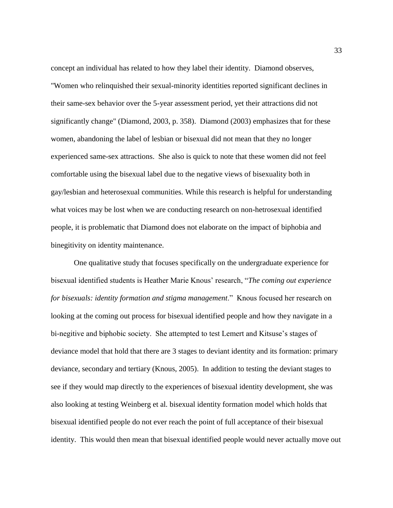concept an individual has related to how they label their identity. Diamond observes, "Women who relinquished their sexual-minority identities reported significant declines in their same-sex behavior over the 5-year assessment period, yet their attractions did not significantly change" (Diamond, 2003, p. 358). Diamond (2003) emphasizes that for these women, abandoning the label of lesbian or bisexual did not mean that they no longer experienced same-sex attractions. She also is quick to note that these women did not feel comfortable using the bisexual label due to the negative views of bisexuality both in gay/lesbian and heterosexual communities. While this research is helpful for understanding what voices may be lost when we are conducting research on non-hetrosexual identified people, it is problematic that Diamond does not elaborate on the impact of biphobia and binegitivity on identity maintenance.

One qualitative study that focuses specifically on the undergraduate experience for bisexual identified students is Heather Marie Knous' research, "*The coming out experience for bisexuals: identity formation and stigma management*." Knous focused her research on looking at the coming out process for bisexual identified people and how they navigate in a bi-negitive and biphobic society. She attempted to test Lemert and Kitsuse's stages of deviance model that hold that there are 3 stages to deviant identity and its formation: primary deviance, secondary and tertiary (Knous, 2005). In addition to testing the deviant stages to see if they would map directly to the experiences of bisexual identity development, she was also looking at testing Weinberg et al. bisexual identity formation model which holds that bisexual identified people do not ever reach the point of full acceptance of their bisexual identity. This would then mean that bisexual identified people would never actually move out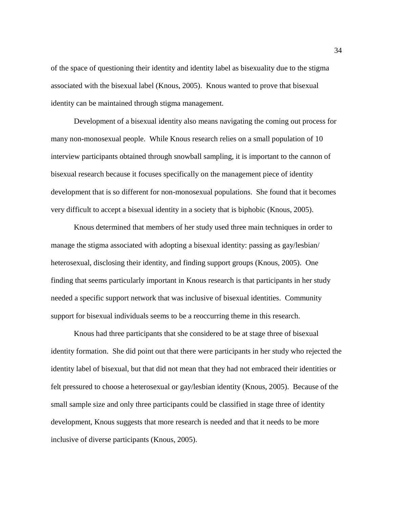of the space of questioning their identity and identity label as bisexuality due to the stigma associated with the bisexual label (Knous, 2005). Knous wanted to prove that bisexual identity can be maintained through stigma management.

Development of a bisexual identity also means navigating the coming out process for many non-monosexual people. While Knous research relies on a small population of 10 interview participants obtained through snowball sampling, it is important to the cannon of bisexual research because it focuses specifically on the management piece of identity development that is so different for non-monosexual populations. She found that it becomes very difficult to accept a bisexual identity in a society that is biphobic (Knous, 2005).

Knous determined that members of her study used three main techniques in order to manage the stigma associated with adopting a bisexual identity: passing as gay/lesbian/ heterosexual, disclosing their identity, and finding support groups (Knous, 2005). One finding that seems particularly important in Knous research is that participants in her study needed a specific support network that was inclusive of bisexual identities. Community support for bisexual individuals seems to be a reoccurring theme in this research.

Knous had three participants that she considered to be at stage three of bisexual identity formation. She did point out that there were participants in her study who rejected the identity label of bisexual, but that did not mean that they had not embraced their identities or felt pressured to choose a heterosexual or gay/lesbian identity (Knous, 2005). Because of the small sample size and only three participants could be classified in stage three of identity development, Knous suggests that more research is needed and that it needs to be more inclusive of diverse participants (Knous, 2005).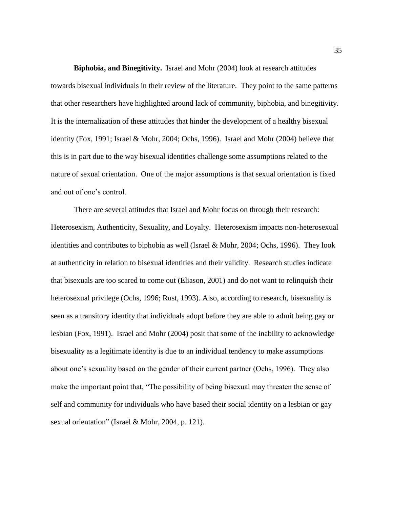**Biphobia, and Binegitivity.** Israel and Mohr (2004) look at research attitudes towards bisexual individuals in their review of the literature. They point to the same patterns that other researchers have highlighted around lack of community, biphobia, and binegitivity. It is the internalization of these attitudes that hinder the development of a healthy bisexual identity (Fox, 1991; Israel & Mohr, 2004; Ochs, 1996). Israel and Mohr (2004) believe that this is in part due to the way bisexual identities challenge some assumptions related to the nature of sexual orientation. One of the major assumptions is that sexual orientation is fixed and out of one's control.

There are several attitudes that Israel and Mohr focus on through their research: Heterosexism, Authenticity, Sexuality, and Loyalty. Heterosexism impacts non-heterosexual identities and contributes to biphobia as well (Israel & Mohr, 2004; Ochs, 1996). They look at authenticity in relation to bisexual identities and their validity. Research studies indicate that bisexuals are too scared to come out (Eliason, 2001) and do not want to relinquish their heterosexual privilege (Ochs, 1996; Rust, 1993). Also, according to research, bisexuality is seen as a transitory identity that individuals adopt before they are able to admit being gay or lesbian (Fox, 1991). Israel and Mohr (2004) posit that some of the inability to acknowledge bisexuality as a legitimate identity is due to an individual tendency to make assumptions about one's sexuality based on the gender of their current partner (Ochs, 1996). They also make the important point that, "The possibility of being bisexual may threaten the sense of self and community for individuals who have based their social identity on a lesbian or gay sexual orientation" (Israel & Mohr, 2004, p. 121).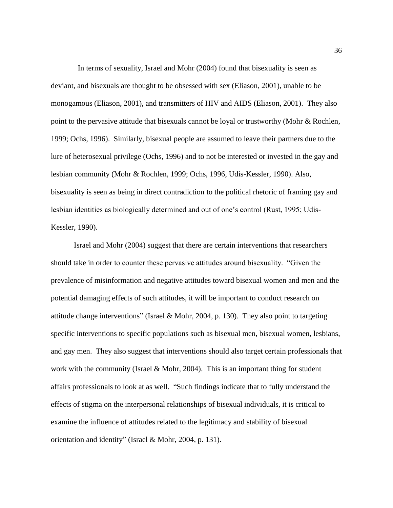In terms of sexuality, Israel and Mohr (2004) found that bisexuality is seen as deviant, and bisexuals are thought to be obsessed with sex (Eliason, 2001), unable to be monogamous (Eliason, 2001), and transmitters of HIV and AIDS (Eliason, 2001). They also point to the pervasive attitude that bisexuals cannot be loyal or trustworthy (Mohr & Rochlen, 1999; Ochs, 1996). Similarly, bisexual people are assumed to leave their partners due to the lure of heterosexual privilege (Ochs, 1996) and to not be interested or invested in the gay and lesbian community (Mohr & Rochlen, 1999; Ochs, 1996, Udis-Kessler, 1990). Also, bisexuality is seen as being in direct contradiction to the political rhetoric of framing gay and lesbian identities as biologically determined and out of one's control (Rust, 1995; Udis-Kessler, 1990).

Israel and Mohr (2004) suggest that there are certain interventions that researchers should take in order to counter these pervasive attitudes around bisexuality. "Given the prevalence of misinformation and negative attitudes toward bisexual women and men and the potential damaging effects of such attitudes, it will be important to conduct research on attitude change interventions" (Israel & Mohr, 2004, p. 130). They also point to targeting specific interventions to specific populations such as bisexual men, bisexual women, lesbians, and gay men. They also suggest that interventions should also target certain professionals that work with the community (Israel  $& Mohr, 2004$ ). This is an important thing for student affairs professionals to look at as well. "Such findings indicate that to fully understand the effects of stigma on the interpersonal relationships of bisexual individuals, it is critical to examine the influence of attitudes related to the legitimacy and stability of bisexual orientation and identity" (Israel & Mohr, 2004, p. 131).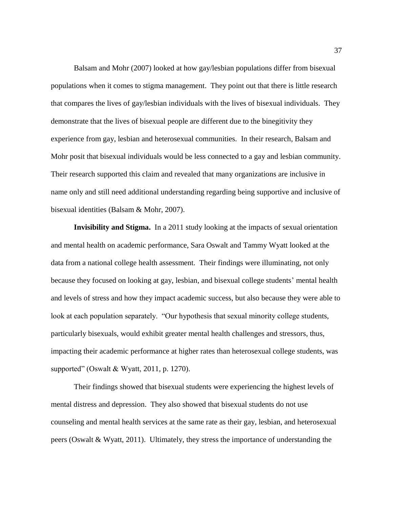Balsam and Mohr (2007) looked at how gay/lesbian populations differ from bisexual populations when it comes to stigma management. They point out that there is little research that compares the lives of gay/lesbian individuals with the lives of bisexual individuals. They demonstrate that the lives of bisexual people are different due to the binegitivity they experience from gay, lesbian and heterosexual communities. In their research, Balsam and Mohr posit that bisexual individuals would be less connected to a gay and lesbian community. Their research supported this claim and revealed that many organizations are inclusive in name only and still need additional understanding regarding being supportive and inclusive of bisexual identities (Balsam & Mohr, 2007).

**Invisibility and Stigma.** In a 2011 study looking at the impacts of sexual orientation and mental health on academic performance, Sara Oswalt and Tammy Wyatt looked at the data from a national college health assessment. Their findings were illuminating, not only because they focused on looking at gay, lesbian, and bisexual college students' mental health and levels of stress and how they impact academic success, but also because they were able to look at each population separately. "Our hypothesis that sexual minority college students, particularly bisexuals, would exhibit greater mental health challenges and stressors, thus, impacting their academic performance at higher rates than heterosexual college students, was supported" (Oswalt & Wyatt, 2011, p. 1270).

Their findings showed that bisexual students were experiencing the highest levels of mental distress and depression. They also showed that bisexual students do not use counseling and mental health services at the same rate as their gay, lesbian, and heterosexual peers (Oswalt & Wyatt, 2011). Ultimately, they stress the importance of understanding the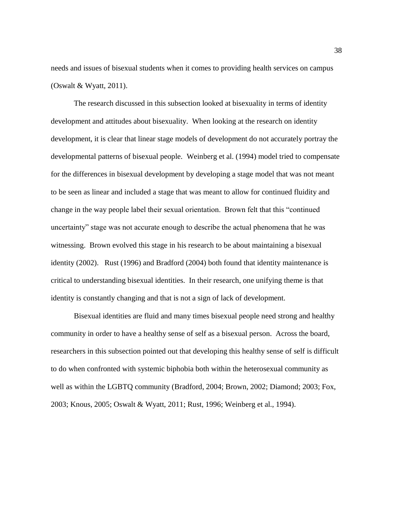needs and issues of bisexual students when it comes to providing health services on campus (Oswalt & Wyatt, 2011).

The research discussed in this subsection looked at bisexuality in terms of identity development and attitudes about bisexuality. When looking at the research on identity development, it is clear that linear stage models of development do not accurately portray the developmental patterns of bisexual people. Weinberg et al. (1994) model tried to compensate for the differences in bisexual development by developing a stage model that was not meant to be seen as linear and included a stage that was meant to allow for continued fluidity and change in the way people label their sexual orientation. Brown felt that this "continued uncertainty" stage was not accurate enough to describe the actual phenomena that he was witnessing. Brown evolved this stage in his research to be about maintaining a bisexual identity (2002). Rust (1996) and Bradford (2004) both found that identity maintenance is critical to understanding bisexual identities. In their research, one unifying theme is that identity is constantly changing and that is not a sign of lack of development.

Bisexual identities are fluid and many times bisexual people need strong and healthy community in order to have a healthy sense of self as a bisexual person. Across the board, researchers in this subsection pointed out that developing this healthy sense of self is difficult to do when confronted with systemic biphobia both within the heterosexual community as well as within the LGBTQ community (Bradford, 2004; Brown, 2002; Diamond; 2003; Fox, 2003; Knous, 2005; Oswalt & Wyatt, 2011; Rust, 1996; Weinberg et al., 1994).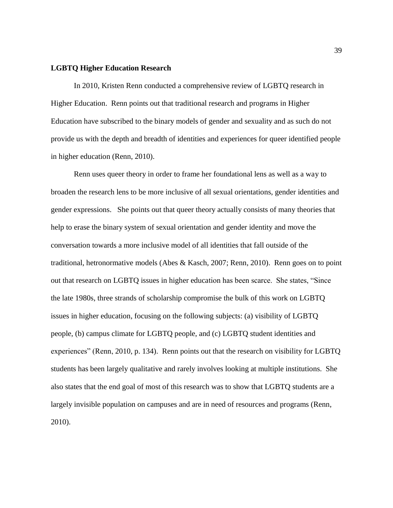#### **LGBTQ Higher Education Research**

In 2010, Kristen Renn conducted a comprehensive review of LGBTQ research in Higher Education. Renn points out that traditional research and programs in Higher Education have subscribed to the binary models of gender and sexuality and as such do not provide us with the depth and breadth of identities and experiences for queer identified people in higher education (Renn, 2010).

Renn uses queer theory in order to frame her foundational lens as well as a way to broaden the research lens to be more inclusive of all sexual orientations, gender identities and gender expressions. She points out that queer theory actually consists of many theories that help to erase the binary system of sexual orientation and gender identity and move the conversation towards a more inclusive model of all identities that fall outside of the traditional, hetronormative models (Abes & Kasch, 2007; Renn, 2010). Renn goes on to point out that research on LGBTQ issues in higher education has been scarce. She states, "Since the late 1980s, three strands of scholarship compromise the bulk of this work on LGBTQ issues in higher education, focusing on the following subjects: (a) visibility of LGBTQ people, (b) campus climate for LGBTQ people, and (c) LGBTQ student identities and experiences" (Renn, 2010, p. 134). Renn points out that the research on visibility for LGBTQ students has been largely qualitative and rarely involves looking at multiple institutions. She also states that the end goal of most of this research was to show that LGBTQ students are a largely invisible population on campuses and are in need of resources and programs (Renn, 2010).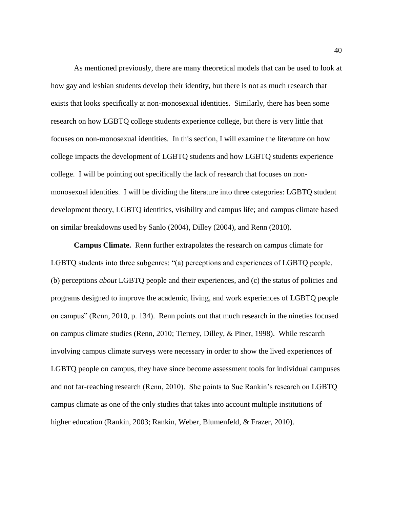As mentioned previously, there are many theoretical models that can be used to look at how gay and lesbian students develop their identity, but there is not as much research that exists that looks specifically at non-monosexual identities. Similarly, there has been some research on how LGBTQ college students experience college, but there is very little that focuses on non-monosexual identities. In this section, I will examine the literature on how college impacts the development of LGBTQ students and how LGBTQ students experience college. I will be pointing out specifically the lack of research that focuses on nonmonosexual identities. I will be dividing the literature into three categories: LGBTQ student development theory, LGBTQ identities, visibility and campus life; and campus climate based on similar breakdowns used by Sanlo (2004), Dilley (2004), and Renn (2010).

**Campus Climate.** Renn further extrapolates the research on campus climate for LGBTQ students into three subgenres: "(a) perceptions and experiences of LGBTQ people, (b) perceptions *about* LGBTQ people and their experiences, and (c) the status of policies and programs designed to improve the academic, living, and work experiences of LGBTQ people on campus" (Renn, 2010, p. 134). Renn points out that much research in the nineties focused on campus climate studies (Renn, 2010; Tierney, Dilley, & Piner, 1998). While research involving campus climate surveys were necessary in order to show the lived experiences of LGBTQ people on campus, they have since become assessment tools for individual campuses and not far-reaching research (Renn, 2010). She points to Sue Rankin's research on LGBTQ campus climate as one of the only studies that takes into account multiple institutions of higher education (Rankin, 2003; Rankin, Weber, Blumenfeld, & Frazer, 2010).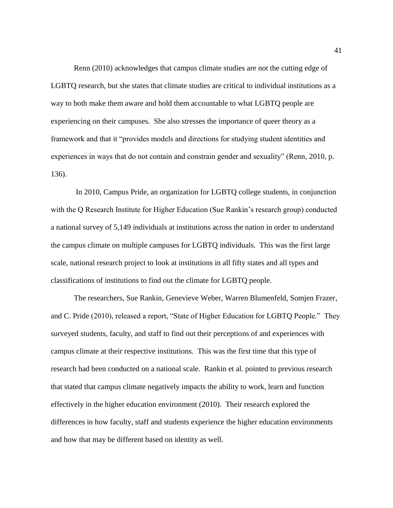Renn (2010) acknowledges that campus climate studies are not the cutting edge of LGBTQ research, but she states that climate studies are critical to individual institutions as a way to both make them aware and hold them accountable to what LGBTQ people are experiencing on their campuses. She also stresses the importance of queer theory as a framework and that it "provides models and directions for studying student identities and experiences in ways that do not contain and constrain gender and sexuality" (Renn, 2010, p. 136).

In 2010, Campus Pride, an organization for LGBTQ college students, in conjunction with the Q Research Institute for Higher Education (Sue Rankin's research group) conducted a national survey of 5,149 individuals at institutions across the nation in order to understand the campus climate on multiple campuses for LGBTQ individuals. This was the first large scale, national research project to look at institutions in all fifty states and all types and classifications of institutions to find out the climate for LGBTQ people.

The researchers, Sue Rankin, Genevieve Weber, Warren Blumenfeld, Somjen Frazer, and C. Pride (2010), released a report, "State of Higher Education for LGBTQ People." They surveyed students, faculty, and staff to find out their perceptions of and experiences with campus climate at their respective institutions. This was the first time that this type of research had been conducted on a national scale. Rankin et al. pointed to previous research that stated that campus climate negatively impacts the ability to work, learn and function effectively in the higher education environment (2010). Their research explored the differences in how faculty, staff and students experience the higher education environments and how that may be different based on identity as well.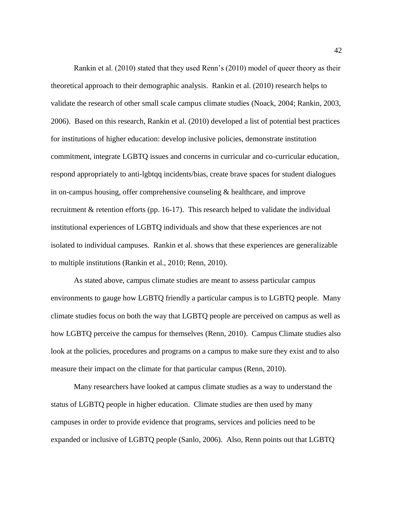Rankin et al. (2010) stated that they used Renn's (2010) model of queer theory as their theoretical approach to their demographic analysis. Rankin et al. (2010) research helps to validate the research of other small scale campus climate studies (Noack, 2004; Rankin, 2003, 2006). Based on this research, Rankin et al. (2010) developed a list of potential best practices for institutions of higher education: develop inclusive policies, demonstrate institution commitment, integrate LGBTQ issues and concerns in curricular and co-curricular education, respond appropriately to anti-lgbtqq incidents/bias, create brave spaces for student dialogues in on-campus housing, offer comprehensive counseling  $\&$  healthcare, and improve recruitment & retention efforts (pp. 16-17). This research helped to validate the individual institutional experiences of LGBTQ individuals and show that these experiences are not isolated to individual campuses. Rankin et al. shows that these experiences are generalizable to multiple institutions (Rankin et al., 2010; Renn, 2010).

As stated above, campus climate studies are meant to assess particular campus environments to gauge how LGBTQ friendly a particular campus is to LGBTQ people. Many climate studies focus on both the way that LGBTQ people are perceived on campus as well as how LGBTQ perceive the campus for themselves (Renn, 2010). Campus Climate studies also look at the policies, procedures and programs on a campus to make sure they exist and to also measure their impact on the climate for that particular campus (Renn, 2010).

Many researchers have looked at campus climate studies as a way to understand the status of LGBTQ people in higher education. Climate studies are then used by many campuses in order to provide evidence that programs, services and policies need to be expanded or inclusive of LGBTQ people (Sanlo, 2006). Also, Renn points out that LGBTQ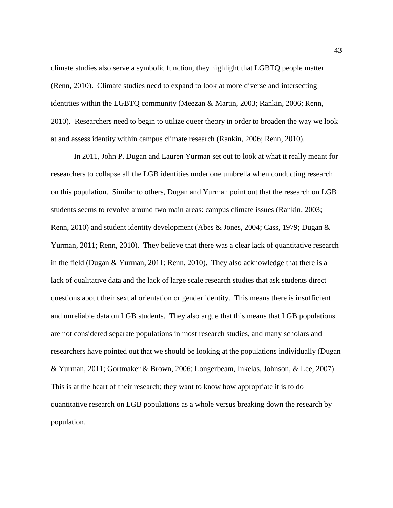climate studies also serve a symbolic function, they highlight that LGBTQ people matter (Renn, 2010). Climate studies need to expand to look at more diverse and intersecting identities within the LGBTQ community (Meezan & Martin, 2003; Rankin, 2006; Renn, 2010). Researchers need to begin to utilize queer theory in order to broaden the way we look at and assess identity within campus climate research (Rankin, 2006; Renn, 2010).

In 2011, John P. Dugan and Lauren Yurman set out to look at what it really meant for researchers to collapse all the LGB identities under one umbrella when conducting research on this population. Similar to others, Dugan and Yurman point out that the research on LGB students seems to revolve around two main areas: campus climate issues (Rankin, 2003; Renn, 2010) and student identity development (Abes & Jones, 2004; Cass, 1979; Dugan & Yurman, 2011; Renn, 2010). They believe that there was a clear lack of quantitative research in the field (Dugan & Yurman, 2011; Renn, 2010). They also acknowledge that there is a lack of qualitative data and the lack of large scale research studies that ask students direct questions about their sexual orientation or gender identity. This means there is insufficient and unreliable data on LGB students. They also argue that this means that LGB populations are not considered separate populations in most research studies, and many scholars and researchers have pointed out that we should be looking at the populations individually (Dugan & Yurman, 2011; Gortmaker & Brown, 2006; Longerbeam, Inkelas, Johnson, & Lee, 2007). This is at the heart of their research; they want to know how appropriate it is to do quantitative research on LGB populations as a whole versus breaking down the research by population.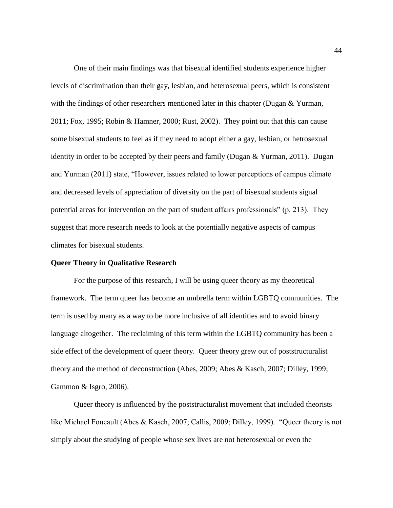One of their main findings was that bisexual identified students experience higher levels of discrimination than their gay, lesbian, and heterosexual peers, which is consistent with the findings of other researchers mentioned later in this chapter (Dugan & Yurman, 2011; Fox, 1995; Robin & Hamner, 2000; Rust, 2002). They point out that this can cause some bisexual students to feel as if they need to adopt either a gay, lesbian, or hetrosexual identity in order to be accepted by their peers and family (Dugan & Yurman, 2011). Dugan and Yurman (2011) state, "However, issues related to lower perceptions of campus climate and decreased levels of appreciation of diversity on the part of bisexual students signal potential areas for intervention on the part of student affairs professionals" (p. 213). They suggest that more research needs to look at the potentially negative aspects of campus climates for bisexual students.

#### **Queer Theory in Qualitative Research**

For the purpose of this research, I will be using queer theory as my theoretical framework. The term queer has become an umbrella term within LGBTQ communities. The term is used by many as a way to be more inclusive of all identities and to avoid binary language altogether. The reclaiming of this term within the LGBTQ community has been a side effect of the development of queer theory. Queer theory grew out of poststructuralist theory and the method of deconstruction (Abes, 2009; Abes & Kasch, 2007; Dilley, 1999; Gammon & Isgro, 2006).

Queer theory is influenced by the poststructuralist movement that included theorists like Michael Foucault (Abes & Kasch, 2007; Callis, 2009; Dilley, 1999). "Queer theory is not simply about the studying of people whose sex lives are not heterosexual or even the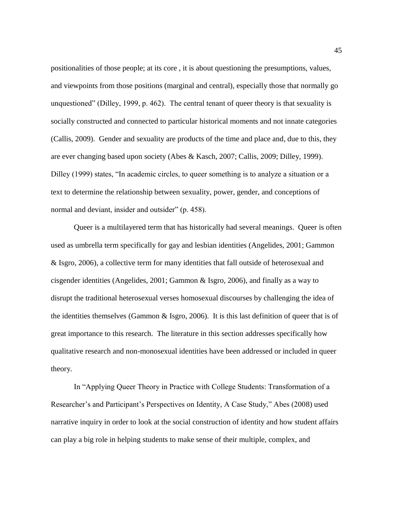positionalities of those people; at its core , it is about questioning the presumptions, values, and viewpoints from those positions (marginal and central), especially those that normally go unquestioned" (Dilley, 1999, p. 462). The central tenant of queer theory is that sexuality is socially constructed and connected to particular historical moments and not innate categories (Callis, 2009). Gender and sexuality are products of the time and place and, due to this, they are ever changing based upon society (Abes & Kasch, 2007; Callis, 2009; Dilley, 1999). Dilley (1999) states, "In academic circles, to queer something is to analyze a situation or a text to determine the relationship between sexuality, power, gender, and conceptions of normal and deviant, insider and outsider" (p. 458).

Queer is a multilayered term that has historically had several meanings. Queer is often used as umbrella term specifically for gay and lesbian identities (Angelides, 2001; Gammon & Isgro, 2006), a collective term for many identities that fall outside of heterosexual and cisgender identities (Angelides, 2001; Gammon & Isgro, 2006), and finally as a way to disrupt the traditional heterosexual verses homosexual discourses by challenging the idea of the identities themselves (Gammon & Isgro, 2006). It is this last definition of queer that is of great importance to this research. The literature in this section addresses specifically how qualitative research and non-monosexual identities have been addressed or included in queer theory.

In "Applying Queer Theory in Practice with College Students: Transformation of a Researcher's and Participant's Perspectives on Identity, A Case Study," Abes (2008) used narrative inquiry in order to look at the social construction of identity and how student affairs can play a big role in helping students to make sense of their multiple, complex, and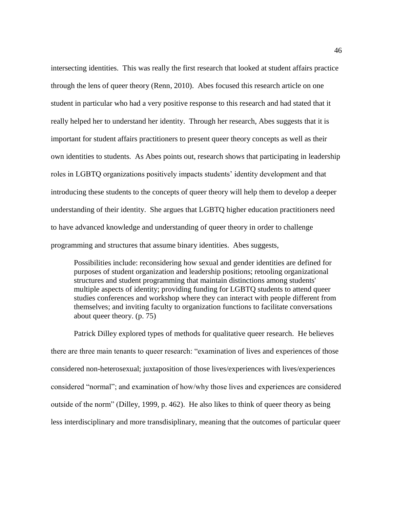intersecting identities. This was really the first research that looked at student affairs practice through the lens of queer theory (Renn, 2010). Abes focused this research article on one student in particular who had a very positive response to this research and had stated that it really helped her to understand her identity. Through her research, Abes suggests that it is important for student affairs practitioners to present queer theory concepts as well as their own identities to students. As Abes points out, research shows that participating in leadership roles in LGBTQ organizations positively impacts students' identity development and that introducing these students to the concepts of queer theory will help them to develop a deeper understanding of their identity. She argues that LGBTQ higher education practitioners need to have advanced knowledge and understanding of queer theory in order to challenge programming and structures that assume binary identities. Abes suggests,

Possibilities include: reconsidering how sexual and gender identities are defined for purposes of student organization and leadership positions; retooling organizational structures and student programming that maintain distinctions among students' multiple aspects of identity; providing funding for LGBTQ students to attend queer studies conferences and workshop where they can interact with people different from themselves; and inviting faculty to organization functions to facilitate conversations about queer theory. (p. 75)

Patrick Dilley explored types of methods for qualitative queer research. He believes there are three main tenants to queer research: "examination of lives and experiences of those considered non-heterosexual; juxtaposition of those lives/experiences with lives/experiences considered "normal"; and examination of how/why those lives and experiences are considered outside of the norm" (Dilley, 1999, p. 462). He also likes to think of queer theory as being less interdisciplinary and more transdisiplinary, meaning that the outcomes of particular queer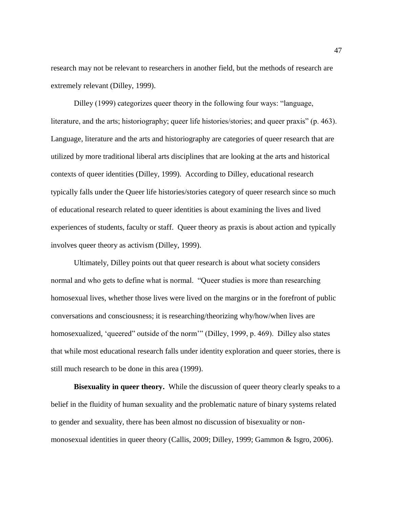research may not be relevant to researchers in another field, but the methods of research are extremely relevant (Dilley, 1999).

Dilley (1999) categorizes queer theory in the following four ways: "language, literature, and the arts; historiography; queer life histories/stories; and queer praxis" (p. 463). Language, literature and the arts and historiography are categories of queer research that are utilized by more traditional liberal arts disciplines that are looking at the arts and historical contexts of queer identities (Dilley, 1999). According to Dilley, educational research typically falls under the Queer life histories/stories category of queer research since so much of educational research related to queer identities is about examining the lives and lived experiences of students, faculty or staff. Queer theory as praxis is about action and typically involves queer theory as activism (Dilley, 1999).

Ultimately, Dilley points out that queer research is about what society considers normal and who gets to define what is normal. "Queer studies is more than researching homosexual lives, whether those lives were lived on the margins or in the forefront of public conversations and consciousness; it is researching/theorizing why/how/when lives are homosexualized, 'queered'' outside of the norm'" (Dilley, 1999, p. 469). Dilley also states that while most educational research falls under identity exploration and queer stories, there is still much research to be done in this area (1999).

**Bisexuality in queer theory.** While the discussion of queer theory clearly speaks to a belief in the fluidity of human sexuality and the problematic nature of binary systems related to gender and sexuality, there has been almost no discussion of bisexuality or nonmonosexual identities in queer theory (Callis, 2009; Dilley, 1999; Gammon & Isgro, 2006).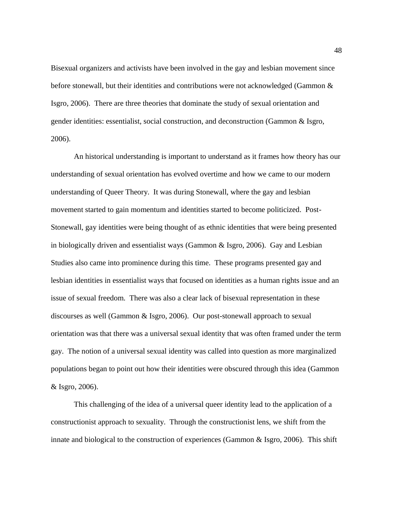Bisexual organizers and activists have been involved in the gay and lesbian movement since before stonewall, but their identities and contributions were not acknowledged (Gammon & Isgro, 2006). There are three theories that dominate the study of sexual orientation and gender identities: essentialist, social construction, and deconstruction (Gammon & Isgro, 2006).

An historical understanding is important to understand as it frames how theory has our understanding of sexual orientation has evolved overtime and how we came to our modern understanding of Queer Theory. It was during Stonewall, where the gay and lesbian movement started to gain momentum and identities started to become politicized. Post-Stonewall, gay identities were being thought of as ethnic identities that were being presented in biologically driven and essentialist ways (Gammon & Isgro, 2006). Gay and Lesbian Studies also came into prominence during this time. These programs presented gay and lesbian identities in essentialist ways that focused on identities as a human rights issue and an issue of sexual freedom. There was also a clear lack of bisexual representation in these discourses as well (Gammon & Isgro, 2006). Our post-stonewall approach to sexual orientation was that there was a universal sexual identity that was often framed under the term gay. The notion of a universal sexual identity was called into question as more marginalized populations began to point out how their identities were obscured through this idea (Gammon & Isgro, 2006).

This challenging of the idea of a universal queer identity lead to the application of a constructionist approach to sexuality. Through the constructionist lens, we shift from the innate and biological to the construction of experiences (Gammon & Isgro, 2006). This shift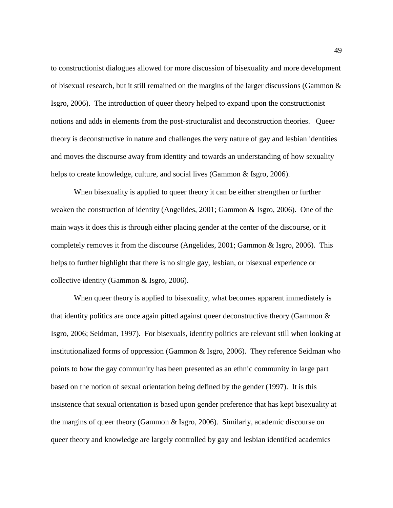to constructionist dialogues allowed for more discussion of bisexuality and more development of bisexual research, but it still remained on the margins of the larger discussions (Gammon & Isgro, 2006). The introduction of queer theory helped to expand upon the constructionist notions and adds in elements from the post-structuralist and deconstruction theories. Queer theory is deconstructive in nature and challenges the very nature of gay and lesbian identities and moves the discourse away from identity and towards an understanding of how sexuality helps to create knowledge, culture, and social lives (Gammon & Isgro, 2006).

When bisexuality is applied to queer theory it can be either strengthen or further weaken the construction of identity (Angelides, 2001; Gammon & Isgro, 2006). One of the main ways it does this is through either placing gender at the center of the discourse, or it completely removes it from the discourse (Angelides, 2001; Gammon & Isgro, 2006). This helps to further highlight that there is no single gay, lesbian, or bisexual experience or collective identity (Gammon & Isgro, 2006).

When queer theory is applied to bisexuality, what becomes apparent immediately is that identity politics are once again pitted against queer deconstructive theory (Gammon & Isgro, 2006; Seidman, 1997). For bisexuals, identity politics are relevant still when looking at institutionalized forms of oppression (Gammon & Isgro, 2006). They reference Seidman who points to how the gay community has been presented as an ethnic community in large part based on the notion of sexual orientation being defined by the gender (1997). It is this insistence that sexual orientation is based upon gender preference that has kept bisexuality at the margins of queer theory (Gammon & Isgro, 2006). Similarly, academic discourse on queer theory and knowledge are largely controlled by gay and lesbian identified academics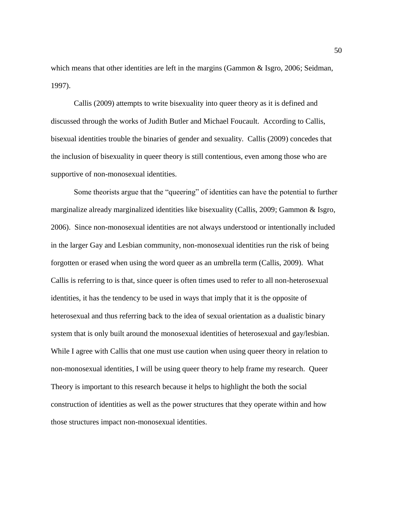which means that other identities are left in the margins (Gammon  $\&$  Isgro, 2006; Seidman, 1997).

Callis (2009) attempts to write bisexuality into queer theory as it is defined and discussed through the works of Judith Butler and Michael Foucault. According to Callis, bisexual identities trouble the binaries of gender and sexuality. Callis (2009) concedes that the inclusion of bisexuality in queer theory is still contentious, even among those who are supportive of non-monosexual identities.

Some theorists argue that the "queering" of identities can have the potential to further marginalize already marginalized identities like bisexuality (Callis, 2009; Gammon & Isgro, 2006). Since non-monosexual identities are not always understood or intentionally included in the larger Gay and Lesbian community, non-monosexual identities run the risk of being forgotten or erased when using the word queer as an umbrella term (Callis, 2009). What Callis is referring to is that, since queer is often times used to refer to all non-heterosexual identities, it has the tendency to be used in ways that imply that it is the opposite of heterosexual and thus referring back to the idea of sexual orientation as a dualistic binary system that is only built around the monosexual identities of heterosexual and gay/lesbian. While I agree with Callis that one must use caution when using queer theory in relation to non-monosexual identities, I will be using queer theory to help frame my research. Queer Theory is important to this research because it helps to highlight the both the social construction of identities as well as the power structures that they operate within and how those structures impact non-monosexual identities.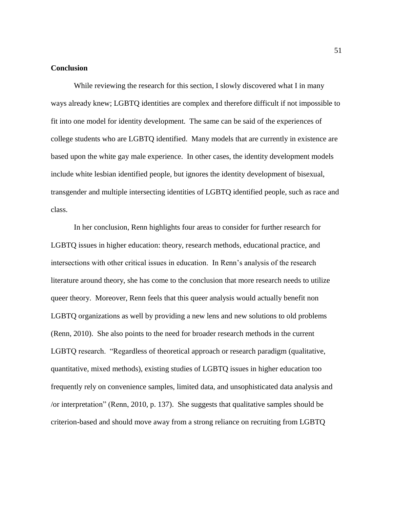# **Conclusion**

While reviewing the research for this section, I slowly discovered what I in many ways already knew; LGBTQ identities are complex and therefore difficult if not impossible to fit into one model for identity development. The same can be said of the experiences of college students who are LGBTQ identified. Many models that are currently in existence are based upon the white gay male experience. In other cases, the identity development models include white lesbian identified people, but ignores the identity development of bisexual, transgender and multiple intersecting identities of LGBTQ identified people, such as race and class.

In her conclusion, Renn highlights four areas to consider for further research for LGBTQ issues in higher education: theory, research methods, educational practice, and intersections with other critical issues in education. In Renn's analysis of the research literature around theory, she has come to the conclusion that more research needs to utilize queer theory. Moreover, Renn feels that this queer analysis would actually benefit non LGBTQ organizations as well by providing a new lens and new solutions to old problems (Renn, 2010). She also points to the need for broader research methods in the current LGBTQ research. "Regardless of theoretical approach or research paradigm (qualitative, quantitative, mixed methods), existing studies of LGBTQ issues in higher education too frequently rely on convenience samples, limited data, and unsophisticated data analysis and /or interpretation" (Renn, 2010, p. 137). She suggests that qualitative samples should be criterion-based and should move away from a strong reliance on recruiting from LGBTQ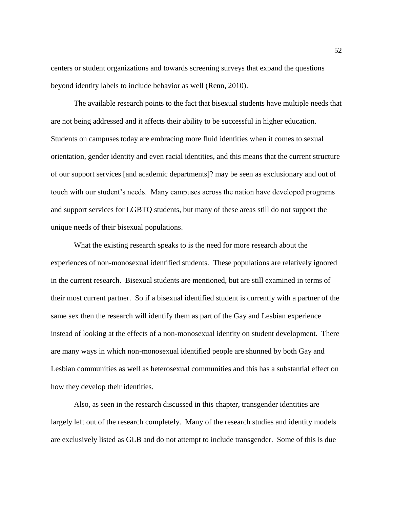centers or student organizations and towards screening surveys that expand the questions beyond identity labels to include behavior as well (Renn, 2010).

The available research points to the fact that bisexual students have multiple needs that are not being addressed and it affects their ability to be successful in higher education. Students on campuses today are embracing more fluid identities when it comes to sexual orientation, gender identity and even racial identities, and this means that the current structure of our support services [and academic departments]? may be seen as exclusionary and out of touch with our student's needs. Many campuses across the nation have developed programs and support services for LGBTQ students, but many of these areas still do not support the unique needs of their bisexual populations.

What the existing research speaks to is the need for more research about the experiences of non-monosexual identified students. These populations are relatively ignored in the current research. Bisexual students are mentioned, but are still examined in terms of their most current partner. So if a bisexual identified student is currently with a partner of the same sex then the research will identify them as part of the Gay and Lesbian experience instead of looking at the effects of a non-monosexual identity on student development. There are many ways in which non-monosexual identified people are shunned by both Gay and Lesbian communities as well as heterosexual communities and this has a substantial effect on how they develop their identities.

Also, as seen in the research discussed in this chapter, transgender identities are largely left out of the research completely. Many of the research studies and identity models are exclusively listed as GLB and do not attempt to include transgender. Some of this is due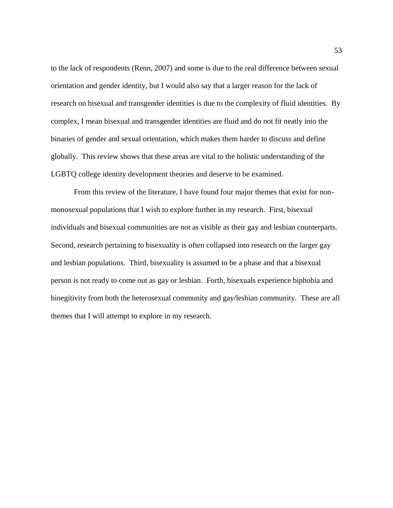to the lack of respondents (Renn, 2007) and some is due to the real difference between sexual orientation and gender identity, but I would also say that a larger reason for the lack of research on bisexual and transgender identities is due to the complexity of fluid identities. By complex, I mean bisexual and transgender identities are fluid and do not fit neatly into the binaries of gender and sexual orientation, which makes them harder to discuss and define globally. This review shows that these areas are vital to the holistic understanding of the LGBTQ college identity development theories and deserve to be examined.

From this review of the literature, I have found four major themes that exist for nonmonosexual populations that I wish to explore further in my research. First, bisexual individuals and bisexual communities are not as visible as their gay and lesbian counterparts. Second, research pertaining to bisexuality is often collapsed into research on the larger gay and lesbian populations. Third, bisexuality is assumed to be a phase and that a bisexual person is not ready to come out as gay or lesbian. Forth, bisexuals experience biphobia and binegitivity from both the heterosexual community and gay/lesbian community. These are all themes that I will attempt to explore in my research.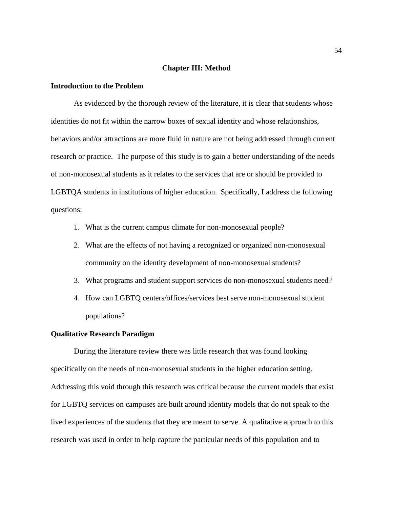#### **Chapter III: Method**

# **Introduction to the Problem**

As evidenced by the thorough review of the literature, it is clear that students whose identities do not fit within the narrow boxes of sexual identity and whose relationships, behaviors and/or attractions are more fluid in nature are not being addressed through current research or practice. The purpose of this study is to gain a better understanding of the needs of non-monosexual students as it relates to the services that are or should be provided to LGBTQA students in institutions of higher education. Specifically, I address the following questions:

- 1. What is the current campus climate for non-monosexual people?
- 2. What are the effects of not having a recognized or organized non-monosexual community on the identity development of non-monosexual students?
- 3. What programs and student support services do non-monosexual students need?
- 4. How can LGBTQ centers/offices/services best serve non-monosexual student populations?

## **Qualitative Research Paradigm**

During the literature review there was little research that was found looking specifically on the needs of non-monosexual students in the higher education setting. Addressing this void through this research was critical because the current models that exist for LGBTQ services on campuses are built around identity models that do not speak to the lived experiences of the students that they are meant to serve. A qualitative approach to this research was used in order to help capture the particular needs of this population and to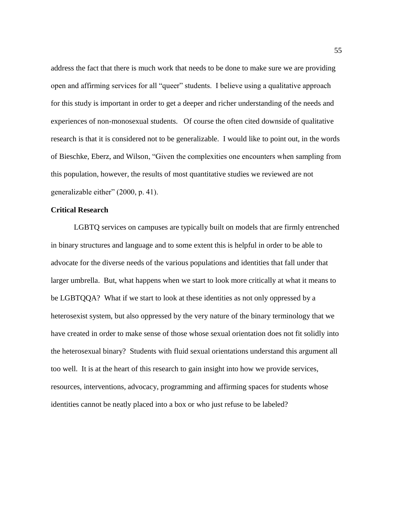address the fact that there is much work that needs to be done to make sure we are providing open and affirming services for all "queer" students. I believe using a qualitative approach for this study is important in order to get a deeper and richer understanding of the needs and experiences of non-monosexual students. Of course the often cited downside of qualitative research is that it is considered not to be generalizable. I would like to point out, in the words of Bieschke, Eberz, and Wilson, "Given the complexities one encounters when sampling from this population, however, the results of most quantitative studies we reviewed are not generalizable either" (2000, p. 41).

## **Critical Research**

LGBTQ services on campuses are typically built on models that are firmly entrenched in binary structures and language and to some extent this is helpful in order to be able to advocate for the diverse needs of the various populations and identities that fall under that larger umbrella. But, what happens when we start to look more critically at what it means to be LGBTQQA? What if we start to look at these identities as not only oppressed by a heterosexist system, but also oppressed by the very nature of the binary terminology that we have created in order to make sense of those whose sexual orientation does not fit solidly into the heterosexual binary? Students with fluid sexual orientations understand this argument all too well. It is at the heart of this research to gain insight into how we provide services, resources, interventions, advocacy, programming and affirming spaces for students whose identities cannot be neatly placed into a box or who just refuse to be labeled?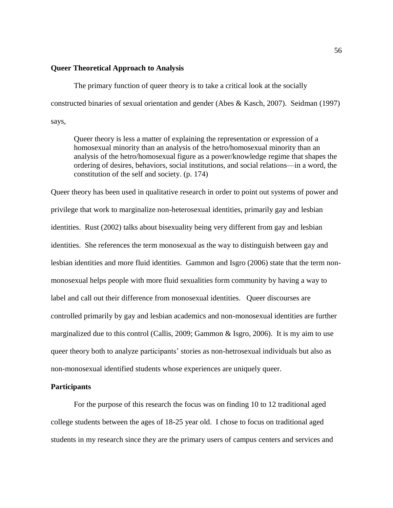## **Queer Theoretical Approach to Analysis**

The primary function of queer theory is to take a critical look at the socially constructed binaries of sexual orientation and gender (Abes & Kasch, 2007). Seidman (1997) says,

Queer theory is less a matter of explaining the representation or expression of a homosexual minority than an analysis of the hetro/homosexual minority than an analysis of the hetro/homosexual figure as a power/knowledge regime that shapes the ordering of desires, behaviors, social institutions, and social relations—in a word, the constitution of the self and society. (p. 174)

Queer theory has been used in qualitative research in order to point out systems of power and privilege that work to marginalize non-heterosexual identities, primarily gay and lesbian identities. Rust (2002) talks about bisexuality being very different from gay and lesbian identities. She references the term monosexual as the way to distinguish between gay and lesbian identities and more fluid identities. Gammon and Isgro (2006) state that the term nonmonosexual helps people with more fluid sexualities form community by having a way to label and call out their difference from monosexual identities. Queer discourses are controlled primarily by gay and lesbian academics and non-monosexual identities are further marginalized due to this control (Callis, 2009; Gammon & Isgro, 2006). It is my aim to use queer theory both to analyze participants' stories as non-hetrosexual individuals but also as non-monosexual identified students whose experiences are uniquely queer.

### **Participants**

For the purpose of this research the focus was on finding 10 to 12 traditional aged college students between the ages of 18-25 year old. I chose to focus on traditional aged students in my research since they are the primary users of campus centers and services and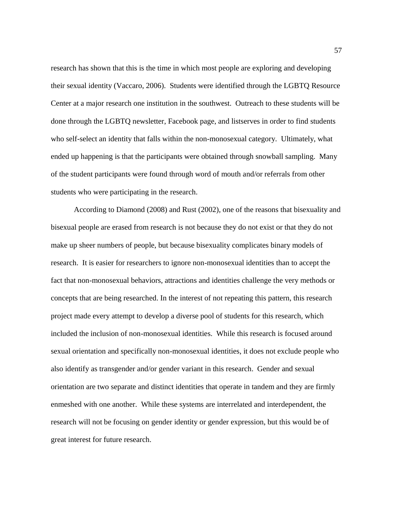research has shown that this is the time in which most people are exploring and developing their sexual identity (Vaccaro, 2006). Students were identified through the LGBTQ Resource Center at a major research one institution in the southwest. Outreach to these students will be done through the LGBTQ newsletter, Facebook page, and listserves in order to find students who self-select an identity that falls within the non-monosexual category. Ultimately, what ended up happening is that the participants were obtained through snowball sampling. Many of the student participants were found through word of mouth and/or referrals from other students who were participating in the research.

According to Diamond (2008) and Rust (2002), one of the reasons that bisexuality and bisexual people are erased from research is not because they do not exist or that they do not make up sheer numbers of people, but because bisexuality complicates binary models of research. It is easier for researchers to ignore non-monosexual identities than to accept the fact that non-monosexual behaviors, attractions and identities challenge the very methods or concepts that are being researched. In the interest of not repeating this pattern, this research project made every attempt to develop a diverse pool of students for this research, which included the inclusion of non-monosexual identities. While this research is focused around sexual orientation and specifically non-monosexual identities, it does not exclude people who also identify as transgender and/or gender variant in this research. Gender and sexual orientation are two separate and distinct identities that operate in tandem and they are firmly enmeshed with one another. While these systems are interrelated and interdependent, the research will not be focusing on gender identity or gender expression, but this would be of great interest for future research.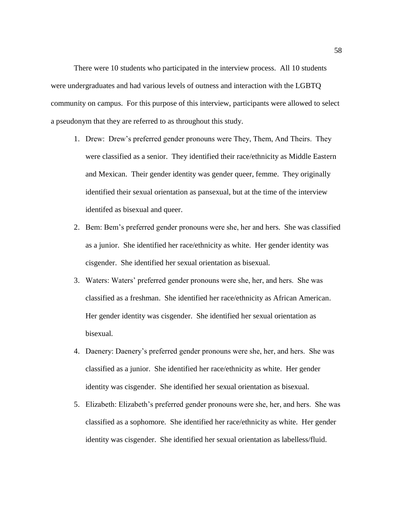There were 10 students who participated in the interview process. All 10 students were undergraduates and had various levels of outness and interaction with the LGBTQ community on campus. For this purpose of this interview, participants were allowed to select a pseudonym that they are referred to as throughout this study.

- 1. Drew: Drew's preferred gender pronouns were They, Them, And Theirs. They were classified as a senior. They identified their race/ethnicity as Middle Eastern and Mexican. Their gender identity was gender queer, femme. They originally identified their sexual orientation as pansexual, but at the time of the interview identifed as bisexual and queer.
- 2. Bem: Bem's preferred gender pronouns were she, her and hers. She was classified as a junior. She identified her race/ethnicity as white. Her gender identity was cisgender. She identified her sexual orientation as bisexual.
- 3. Waters: Waters' preferred gender pronouns were she, her, and hers. She was classified as a freshman. She identified her race/ethnicity as African American. Her gender identity was cisgender. She identified her sexual orientation as bisexual.
- 4. Daenery: Daenery's preferred gender pronouns were she, her, and hers. She was classified as a junior. She identified her race/ethnicity as white. Her gender identity was cisgender. She identified her sexual orientation as bisexual.
- 5. Elizabeth: Elizabeth's preferred gender pronouns were she, her, and hers. She was classified as a sophomore. She identified her race/ethnicity as white. Her gender identity was cisgender. She identified her sexual orientation as labelless/fluid.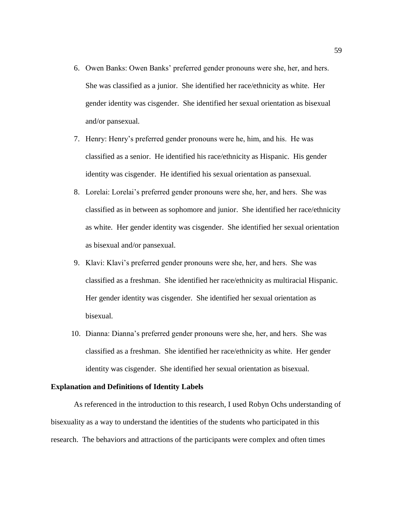- 6. Owen Banks: Owen Banks' preferred gender pronouns were she, her, and hers. She was classified as a junior. She identified her race/ethnicity as white. Her gender identity was cisgender. She identified her sexual orientation as bisexual and/or pansexual.
- 7. Henry: Henry's preferred gender pronouns were he, him, and his. He was classified as a senior. He identified his race/ethnicity as Hispanic. His gender identity was cisgender. He identified his sexual orientation as pansexual.
- 8. Lorelai: Lorelai's preferred gender pronouns were she, her, and hers. She was classified as in between as sophomore and junior. She identified her race/ethnicity as white. Her gender identity was cisgender. She identified her sexual orientation as bisexual and/or pansexual.
- 9. Klavi: Klavi's preferred gender pronouns were she, her, and hers. She was classified as a freshman. She identified her race/ethnicity as multiracial Hispanic. Her gender identity was cisgender. She identified her sexual orientation as bisexual.
- 10. Dianna: Dianna's preferred gender pronouns were she, her, and hers. She was classified as a freshman. She identified her race/ethnicity as white. Her gender identity was cisgender. She identified her sexual orientation as bisexual.

### **Explanation and Definitions of Identity Labels**

As referenced in the introduction to this research, I used Robyn Ochs understanding of bisexuality as a way to understand the identities of the students who participated in this research. The behaviors and attractions of the participants were complex and often times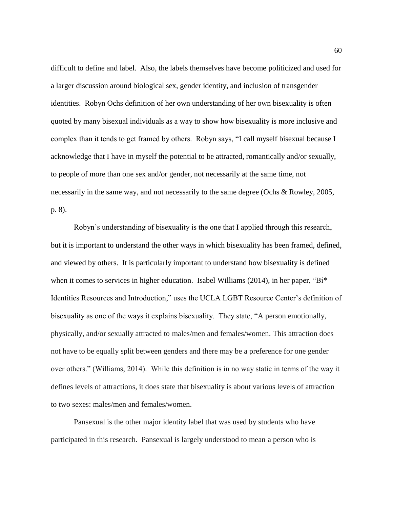difficult to define and label. Also, the labels themselves have become politicized and used for a larger discussion around biological sex, gender identity, and inclusion of transgender identities. Robyn Ochs definition of her own understanding of her own bisexuality is often quoted by many bisexual individuals as a way to show how bisexuality is more inclusive and complex than it tends to get framed by others. Robyn says, "I call myself bisexual because I acknowledge that I have in myself the potential to be attracted, romantically and/or sexually, to people of more than one sex and/or gender, not necessarily at the same time, not necessarily in the same way, and not necessarily to the same degree (Ochs & Rowley, 2005, p. 8).

Robyn's understanding of bisexuality is the one that I applied through this research, but it is important to understand the other ways in which bisexuality has been framed, defined, and viewed by others. It is particularly important to understand how bisexuality is defined when it comes to services in higher education. Isabel Williams (2014), in her paper, "Bi<sup>\*</sup> Identities Resources and Introduction," uses the UCLA LGBT Resource Center's definition of bisexuality as one of the ways it explains bisexuality. They state, "A person emotionally, physically, and/or sexually attracted to males/men and females/women. This attraction does not have to be equally split between genders and there may be a preference for one gender over others." (Williams, 2014). While this definition is in no way static in terms of the way it defines levels of attractions, it does state that bisexuality is about various levels of attraction to two sexes: males/men and females/women.

Pansexual is the other major identity label that was used by students who have participated in this research. Pansexual is largely understood to mean a person who is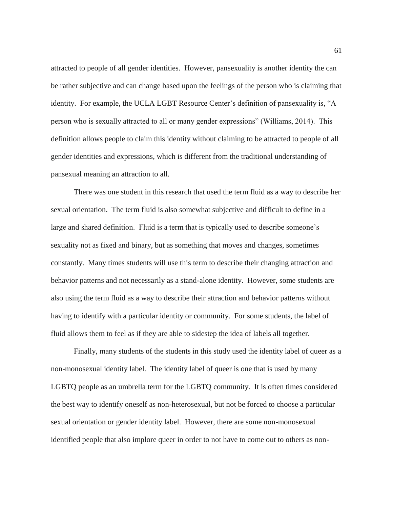attracted to people of all gender identities. However, pansexuality is another identity the can be rather subjective and can change based upon the feelings of the person who is claiming that identity. For example, the UCLA LGBT Resource Center's definition of pansexuality is, "A person who is sexually attracted to all or many gender expressions" (Williams, 2014). This definition allows people to claim this identity without claiming to be attracted to people of all gender identities and expressions, which is different from the traditional understanding of pansexual meaning an attraction to all.

There was one student in this research that used the term fluid as a way to describe her sexual orientation. The term fluid is also somewhat subjective and difficult to define in a large and shared definition. Fluid is a term that is typically used to describe someone's sexuality not as fixed and binary, but as something that moves and changes, sometimes constantly. Many times students will use this term to describe their changing attraction and behavior patterns and not necessarily as a stand-alone identity. However, some students are also using the term fluid as a way to describe their attraction and behavior patterns without having to identify with a particular identity or community. For some students, the label of fluid allows them to feel as if they are able to sidestep the idea of labels all together.

Finally, many students of the students in this study used the identity label of queer as a non-monosexual identity label. The identity label of queer is one that is used by many LGBTQ people as an umbrella term for the LGBTQ community. It is often times considered the best way to identify oneself as non-heterosexual, but not be forced to choose a particular sexual orientation or gender identity label. However, there are some non-monosexual identified people that also implore queer in order to not have to come out to others as non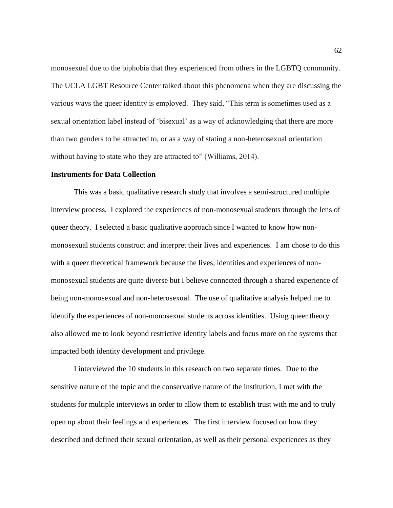monosexual due to the biphobia that they experienced from others in the LGBTQ community. The UCLA LGBT Resource Center talked about this phenomena when they are discussing the various ways the queer identity is employed. They said, "This term is sometimes used as a sexual orientation label instead of 'bisexual' as a way of acknowledging that there are more than two genders to be attracted to, or as a way of stating a non-heterosexual orientation without having to state who they are attracted to" (Williams, 2014).

#### **Instruments for Data Collection**

This was a basic qualitative research study that involves a semi-structured multiple interview process. I explored the experiences of non-monosexual students through the lens of queer theory. I selected a basic qualitative approach since I wanted to know how nonmonosexual students construct and interpret their lives and experiences. I am chose to do this with a queer theoretical framework because the lives, identities and experiences of nonmonosexual students are quite diverse but I believe connected through a shared experience of being non-monosexual and non-heterosexual. The use of qualitative analysis helped me to identify the experiences of non-monosexual students across identities. Using queer theory also allowed me to look beyond restrictive identity labels and focus more on the systems that impacted both identity development and privilege.

I interviewed the 10 students in this research on two separate times. Due to the sensitive nature of the topic and the conservative nature of the institution, I met with the students for multiple interviews in order to allow them to establish trust with me and to truly open up about their feelings and experiences. The first interview focused on how they described and defined their sexual orientation, as well as their personal experiences as they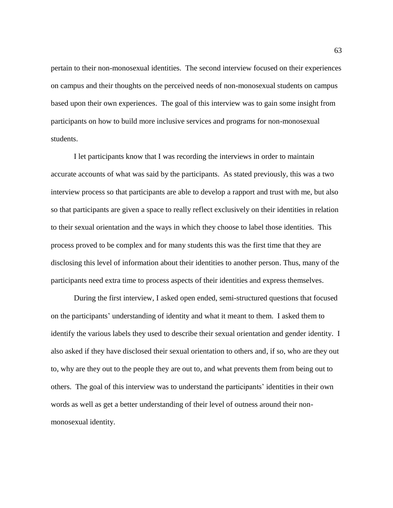pertain to their non-monosexual identities. The second interview focused on their experiences on campus and their thoughts on the perceived needs of non-monosexual students on campus based upon their own experiences. The goal of this interview was to gain some insight from participants on how to build more inclusive services and programs for non-monosexual students.

I let participants know that I was recording the interviews in order to maintain accurate accounts of what was said by the participants. As stated previously, this was a two interview process so that participants are able to develop a rapport and trust with me, but also so that participants are given a space to really reflect exclusively on their identities in relation to their sexual orientation and the ways in which they choose to label those identities. This process proved to be complex and for many students this was the first time that they are disclosing this level of information about their identities to another person. Thus, many of the participants need extra time to process aspects of their identities and express themselves.

During the first interview, I asked open ended, semi-structured questions that focused on the participants' understanding of identity and what it meant to them. I asked them to identify the various labels they used to describe their sexual orientation and gender identity. I also asked if they have disclosed their sexual orientation to others and, if so, who are they out to, why are they out to the people they are out to, and what prevents them from being out to others. The goal of this interview was to understand the participants' identities in their own words as well as get a better understanding of their level of outness around their nonmonosexual identity.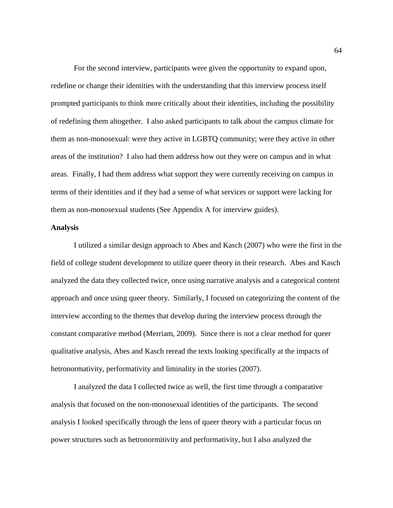For the second interview, participants were given the opportunity to expand upon, redefine or change their identities with the understanding that this interview process itself prompted participants to think more critically about their identities, including the possibility of redefining them altogether. I also asked participants to talk about the campus climate for them as non-monosexual: were they active in LGBTQ community; were they active in other areas of the institution? I also had them address how out they were on campus and in what areas. Finally, I had them address what support they were currently receiving on campus in terms of their identities and if they had a sense of what services or support were lacking for them as non-monosexual students (See Appendix A for interview guides).

## **Analysis**

I utilized a similar design approach to Abes and Kasch (2007) who were the first in the field of college student development to utilize queer theory in their research. Abes and Kasch analyzed the data they collected twice, once using narrative analysis and a categorical content approach and once using queer theory. Similarly, I focused on categorizing the content of the interview according to the themes that develop during the interview process through the constant comparative method (Merriam, 2009). Since there is not a clear method for queer qualitative analysis, Abes and Kasch reread the texts looking specifically at the impacts of hetronormativity, performativity and liminality in the stories (2007).

I analyzed the data I collected twice as well, the first time through a comparative analysis that focused on the non-monosexual identities of the participants. The second analysis I looked specifically through the lens of queer theory with a particular focus on power structures such as hetronormitivity and performativity, but I also analyzed the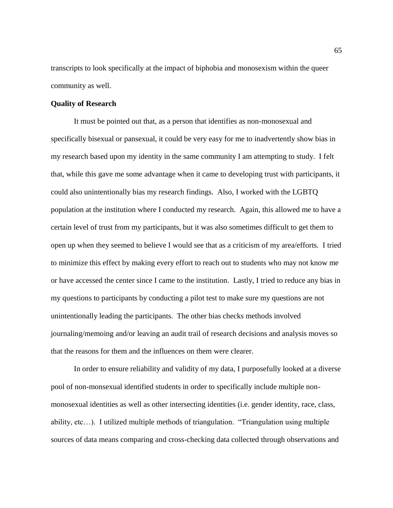transcripts to look specifically at the impact of biphobia and monosexism within the queer community as well.

# **Quality of Research**

It must be pointed out that, as a person that identifies as non-monosexual and specifically bisexual or pansexual, it could be very easy for me to inadvertently show bias in my research based upon my identity in the same community I am attempting to study. I felt that, while this gave me some advantage when it came to developing trust with participants, it could also unintentionally bias my research findings. Also, I worked with the LGBTQ population at the institution where I conducted my research. Again, this allowed me to have a certain level of trust from my participants, but it was also sometimes difficult to get them to open up when they seemed to believe I would see that as a criticism of my area/efforts. I tried to minimize this effect by making every effort to reach out to students who may not know me or have accessed the center since I came to the institution. Lastly, I tried to reduce any bias in my questions to participants by conducting a pilot test to make sure my questions are not unintentionally leading the participants. The other bias checks methods involved journaling/memoing and/or leaving an audit trail of research decisions and analysis moves so that the reasons for them and the influences on them were clearer.

In order to ensure reliability and validity of my data, I purposefully looked at a diverse pool of non-monsexual identified students in order to specifically include multiple nonmonosexual identities as well as other intersecting identities (i.e. gender identity, race, class, ability, etc…). I utilized multiple methods of triangulation. "Triangulation using multiple sources of data means comparing and cross-checking data collected through observations and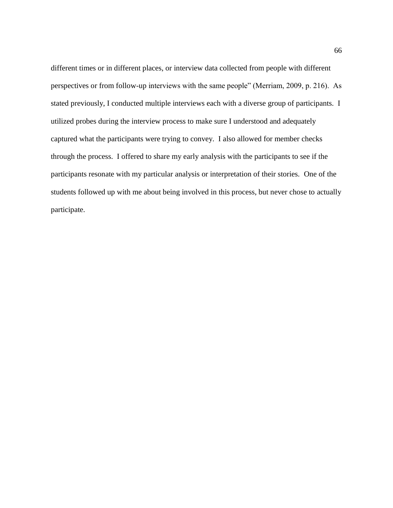different times or in different places, or interview data collected from people with different perspectives or from follow-up interviews with the same people" (Merriam, 2009, p. 216). As stated previously, I conducted multiple interviews each with a diverse group of participants. I utilized probes during the interview process to make sure I understood and adequately captured what the participants were trying to convey. I also allowed for member checks through the process. I offered to share my early analysis with the participants to see if the participants resonate with my particular analysis or interpretation of their stories. One of the students followed up with me about being involved in this process, but never chose to actually participate.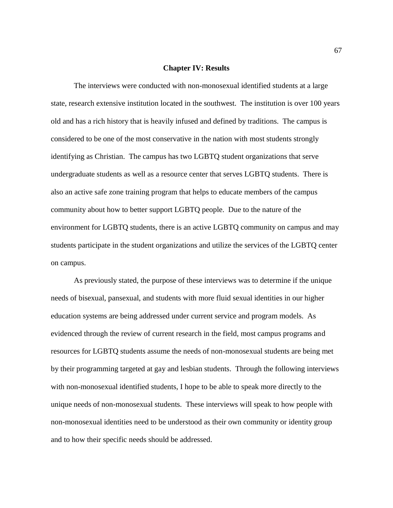#### **Chapter IV: Results**

The interviews were conducted with non-monosexual identified students at a large state, research extensive institution located in the southwest. The institution is over 100 years old and has a rich history that is heavily infused and defined by traditions. The campus is considered to be one of the most conservative in the nation with most students strongly identifying as Christian. The campus has two LGBTQ student organizations that serve undergraduate students as well as a resource center that serves LGBTQ students. There is also an active safe zone training program that helps to educate members of the campus community about how to better support LGBTQ people. Due to the nature of the environment for LGBTQ students, there is an active LGBTQ community on campus and may students participate in the student organizations and utilize the services of the LGBTQ center on campus.

As previously stated, the purpose of these interviews was to determine if the unique needs of bisexual, pansexual, and students with more fluid sexual identities in our higher education systems are being addressed under current service and program models. As evidenced through the review of current research in the field, most campus programs and resources for LGBTQ students assume the needs of non-monosexual students are being met by their programming targeted at gay and lesbian students. Through the following interviews with non-monosexual identified students, I hope to be able to speak more directly to the unique needs of non-monosexual students. These interviews will speak to how people with non-monosexual identities need to be understood as their own community or identity group and to how their specific needs should be addressed.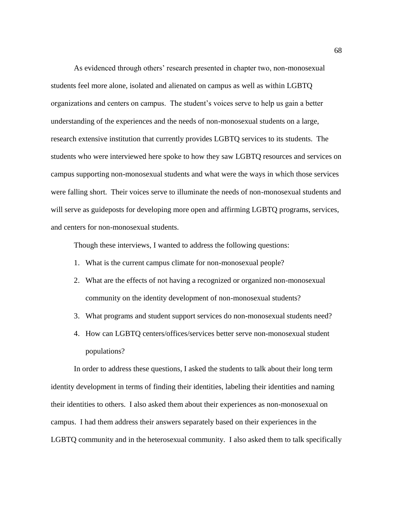As evidenced through others' research presented in chapter two, non-monosexual students feel more alone, isolated and alienated on campus as well as within LGBTQ organizations and centers on campus. The student's voices serve to help us gain a better understanding of the experiences and the needs of non-monosexual students on a large, research extensive institution that currently provides LGBTQ services to its students. The students who were interviewed here spoke to how they saw LGBTQ resources and services on campus supporting non-monosexual students and what were the ways in which those services were falling short. Their voices serve to illuminate the needs of non-monosexual students and will serve as guideposts for developing more open and affirming LGBTQ programs, services, and centers for non-monosexual students.

Though these interviews, I wanted to address the following questions:

- 1. What is the current campus climate for non-monosexual people?
- 2. What are the effects of not having a recognized or organized non-monosexual community on the identity development of non-monosexual students?
- 3. What programs and student support services do non-monosexual students need?
- 4. How can LGBTQ centers/offices/services better serve non-monosexual student populations?

In order to address these questions, I asked the students to talk about their long term identity development in terms of finding their identities, labeling their identities and naming their identities to others. I also asked them about their experiences as non-monosexual on campus. I had them address their answers separately based on their experiences in the LGBTQ community and in the heterosexual community. I also asked them to talk specifically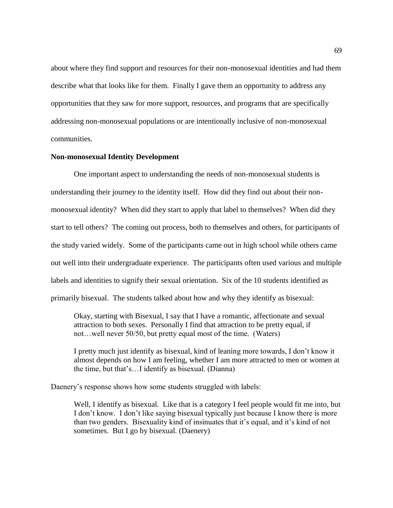about where they find support and resources for their non-monosexual identities and had them describe what that looks like for them. Finally I gave them an opportunity to address any opportunities that they saw for more support, resources, and programs that are specifically addressing non-monosexual populations or are intentionally inclusive of non-monosexual communities.

## **Non-monosexual Identity Development**

One important aspect to understanding the needs of non-monosexual students is understanding their journey to the identity itself. How did they find out about their nonmonosexual identity? When did they start to apply that label to themselves? When did they start to tell others? The coming out process, both to themselves and others, for participants of the study varied widely. Some of the participants came out in high school while others came out well into their undergraduate experience. The participants often used various and multiple labels and identities to signify their sexual orientation. Six of the 10 students identified as primarily bisexual. The students talked about how and why they identify as bisexual:

Okay, starting with Bisexual, I say that I have a romantic, affectionate and sexual attraction to both sexes. Personally I find that attraction to be pretty equal, if not…well never 50/50, but pretty equal most of the time. (Waters)

I pretty much just identify as bisexual, kind of leaning more towards, I don't know it almost depends on how I am feeling, whether I am more attracted to men or women at the time, but that's…I identify as bisexual. (Dianna)

Daenery's response shows how some students struggled with labels:

Well, I identify as bisexual. Like that is a category I feel people would fit me into, but I don't know. I don't like saying bisexual typically just because I know there is more than two genders. Bisexuality kind of insinuates that it's equal, and it's kind of not sometimes. But I go by bisexual. (Daenery)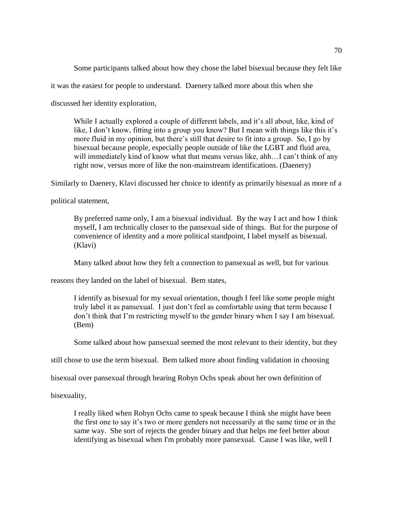Some participants talked about how they chose the label bisexual because they felt like

it was the easiest for people to understand. Daenery talked more about this when she

discussed her identity exploration,

While I actually explored a couple of different labels, and it's all about, like, kind of like, I don't know, fitting into a group you know? But I mean with things like this it's more fluid in my opinion, but there's still that desire to fit into a group. So, I go by bisexual because people, especially people outside of like the LGBT and fluid area, will immediately kind of know what that means versus like, ahh...I can't think of any right now, versus more of like the non-mainstream identifications. (Daenery)

Similarly to Daenery, Klavi discussed her choice to identify as primarily bisexual as more of a

political statement,

By preferred name only, I am a bisexual individual. By the way I act and how I think myself, I am technically closer to the pansexual side of things. But for the purpose of convenience of identity and a more political standpoint, I label myself as bisexual. (Klavi)

Many talked about how they felt a connection to pansexual as well, but for various

reasons they landed on the label of bisexual. Bem states,

I identify as bisexual for my sexual orientation, though I feel like some people might truly label it as pansexual. I just don't feel as comfortable using that term because I don't think that I'm restricting myself to the gender binary when I say I am bisexual. (Bem)

Some talked about how pansexual seemed the most relevant to their identity, but they

still chose to use the term bisexual. Bem talked more about finding validation in choosing

bisexual over pansexual through hearing Robyn Ochs speak about her own definition of

bisexuality,

I really liked when Robyn Ochs came to speak because I think she might have been the first one to say it's two or more genders not necessarily at the same time or in the same way. She sort of rejects the gender binary and that helps me feel better about identifying as bisexual when I'm probably more pansexual. Cause I was like, well I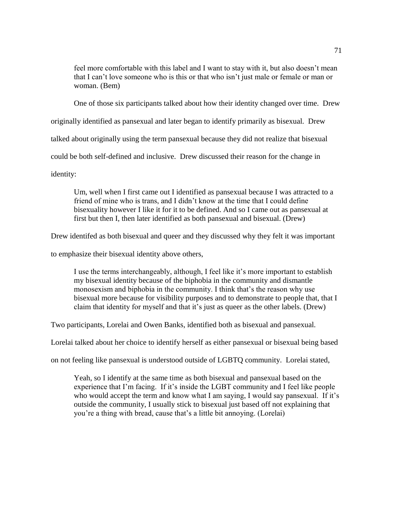feel more comfortable with this label and I want to stay with it, but also doesn't mean that I can't love someone who is this or that who isn't just male or female or man or woman. (Bem)

One of those six participants talked about how their identity changed over time. Drew

originally identified as pansexual and later began to identify primarily as bisexual. Drew

talked about originally using the term pansexual because they did not realize that bisexual

could be both self-defined and inclusive. Drew discussed their reason for the change in

identity:

Um, well when I first came out I identified as pansexual because I was attracted to a friend of mine who is trans, and I didn't know at the time that I could define bisexuality however I like it for it to be defined. And so I came out as pansexual at first but then I, then later identified as both pansexual and bisexual. (Drew)

Drew identifed as both bisexual and queer and they discussed why they felt it was important

to emphasize their bisexual identity above others,

I use the terms interchangeably, although, I feel like it's more important to establish my bisexual identity because of the biphobia in the community and dismantle monosexism and biphobia in the community. I think that's the reason why use bisexual more because for visibility purposes and to demonstrate to people that, that I claim that identity for myself and that it's just as queer as the other labels. (Drew)

Two participants, Lorelai and Owen Banks, identified both as bisexual and pansexual.

Lorelai talked about her choice to identify herself as either pansexual or bisexual being based

on not feeling like pansexual is understood outside of LGBTQ community. Lorelai stated,

Yeah, so I identify at the same time as both bisexual and pansexual based on the experience that I'm facing. If it's inside the LGBT community and I feel like people who would accept the term and know what I am saying, I would say pansexual. If it's outside the community, I usually stick to bisexual just based off not explaining that you're a thing with bread, cause that's a little bit annoying. (Lorelai)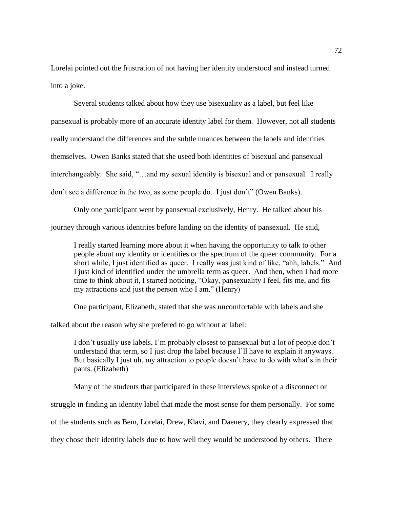Lorelai pointed out the frustration of not having her identity understood and instead turned into a joke.

Several students talked about how they use bisexuality as a label, but feel like pansexual is probably more of an accurate identity label for them. However, not all students really understand the differences and the subtle nuances between the labels and identities themselves. Owen Banks stated that she useed both identities of bisexual and pansexual interchangeably. She said, "…and my sexual identity is bisexual and or pansexual. I really don't see a difference in the two, as some people do. I just don't" (Owen Banks).

Only one participant went by pansexual exclusively, Henry. He talked about his journey through various identities before landing on the identity of pansexual. He said,

I really started learning more about it when having the opportunity to talk to other people about my identity or identities or the spectrum of the queer community. For a short while, I just identified as queer. I really was just kind of like, "ahh, labels." And I just kind of identified under the umbrella term as queer. And then, when I had more time to think about it, I started noticing, "Okay, pansexuality I feel, fits me, and fits my attractions and just the person who I am." (Henry)

One participant, Elizabeth, stated that she was uncomfortable with labels and she

talked about the reason why she prefered to go without at label:

I don't usually use labels, I'm probably closest to pansexual but a lot of people don't understand that term, so I just drop the label because I'll have to explain it anyways. But basically I just uh, my attraction to people doesn't have to do with what's in their pants. (Elizabeth)

Many of the students that participated in these interviews spoke of a disconnect or

struggle in finding an identity label that made the most sense for them personally. For some

of the students such as Bem, Lorelai, Drew, Klavi, and Daenery, they clearly expressed that

they chose their identity labels due to how well they would be understood by others. There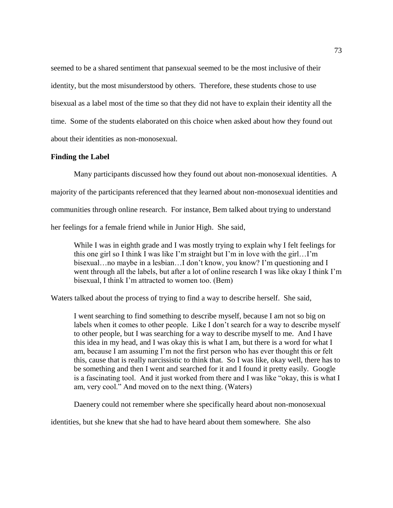seemed to be a shared sentiment that pansexual seemed to be the most inclusive of their identity, but the most misunderstood by others. Therefore, these students chose to use bisexual as a label most of the time so that they did not have to explain their identity all the time. Some of the students elaborated on this choice when asked about how they found out about their identities as non-monosexual.

## **Finding the Label**

Many participants discussed how they found out about non-monosexual identities. A majority of the participants referenced that they learned about non-monosexual identities and communities through online research. For instance, Bem talked about trying to understand her feelings for a female friend while in Junior High. She said,

While I was in eighth grade and I was mostly trying to explain why I felt feelings for this one girl so I think I was like I'm straight but I'm in love with the girl…I'm bisexual…no maybe in a lesbian…I don't know, you know? I'm questioning and I went through all the labels, but after a lot of online research I was like okay I think I'm bisexual, I think I'm attracted to women too. (Bem)

Waters talked about the process of trying to find a way to describe herself. She said,

I went searching to find something to describe myself, because I am not so big on labels when it comes to other people. Like I don't search for a way to describe myself to other people, but I was searching for a way to describe myself to me. And I have this idea in my head, and I was okay this is what I am, but there is a word for what I am, because I am assuming I'm not the first person who has ever thought this or felt this, cause that is really narcissistic to think that. So I was like, okay well, there has to be something and then I went and searched for it and I found it pretty easily. Google is a fascinating tool. And it just worked from there and I was like "okay, this is what I am, very cool." And moved on to the next thing. (Waters)

Daenery could not remember where she specifically heard about non-monosexual

identities, but she knew that she had to have heard about them somewhere. She also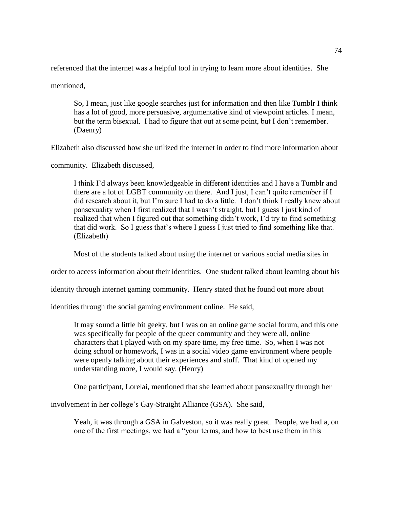referenced that the internet was a helpful tool in trying to learn more about identities. She

mentioned,

So, I mean, just like google searches just for information and then like Tumblr I think has a lot of good, more persuasive, argumentative kind of viewpoint articles. I mean, but the term bisexual. I had to figure that out at some point, but I don't remember. (Daenry)

Elizabeth also discussed how she utilized the internet in order to find more information about

community. Elizabeth discussed,

I think I'd always been knowledgeable in different identities and I have a Tumblr and there are a lot of LGBT community on there. And I just, I can't quite remember if I did research about it, but I'm sure I had to do a little. I don't think I really knew about pansexuality when I first realized that I wasn't straight, but I guess I just kind of realized that when I figured out that something didn't work, I'd try to find something that did work. So I guess that's where I guess I just tried to find something like that. (Elizabeth)

Most of the students talked about using the internet or various social media sites in

order to access information about their identities. One student talked about learning about his

identity through internet gaming community. Henry stated that he found out more about

identities through the social gaming environment online. He said,

It may sound a little bit geeky, but I was on an online game social forum, and this one was specifically for people of the queer community and they were all, online characters that I played with on my spare time, my free time. So, when I was not doing school or homework, I was in a social video game environment where people were openly talking about their experiences and stuff. That kind of opened my understanding more, I would say. (Henry)

One participant, Lorelai, mentioned that she learned about pansexuality through her

involvement in her college's Gay-Straight Alliance (GSA). She said,

Yeah, it was through a GSA in Galveston, so it was really great. People, we had a, on one of the first meetings, we had a "your terms, and how to best use them in this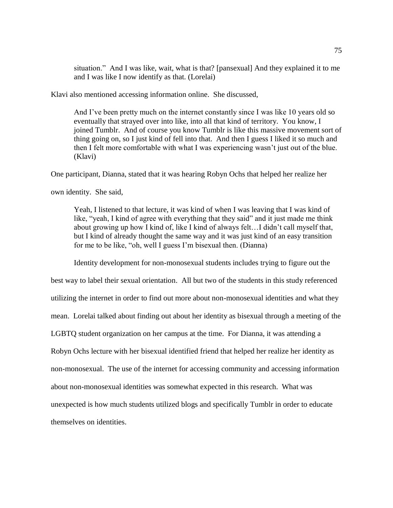situation." And I was like, wait, what is that? [pansexual] And they explained it to me and I was like I now identify as that. (Lorelai)

Klavi also mentioned accessing information online. She discussed,

And I've been pretty much on the internet constantly since I was like 10 years old so eventually that strayed over into like, into all that kind of territory. You know, I joined Tumblr. And of course you know Tumblr is like this massive movement sort of thing going on, so I just kind of fell into that. And then I guess I liked it so much and then I felt more comfortable with what I was experiencing wasn't just out of the blue. (Klavi)

One participant, Dianna, stated that it was hearing Robyn Ochs that helped her realize her

own identity. She said,

Yeah, I listened to that lecture, it was kind of when I was leaving that I was kind of like, "yeah, I kind of agree with everything that they said" and it just made me think about growing up how I kind of, like I kind of always felt…I didn't call myself that, but I kind of already thought the same way and it was just kind of an easy transition for me to be like, "oh, well I guess I'm bisexual then. (Dianna)

Identity development for non-monosexual students includes trying to figure out the

best way to label their sexual orientation. All but two of the students in this study referenced utilizing the internet in order to find out more about non-monosexual identities and what they mean. Lorelai talked about finding out about her identity as bisexual through a meeting of the LGBTQ student organization on her campus at the time. For Dianna, it was attending a Robyn Ochs lecture with her bisexual identified friend that helped her realize her identity as non-monosexual. The use of the internet for accessing community and accessing information about non-monosexual identities was somewhat expected in this research. What was unexpected is how much students utilized blogs and specifically Tumblr in order to educate themselves on identities.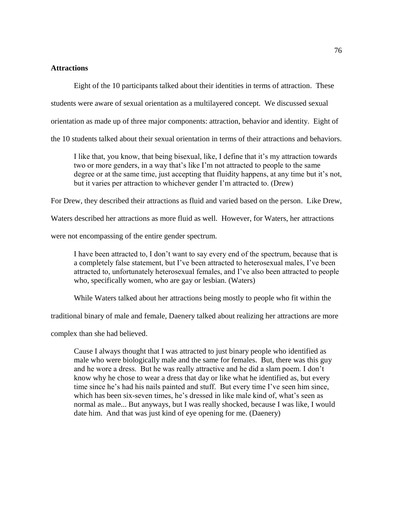## **Attractions**

Eight of the 10 participants talked about their identities in terms of attraction. These

students were aware of sexual orientation as a multilayered concept. We discussed sexual

orientation as made up of three major components: attraction, behavior and identity. Eight of

the 10 students talked about their sexual orientation in terms of their attractions and behaviors.

I like that, you know, that being bisexual, like, I define that it's my attraction towards two or more genders, in a way that's like I'm not attracted to people to the same degree or at the same time, just accepting that fluidity happens, at any time but it's not, but it varies per attraction to whichever gender I'm attracted to. (Drew)

For Drew, they described their attractions as fluid and varied based on the person. Like Drew,

Waters described her attractions as more fluid as well. However, for Waters, her attractions

were not encompassing of the entire gender spectrum.

I have been attracted to, I don't want to say every end of the spectrum, because that is a completely false statement, but I've been attracted to heterosexual males, I've been attracted to, unfortunately heterosexual females, and I've also been attracted to people who, specifically women, who are gay or lesbian. (Waters)

While Waters talked about her attractions being mostly to people who fit within the

traditional binary of male and female, Daenery talked about realizing her attractions are more

complex than she had believed.

Cause I always thought that I was attracted to just binary people who identified as male who were biologically male and the same for females. But, there was this guy and he wore a dress. But he was really attractive and he did a slam poem. I don't know why he chose to wear a dress that day or like what he identified as, but every time since he's had his nails painted and stuff. But every time I've seen him since, which has been six-seven times, he's dressed in like male kind of, what's seen as normal as male... But anyways, but I was really shocked, because I was like, I would date him. And that was just kind of eye opening for me. (Daenery)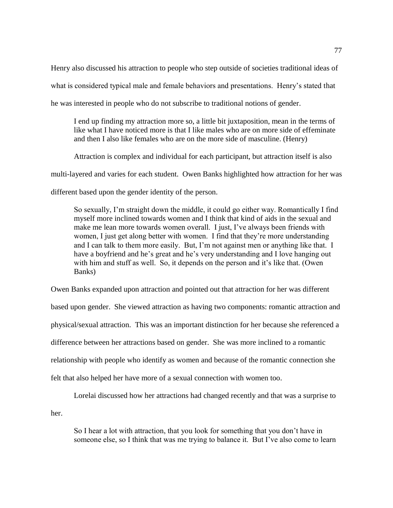Henry also discussed his attraction to people who step outside of societies traditional ideas of what is considered typical male and female behaviors and presentations. Henry's stated that he was interested in people who do not subscribe to traditional notions of gender.

I end up finding my attraction more so, a little bit juxtaposition, mean in the terms of like what I have noticed more is that I like males who are on more side of effeminate and then I also like females who are on the more side of masculine. (Henry)

Attraction is complex and individual for each participant, but attraction itself is also

multi-layered and varies for each student. Owen Banks highlighted how attraction for her was

different based upon the gender identity of the person.

So sexually, I'm straight down the middle, it could go either way. Romantically I find myself more inclined towards women and I think that kind of aids in the sexual and make me lean more towards women overall. I just, I've always been friends with women, I just get along better with women. I find that they're more understanding and I can talk to them more easily. But, I'm not against men or anything like that. I have a boyfriend and he's great and he's very understanding and I love hanging out with him and stuff as well. So, it depends on the person and it's like that. (Owen Banks)

Owen Banks expanded upon attraction and pointed out that attraction for her was different based upon gender. She viewed attraction as having two components: romantic attraction and physical/sexual attraction. This was an important distinction for her because she referenced a difference between her attractions based on gender. She was more inclined to a romantic relationship with people who identify as women and because of the romantic connection she felt that also helped her have more of a sexual connection with women too.

Lorelai discussed how her attractions had changed recently and that was a surprise to

her.

So I hear a lot with attraction, that you look for something that you don't have in someone else, so I think that was me trying to balance it. But I've also come to learn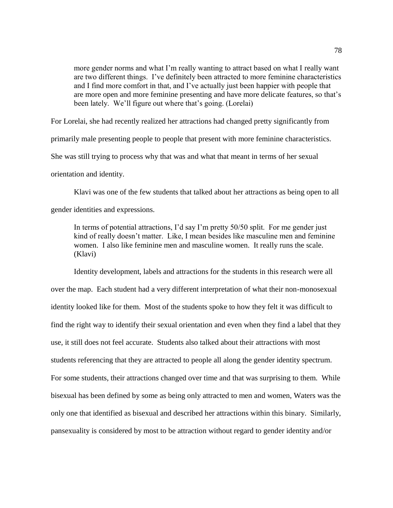more gender norms and what I'm really wanting to attract based on what I really want are two different things. I've definitely been attracted to more feminine characteristics and I find more comfort in that, and I've actually just been happier with people that are more open and more feminine presenting and have more delicate features, so that's been lately. We'll figure out where that's going. (Lorelai)

For Lorelai, she had recently realized her attractions had changed pretty significantly from

primarily male presenting people to people that present with more feminine characteristics.

She was still trying to process why that was and what that meant in terms of her sexual

orientation and identity.

Klavi was one of the few students that talked about her attractions as being open to all

gender identities and expressions.

In terms of potential attractions, I'd say I'm pretty 50/50 split. For me gender just kind of really doesn't matter. Like, I mean besides like masculine men and feminine women. I also like feminine men and masculine women. It really runs the scale. (Klavi)

Identity development, labels and attractions for the students in this research were all over the map. Each student had a very different interpretation of what their non-monosexual identity looked like for them. Most of the students spoke to how they felt it was difficult to find the right way to identify their sexual orientation and even when they find a label that they use, it still does not feel accurate. Students also talked about their attractions with most students referencing that they are attracted to people all along the gender identity spectrum. For some students, their attractions changed over time and that was surprising to them. While bisexual has been defined by some as being only attracted to men and women, Waters was the only one that identified as bisexual and described her attractions within this binary. Similarly, pansexuality is considered by most to be attraction without regard to gender identity and/or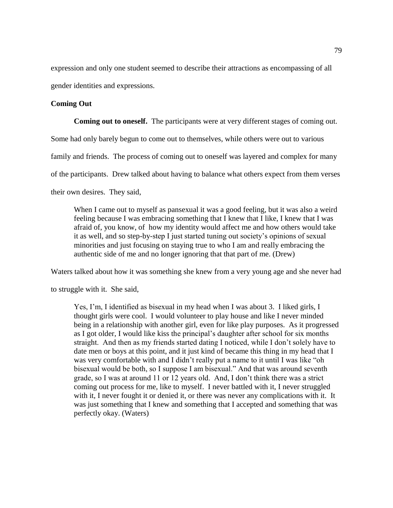expression and only one student seemed to describe their attractions as encompassing of all gender identities and expressions.

## **Coming Out**

**Coming out to oneself.** The participants were at very different stages of coming out.

Some had only barely begun to come out to themselves, while others were out to various

family and friends. The process of coming out to oneself was layered and complex for many

of the participants. Drew talked about having to balance what others expect from them verses

their own desires. They said,

When I came out to myself as pansexual it was a good feeling, but it was also a weird feeling because I was embracing something that I knew that I like, I knew that I was afraid of, you know, of how my identity would affect me and how others would take it as well, and so step-by-step I just started tuning out society's opinions of sexual minorities and just focusing on staying true to who I am and really embracing the authentic side of me and no longer ignoring that that part of me. (Drew)

Waters talked about how it was something she knew from a very young age and she never had

to struggle with it. She said,

Yes, I'm, I identified as bisexual in my head when I was about 3. I liked girls, I thought girls were cool. I would volunteer to play house and like I never minded being in a relationship with another girl, even for like play purposes. As it progressed as I got older, I would like kiss the principal's daughter after school for six months straight. And then as my friends started dating I noticed, while I don't solely have to date men or boys at this point, and it just kind of became this thing in my head that I was very comfortable with and I didn't really put a name to it until I was like "oh bisexual would be both, so I suppose I am bisexual." And that was around seventh grade, so I was at around 11 or 12 years old. And, I don't think there was a strict coming out process for me, like to myself. I never battled with it, I never struggled with it, I never fought it or denied it, or there was never any complications with it. It was just something that I knew and something that I accepted and something that was perfectly okay. (Waters)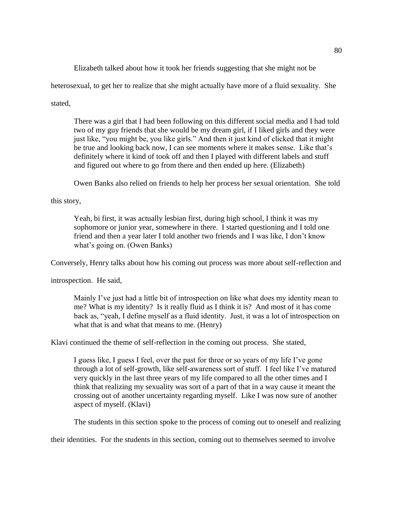Elizabeth talked about how it took her friends suggesting that she might not be

heterosexual, to get her to realize that she might actually have more of a fluid sexuality. She

stated,

There was a girl that I had been following on this different social media and I had told two of my guy friends that she would be my dream girl, if I liked girls and they were just like, "you might be, you like girls." And then it just kind of clicked that it might be true and looking back now, I can see moments where it makes sense. Like that's definitely where it kind of took off and then I played with different labels and stuff and figured out where to go from there and then ended up here. (Elizabeth)

Owen Banks also relied on friends to help her process her sexual orientation. She told

this story,

Yeah, bi first, it was actually lesbian first, during high school, I think it was my sophomore or junior year, somewhere in there. I started questioning and I told one friend and then a year later I told another two friends and I was like, I don't know what's going on. (Owen Banks)

Conversely, Henry talks about how his coming out process was more about self-reflection and

introspection. He said,

Mainly I've just had a little bit of introspection on like what does my identity mean to me? What is my identity? Is it really fluid as I think it is? And most of it has come back as, "yeah, I define myself as a fluid identity. Just, it was a lot of introspection on what that is and what that means to me. (Henry)

Klavi continued the theme of self-reflection in the coming out process. She stated,

I guess like, I guess I feel, over the past for three or so years of my life I've gone through a lot of self-growth, like self-awareness sort of stuff. I feel like I've matured very quickly in the last three years of my life compared to all the other times and I think that realizing my sexuality was sort of a part of that in a way cause it meant the crossing out of another uncertainty regarding myself. Like I was now sure of another aspect of myself. (Klavi)

The students in this section spoke to the process of coming out to oneself and realizing

their identities. For the students in this section, coming out to themselves seemed to involve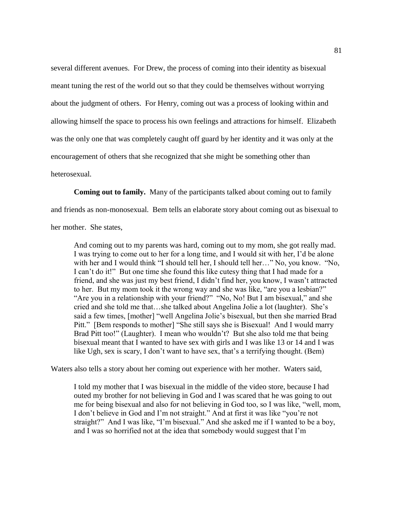several different avenues. For Drew, the process of coming into their identity as bisexual meant tuning the rest of the world out so that they could be themselves without worrying about the judgment of others. For Henry, coming out was a process of looking within and allowing himself the space to process his own feelings and attractions for himself. Elizabeth was the only one that was completely caught off guard by her identity and it was only at the encouragement of others that she recognized that she might be something other than heterosexual.

**Coming out to family.**Many of the participants talked about coming out to family

and friends as non-monosexual. Bem tells an elaborate story about coming out as bisexual to

her mother. She states,

And coming out to my parents was hard, coming out to my mom, she got really mad. I was trying to come out to her for a long time, and I would sit with her, I'd be alone with her and I would think "I should tell her, I should tell her..." No, you know. "No, I can't do it!" But one time she found this like cutesy thing that I had made for a friend, and she was just my best friend, I didn't find her, you know, I wasn't attracted to her. But my mom took it the wrong way and she was like, "are you a lesbian?" "Are you in a relationship with your friend?" "No, No! But I am bisexual," and she cried and she told me that…she talked about Angelina Jolie a lot (laughter). She's said a few times, [mother] "well Angelina Jolie's bisexual, but then she married Brad Pitt." [Bem responds to mother] "She still says she is Bisexual! And I would marry Brad Pitt too!" (Laughter). I mean who wouldn't? But she also told me that being bisexual meant that I wanted to have sex with girls and I was like 13 or 14 and I was like Ugh, sex is scary, I don't want to have sex, that's a terrifying thought. (Bem)

Waters also tells a story about her coming out experience with her mother. Waters said,

I told my mother that I was bisexual in the middle of the video store, because I had outed my brother for not believing in God and I was scared that he was going to out me for being bisexual and also for not believing in God too, so I was like, "well, mom, I don't believe in God and I'm not straight." And at first it was like "you're not straight?" And I was like, "I'm bisexual." And she asked me if I wanted to be a boy, and I was so horrified not at the idea that somebody would suggest that I'm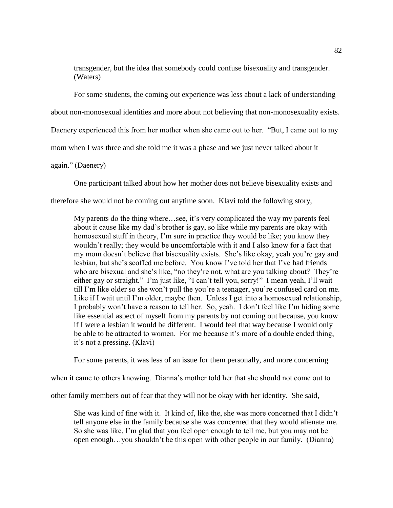transgender, but the idea that somebody could confuse bisexuality and transgender. (Waters)

For some students, the coming out experience was less about a lack of understanding

about non-monosexual identities and more about not believing that non-monosexuality exists.

Daenery experienced this from her mother when she came out to her. "But, I came out to my

mom when I was three and she told me it was a phase and we just never talked about it

again." (Daenery)

One participant talked about how her mother does not believe bisexuality exists and

therefore she would not be coming out anytime soon. Klavi told the following story,

My parents do the thing where…see, it's very complicated the way my parents feel about it cause like my dad's brother is gay, so like while my parents are okay with homosexual stuff in theory, I'm sure in practice they would be like; you know they wouldn't really; they would be uncomfortable with it and I also know for a fact that my mom doesn't believe that bisexuality exists. She's like okay, yeah you're gay and lesbian, but she's scoffed me before. You know I've told her that I've had friends who are bisexual and she's like, "no they're not, what are you talking about? They're either gay or straight." I'm just like, "I can't tell you, sorry!" I mean yeah, I'll wait till I'm like older so she won't pull the you're a teenager, you're confused card on me. Like if I wait until I'm older, maybe then. Unless I get into a homosexual relationship, I probably won't have a reason to tell her. So, yeah. I don't feel like I'm hiding some like essential aspect of myself from my parents by not coming out because, you know if I were a lesbian it would be different. I would feel that way because I would only be able to be attracted to women. For me because it's more of a double ended thing, it's not a pressing. (Klavi)

For some parents, it was less of an issue for them personally, and more concerning

when it came to others knowing. Dianna's mother told her that she should not come out to

other family members out of fear that they will not be okay with her identity. She said,

She was kind of fine with it. It kind of, like the, she was more concerned that I didn't tell anyone else in the family because she was concerned that they would alienate me. So she was like, I'm glad that you feel open enough to tell me, but you may not be open enough…you shouldn't be this open with other people in our family. (Dianna)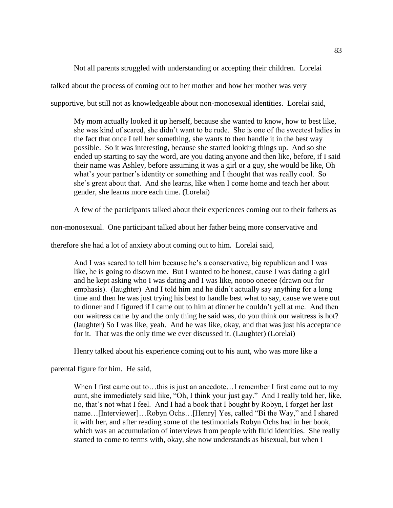Not all parents struggled with understanding or accepting their children. Lorelai talked about the process of coming out to her mother and how her mother was very supportive, but still not as knowledgeable about non-monosexual identities. Lorelai said,

My mom actually looked it up herself, because she wanted to know, how to best like, she was kind of scared, she didn't want to be rude. She is one of the sweetest ladies in the fact that once I tell her something, she wants to then handle it in the best way possible. So it was interesting, because she started looking things up. And so she ended up starting to say the word, are you dating anyone and then like, before, if I said their name was Ashley, before assuming it was a girl or a guy, she would be like, Oh what's your partner's identity or something and I thought that was really cool. So she's great about that. And she learns, like when I come home and teach her about gender, she learns more each time. (Lorelai)

A few of the participants talked about their experiences coming out to their fathers as

non-monosexual. One participant talked about her father being more conservative and

therefore she had a lot of anxiety about coming out to him. Lorelai said,

And I was scared to tell him because he's a conservative, big republican and I was like, he is going to disown me. But I wanted to be honest, cause I was dating a girl and he kept asking who I was dating and I was like, noooo oneeee (drawn out for emphasis). (laughter) And I told him and he didn't actually say anything for a long time and then he was just trying his best to handle best what to say, cause we were out to dinner and I figured if I came out to him at dinner he couldn't yell at me. And then our waitress came by and the only thing he said was, do you think our waitress is hot? (laughter) So I was like, yeah. And he was like, okay, and that was just his acceptance for it. That was the only time we ever discussed it. (Laughter) (Lorelai)

Henry talked about his experience coming out to his aunt, who was more like a

parental figure for him. He said,

When I first came out to... this is just an anecdote...I remember I first came out to my aunt, she immediately said like, "Oh, I think your just gay." And I really told her, like, no, that's not what I feel. And I had a book that I bought by Robyn, I forget her last name…[Interviewer]…Robyn Ochs…[Henry] Yes, called "Bi the Way," and I shared it with her, and after reading some of the testimonials Robyn Ochs had in her book, which was an accumulation of interviews from people with fluid identities. She really started to come to terms with, okay, she now understands as bisexual, but when I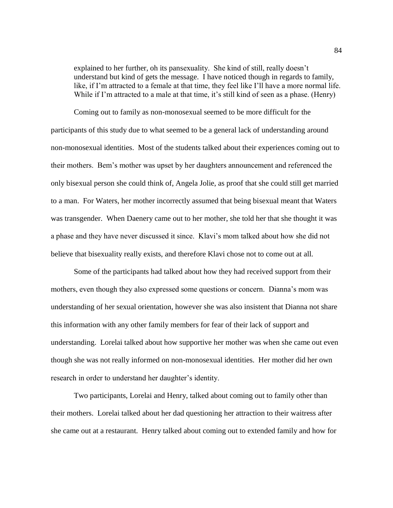explained to her further, oh its pansexuality. She kind of still, really doesn't understand but kind of gets the message. I have noticed though in regards to family, like, if I'm attracted to a female at that time, they feel like I'll have a more normal life. While if I'm attracted to a male at that time, it's still kind of seen as a phase. (Henry)

Coming out to family as non-monosexual seemed to be more difficult for the participants of this study due to what seemed to be a general lack of understanding around non-monosexual identities. Most of the students talked about their experiences coming out to their mothers. Bem's mother was upset by her daughters announcement and referenced the only bisexual person she could think of, Angela Jolie, as proof that she could still get married to a man. For Waters, her mother incorrectly assumed that being bisexual meant that Waters was transgender. When Daenery came out to her mother, she told her that she thought it was a phase and they have never discussed it since. Klavi's mom talked about how she did not believe that bisexuality really exists, and therefore Klavi chose not to come out at all.

Some of the participants had talked about how they had received support from their mothers, even though they also expressed some questions or concern. Dianna's mom was understanding of her sexual orientation, however she was also insistent that Dianna not share this information with any other family members for fear of their lack of support and understanding. Lorelai talked about how supportive her mother was when she came out even though she was not really informed on non-monosexual identities. Her mother did her own research in order to understand her daughter's identity.

Two participants, Lorelai and Henry, talked about coming out to family other than their mothers. Lorelai talked about her dad questioning her attraction to their waitress after she came out at a restaurant. Henry talked about coming out to extended family and how for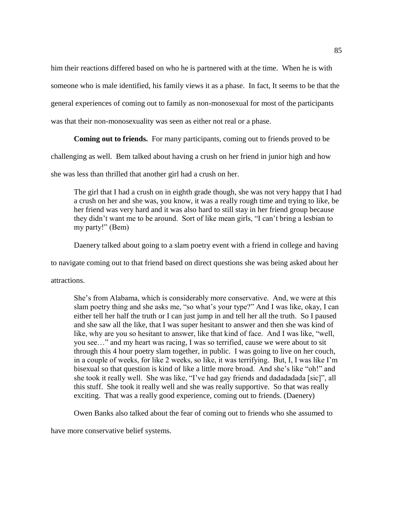him their reactions differed based on who he is partnered with at the time. When he is with

someone who is male identified, his family views it as a phase. In fact, It seems to be that the

general experiences of coming out to family as non-monosexual for most of the participants

was that their non-monosexuality was seen as either not real or a phase.

**Coming out to friends.** For many participants, coming out to friends proved to be

challenging as well. Bem talked about having a crush on her friend in junior high and how

she was less than thrilled that another girl had a crush on her.

The girl that I had a crush on in eighth grade though, she was not very happy that I had a crush on her and she was, you know, it was a really rough time and trying to like, be her friend was very hard and it was also hard to still stay in her friend group because they didn't want me to be around. Sort of like mean girls, "I can't bring a lesbian to my party!" (Bem)

Daenery talked about going to a slam poetry event with a friend in college and having

to navigate coming out to that friend based on direct questions she was being asked about her

attractions.

She's from Alabama, which is considerably more conservative. And, we were at this slam poetry thing and she asks me, "so what's your type?" And I was like, okay, I can either tell her half the truth or I can just jump in and tell her all the truth. So I paused and she saw all the like, that I was super hesitant to answer and then she was kind of like, why are you so hesitant to answer, like that kind of face. And I was like, "well, you see…" and my heart was racing, I was so terrified, cause we were about to sit through this 4 hour poetry slam together, in public. I was going to live on her couch, in a couple of weeks, for like 2 weeks, so like, it was terrifying. But, I, I was like I'm bisexual so that question is kind of like a little more broad. And she's like "oh!" and she took it really well. She was like, "I've had gay friends and dadadadada [sic]", all this stuff. She took it really well and she was really supportive. So that was really exciting. That was a really good experience, coming out to friends. (Daenery)

Owen Banks also talked about the fear of coming out to friends who she assumed to

have more conservative belief systems.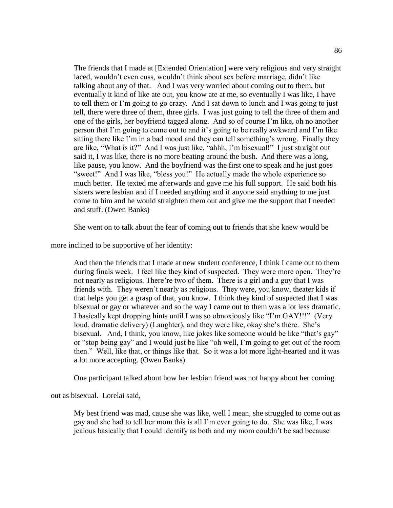The friends that I made at [Extended Orientation] were very religious and very straight laced, wouldn't even cuss, wouldn't think about sex before marriage, didn't like talking about any of that. And I was very worried about coming out to them, but eventually it kind of like ate out, you know ate at me, so eventually I was like, I have to tell them or I'm going to go crazy. And I sat down to lunch and I was going to just tell, there were three of them, three girls. I was just going to tell the three of them and one of the girls, her boyfriend tagged along. And so of course I'm like, oh no another person that I'm going to come out to and it's going to be really awkward and I'm like sitting there like I'm in a bad mood and they can tell something's wrong. Finally they are like, "What is it?" And I was just like, "ahhh, I'm bisexual!" I just straight out said it, I was like, there is no more beating around the bush. And there was a long, like pause, you know. And the boyfriend was the first one to speak and he just goes "sweet!" And I was like, "bless you!" He actually made the whole experience so much better. He texted me afterwards and gave me his full support. He said both his sisters were lesbian and if I needed anything and if anyone said anything to me just come to him and he would straighten them out and give me the support that I needed and stuff. (Owen Banks)

She went on to talk about the fear of coming out to friends that she knew would be

more inclined to be supportive of her identity:

And then the friends that I made at new student conference, I think I came out to them during finals week. I feel like they kind of suspected. They were more open. They're not nearly as religious. There're two of them. There is a girl and a guy that I was friends with. They weren't nearly as religious. They were, you know, theater kids if that helps you get a grasp of that, you know. I think they kind of suspected that I was bisexual or gay or whatever and so the way I came out to them was a lot less dramatic. I basically kept dropping hints until I was so obnoxiously like "I'm GAY!!!" (Very loud, dramatic delivery) (Laughter), and they were like, okay she's there. She's bisexual. And, I think, you know, like jokes like someone would be like "that's gay" or "stop being gay" and I would just be like "oh well, I'm going to get out of the room then." Well, like that, or things like that. So it was a lot more light-hearted and it was a lot more accepting. (Owen Banks)

One participant talked about how her lesbian friend was not happy about her coming

out as bisexual. Lorelai said,

My best friend was mad, cause she was like, well I mean, she struggled to come out as gay and she had to tell her mom this is all I'm ever going to do. She was like, I was jealous basically that I could identify as both and my mom couldn't be sad because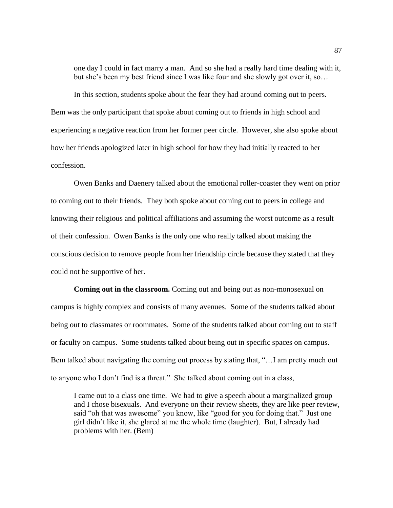one day I could in fact marry a man. And so she had a really hard time dealing with it, but she's been my best friend since I was like four and she slowly got over it, so…

In this section, students spoke about the fear they had around coming out to peers. Bem was the only participant that spoke about coming out to friends in high school and experiencing a negative reaction from her former peer circle. However, she also spoke about how her friends apologized later in high school for how they had initially reacted to her confession.

Owen Banks and Daenery talked about the emotional roller-coaster they went on prior to coming out to their friends. They both spoke about coming out to peers in college and knowing their religious and political affiliations and assuming the worst outcome as a result of their confession. Owen Banks is the only one who really talked about making the conscious decision to remove people from her friendship circle because they stated that they could not be supportive of her.

**Coming out in the classroom.** Coming out and being out as non-monosexual on campus is highly complex and consists of many avenues. Some of the students talked about being out to classmates or roommates. Some of the students talked about coming out to staff or faculty on campus. Some students talked about being out in specific spaces on campus. Bem talked about navigating the coming out process by stating that, "…I am pretty much out to anyone who I don't find is a threat." She talked about coming out in a class,

I came out to a class one time. We had to give a speech about a marginalized group and I chose bisexuals. And everyone on their review sheets, they are like peer review, said "oh that was awesome" you know, like "good for you for doing that." Just one girl didn't like it, she glared at me the whole time (laughter). But, I already had problems with her. (Bem)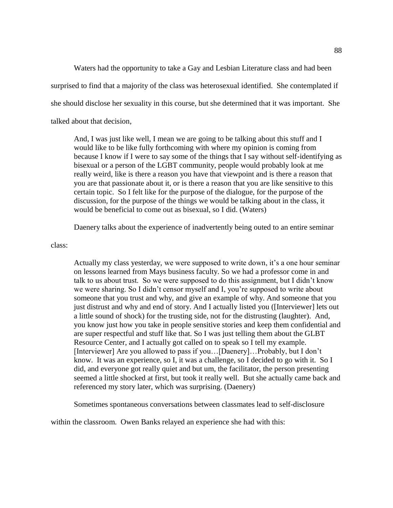Waters had the opportunity to take a Gay and Lesbian Literature class and had been surprised to find that a majority of the class was heterosexual identified. She contemplated if she should disclose her sexuality in this course, but she determined that it was important. She talked about that decision,

And, I was just like well, I mean we are going to be talking about this stuff and I would like to be like fully forthcoming with where my opinion is coming from because I know if I were to say some of the things that I say without self-identifying as bisexual or a person of the LGBT community, people would probably look at me really weird, like is there a reason you have that viewpoint and is there a reason that you are that passionate about it, or is there a reason that you are like sensitive to this certain topic. So I felt like for the purpose of the dialogue, for the purpose of the discussion, for the purpose of the things we would be talking about in the class, it would be beneficial to come out as bisexual, so I did. (Waters)

Daenery talks about the experience of inadvertently being outed to an entire seminar

class:

Actually my class yesterday, we were supposed to write down, it's a one hour seminar on lessons learned from Mays business faculty. So we had a professor come in and talk to us about trust. So we were supposed to do this assignment, but I didn't know we were sharing. So I didn't censor myself and I, you're supposed to write about someone that you trust and why, and give an example of why. And someone that you just distrust and why and end of story. And I actually listed you ([Interviewer] lets out a little sound of shock) for the trusting side, not for the distrusting (laughter). And, you know just how you take in people sensitive stories and keep them confidential and are super respectful and stuff like that. So I was just telling them about the GLBT Resource Center, and I actually got called on to speak so I tell my example. [Interviewer] Are you allowed to pass if you…[Daenery]…Probably, but I don't know. It was an experience, so I, it was a challenge, so I decided to go with it. So I did, and everyone got really quiet and but um, the facilitator, the person presenting seemed a little shocked at first, but took it really well. But she actually came back and referenced my story later, which was surprising. (Daenery)

Sometimes spontaneous conversations between classmates lead to self-disclosure

within the classroom. Owen Banks relayed an experience she had with this: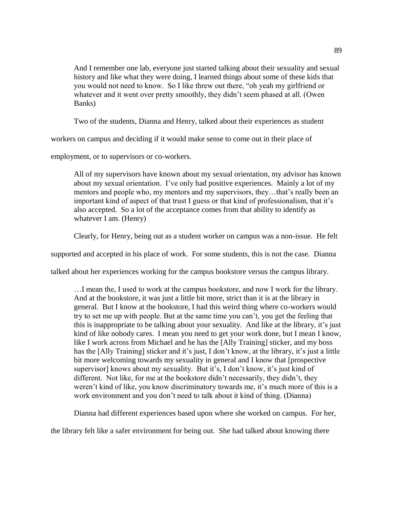And I remember one lab, everyone just started talking about their sexuality and sexual history and like what they were doing, I learned things about some of these kids that you would not need to know. So I like threw out there, "oh yeah my girlfriend or whatever and it went over pretty smoothly, they didn't seem phased at all. (Owen Banks)

Two of the students, Dianna and Henry, talked about their experiences as student

workers on campus and deciding if it would make sense to come out in their place of

employment, or to supervisors or co-workers.

All of my supervisors have known about my sexual orientation, my advisor has known about my sexual orientation. I've only had positive experiences. Mainly a lot of my mentors and people who, my mentors and my supervisors, they…that's really been an important kind of aspect of that trust I guess or that kind of professionalism, that it's also accepted. So a lot of the acceptance comes from that ability to identify as whatever I am. (Henry)

Clearly, for Henry, being out as a student worker on campus was a non-issue. He felt

supported and accepted in his place of work. For some students, this is not the case. Dianna

talked about her experiences working for the campus bookstore versus the campus library.

…I mean the, I used to work at the campus bookstore, and now I work for the library. And at the bookstore, it was just a little bit more, strict than it is at the library in general. But I know at the bookstore, I had this weird thing where co-workers would try to set me up with people. But at the same time you can't, you get the feeling that this is inappropriate to be talking about your sexuality. And like at the library, it's just kind of like nobody cares. I mean you need to get your work done, but I mean I know, like I work across from Michael and he has the [Ally Training] sticker, and my boss has the [Ally Training] sticker and it's just, I don't know, at the library, it's just a little bit more welcoming towards my sexuality in general and I know that [prospective supervisor] knows about my sexuality. But it's, I don't know, it's just kind of different. Not like, for me at the bookstore didn't necessarily, they didn't, they weren't kind of like, you know discriminatory towards me, it's much more of this is a work environment and you don't need to talk about it kind of thing. (Dianna)

Dianna had different experiences based upon where she worked on campus. For her,

the library felt like a safer environment for being out. She had talked about knowing there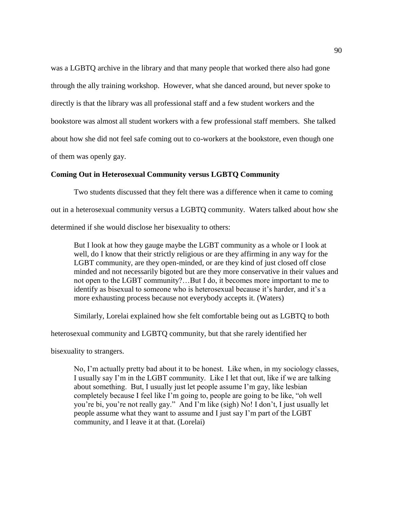was a LGBTQ archive in the library and that many people that worked there also had gone through the ally training workshop. However, what she danced around, but never spoke to directly is that the library was all professional staff and a few student workers and the bookstore was almost all student workers with a few professional staff members. She talked about how she did not feel safe coming out to co-workers at the bookstore, even though one of them was openly gay.

## **Coming Out in Heterosexual Community versus LGBTQ Community**

Two students discussed that they felt there was a difference when it came to coming out in a heterosexual community versus a LGBTQ community. Waters talked about how she determined if she would disclose her bisexuality to others:

But I look at how they gauge maybe the LGBT community as a whole or I look at well, do I know that their strictly religious or are they affirming in any way for the LGBT community, are they open-minded, or are they kind of just closed off close minded and not necessarily bigoted but are they more conservative in their values and not open to the LGBT community?…But I do, it becomes more important to me to identify as bisexual to someone who is heterosexual because it's harder, and it's a more exhausting process because not everybody accepts it. (Waters)

Similarly, Lorelai explained how she felt comfortable being out as LGBTQ to both

heterosexual community and LGBTQ community, but that she rarely identified her

bisexuality to strangers.

No, I'm actually pretty bad about it to be honest. Like when, in my sociology classes, I usually say I'm in the LGBT community. Like I let that out, like if we are talking about something. But, I usually just let people assume I'm gay, like lesbian completely because I feel like I'm going to, people are going to be like, "oh well you're bi, you're not really gay." And I'm like (sigh) No! I don't, I just usually let people assume what they want to assume and I just say I'm part of the LGBT community, and I leave it at that. (Lorelai)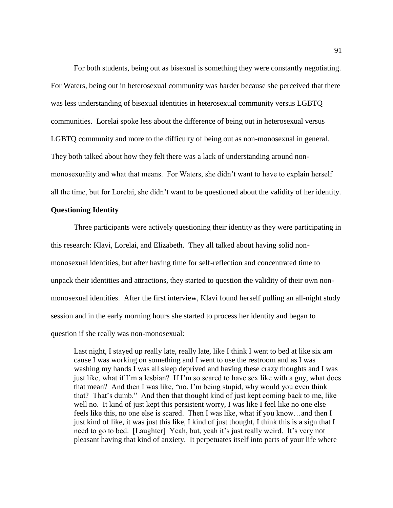For both students, being out as bisexual is something they were constantly negotiating. For Waters, being out in heterosexual community was harder because she perceived that there was less understanding of bisexual identities in heterosexual community versus LGBTQ communities. Lorelai spoke less about the difference of being out in heterosexual versus LGBTQ community and more to the difficulty of being out as non-monosexual in general. They both talked about how they felt there was a lack of understanding around nonmonosexuality and what that means. For Waters, she didn't want to have to explain herself all the time, but for Lorelai, she didn't want to be questioned about the validity of her identity.

## **Questioning Identity**

Three participants were actively questioning their identity as they were participating in this research: Klavi, Lorelai, and Elizabeth. They all talked about having solid nonmonosexual identities, but after having time for self-reflection and concentrated time to unpack their identities and attractions, they started to question the validity of their own nonmonosexual identities. After the first interview, Klavi found herself pulling an all-night study session and in the early morning hours she started to process her identity and began to question if she really was non-monosexual:

Last night, I stayed up really late, really late, like I think I went to bed at like six am cause I was working on something and I went to use the restroom and as I was washing my hands I was all sleep deprived and having these crazy thoughts and I was just like, what if I'm a lesbian? If I'm so scared to have sex like with a guy, what does that mean? And then I was like, "no, I'm being stupid, why would you even think that? That's dumb." And then that thought kind of just kept coming back to me, like well no. It kind of just kept this persistent worry, I was like I feel like no one else feels like this, no one else is scared. Then I was like, what if you know…and then I just kind of like, it was just this like, I kind of just thought, I think this is a sign that I need to go to bed. [Laughter] Yeah, but, yeah it's just really weird. It's very not pleasant having that kind of anxiety. It perpetuates itself into parts of your life where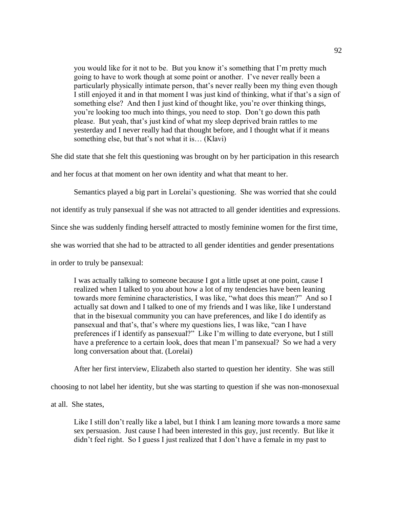you would like for it not to be. But you know it's something that I'm pretty much going to have to work though at some point or another. I've never really been a particularly physically intimate person, that's never really been my thing even though I still enjoyed it and in that moment I was just kind of thinking, what if that's a sign of something else? And then I just kind of thought like, you're over thinking things, you're looking too much into things, you need to stop. Don't go down this path please. But yeah, that's just kind of what my sleep deprived brain rattles to me yesterday and I never really had that thought before, and I thought what if it means something else, but that's not what it is… (Klavi)

She did state that she felt this questioning was brought on by her participation in this research

and her focus at that moment on her own identity and what that meant to her.

Semantics played a big part in Lorelai's questioning. She was worried that she could

not identify as truly pansexual if she was not attracted to all gender identities and expressions.

Since she was suddenly finding herself attracted to mostly feminine women for the first time,

she was worried that she had to be attracted to all gender identities and gender presentations

in order to truly be pansexual:

I was actually talking to someone because I got a little upset at one point, cause I realized when I talked to you about how a lot of my tendencies have been leaning towards more feminine characteristics, I was like, "what does this mean?" And so I actually sat down and I talked to one of my friends and I was like, like I understand that in the bisexual community you can have preferences, and like I do identify as pansexual and that's, that's where my questions lies, I was like, "can I have preferences if I identify as pansexual?" Like I'm willing to date everyone, but I still have a preference to a certain look, does that mean I'm pansexual? So we had a very long conversation about that. (Lorelai)

After her first interview, Elizabeth also started to question her identity. She was still

choosing to not label her identity, but she was starting to question if she was non-monosexual

at all. She states,

Like I still don't really like a label, but I think I am leaning more towards a more same sex persuasion. Just cause I had been interested in this guy, just recently. But like it didn't feel right. So I guess I just realized that I don't have a female in my past to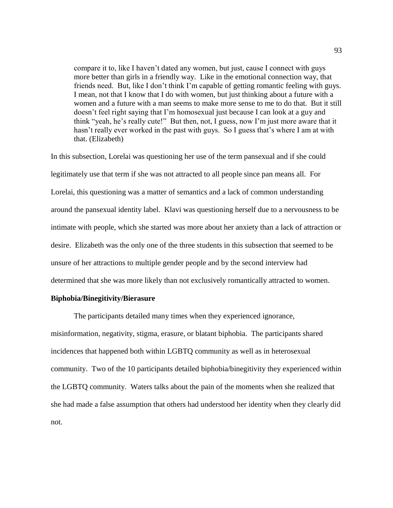compare it to, like I haven't dated any women, but just, cause I connect with guys more better than girls in a friendly way. Like in the emotional connection way, that friends need. But, like I don't think I'm capable of getting romantic feeling with guys. I mean, not that I know that I do with women, but just thinking about a future with a women and a future with a man seems to make more sense to me to do that. But it still doesn't feel right saying that I'm homosexual just because I can look at a guy and think "yeah, he's really cute!" But then, not, I guess, now I'm just more aware that it hasn't really ever worked in the past with guys. So I guess that's where I am at with that. (Elizabeth)

In this subsection, Lorelai was questioning her use of the term pansexual and if she could legitimately use that term if she was not attracted to all people since pan means all. For Lorelai, this questioning was a matter of semantics and a lack of common understanding around the pansexual identity label. Klavi was questioning herself due to a nervousness to be intimate with people, which she started was more about her anxiety than a lack of attraction or desire. Elizabeth was the only one of the three students in this subsection that seemed to be unsure of her attractions to multiple gender people and by the second interview had determined that she was more likely than not exclusively romantically attracted to women.

#### **Biphobia/Binegitivity/Bierasure**

The participants detailed many times when they experienced ignorance, misinformation, negativity, stigma, erasure, or blatant biphobia. The participants shared incidences that happened both within LGBTQ community as well as in heterosexual community. Two of the 10 participants detailed biphobia/binegitivity they experienced within the LGBTQ community. Waters talks about the pain of the moments when she realized that she had made a false assumption that others had understood her identity when they clearly did not.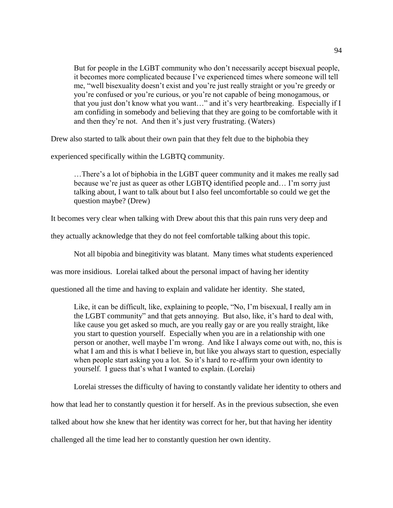But for people in the LGBT community who don't necessarily accept bisexual people, it becomes more complicated because I've experienced times where someone will tell me, "well bisexuality doesn't exist and you're just really straight or you're greedy or you're confused or you're curious, or you're not capable of being monogamous, or that you just don't know what you want…" and it's very heartbreaking. Especially if I am confiding in somebody and believing that they are going to be comfortable with it and then they're not. And then it's just very frustrating. (Waters)

Drew also started to talk about their own pain that they felt due to the biphobia they

experienced specifically within the LGBTQ community.

…There's a lot of biphobia in the LGBT queer community and it makes me really sad because we're just as queer as other LGBTQ identified people and… I'm sorry just talking about, I want to talk about but I also feel uncomfortable so could we get the question maybe? (Drew)

It becomes very clear when talking with Drew about this that this pain runs very deep and

they actually acknowledge that they do not feel comfortable talking about this topic.

Not all bipobia and binegitivity was blatant. Many times what students experienced

was more insidious. Lorelai talked about the personal impact of having her identity

questioned all the time and having to explain and validate her identity. She stated,

Like, it can be difficult, like, explaining to people, "No, I'm bisexual, I really am in the LGBT community" and that gets annoying. But also, like, it's hard to deal with, like cause you get asked so much, are you really gay or are you really straight, like you start to question yourself. Especially when you are in a relationship with one person or another, well maybe I'm wrong. And like I always come out with, no, this is what I am and this is what I believe in, but like you always start to question, especially when people start asking you a lot. So it's hard to re-affirm your own identity to yourself. I guess that's what I wanted to explain. (Lorelai)

Lorelai stresses the difficulty of having to constantly validate her identity to others and

how that lead her to constantly question it for herself. As in the previous subsection, she even

talked about how she knew that her identity was correct for her, but that having her identity

challenged all the time lead her to constantly question her own identity.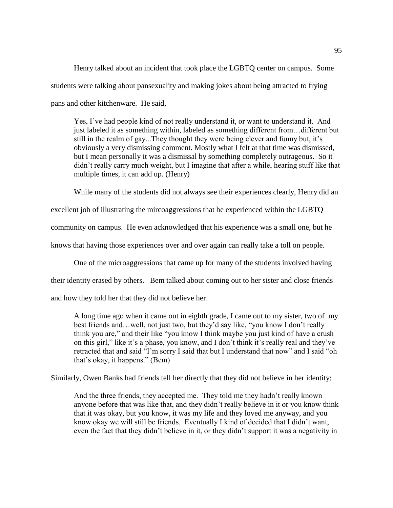Henry talked about an incident that took place the LGBTQ center on campus. Some students were talking about pansexuality and making jokes about being attracted to frying pans and other kitchenware. He said,

Yes, I've had people kind of not really understand it, or want to understand it. And just labeled it as something within, labeled as something different from…different but still in the realm of gay...They thought they were being clever and funny but, it's obviously a very dismissing comment. Mostly what I felt at that time was dismissed, but I mean personally it was a dismissal by something completely outrageous. So it didn't really carry much weight, but I imagine that after a while, hearing stuff like that multiple times, it can add up. (Henry)

While many of the students did not always see their experiences clearly, Henry did an

excellent job of illustrating the mircoaggressions that he experienced within the LGBTQ

community on campus. He even acknowledged that his experience was a small one, but he

knows that having those experiences over and over again can really take a toll on people.

One of the microaggressions that came up for many of the students involved having

their identity erased by others. Bem talked about coming out to her sister and close friends

and how they told her that they did not believe her.

A long time ago when it came out in eighth grade, I came out to my sister, two of my best friends and…well, not just two, but they'd say like, "you know I don't really think you are," and their like "you know I think maybe you just kind of have a crush on this girl," like it's a phase, you know, and I don't think it's really real and they've retracted that and said "I'm sorry I said that but I understand that now" and I said "oh that's okay, it happens." (Bem)

Similarly, Owen Banks had friends tell her directly that they did not believe in her identity:

And the three friends, they accepted me. They told me they hadn't really known anyone before that was like that, and they didn't really believe in it or you know think that it was okay, but you know, it was my life and they loved me anyway, and you know okay we will still be friends. Eventually I kind of decided that I didn't want, even the fact that they didn't believe in it, or they didn't support it was a negativity in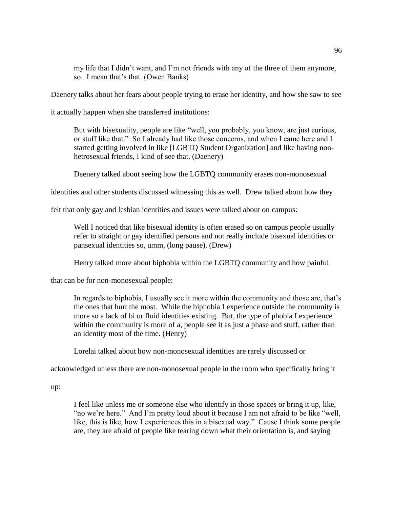my life that I didn't want, and I'm not friends with any of the three of them anymore, so. I mean that's that. (Owen Banks)

Daenery talks about her fears about people trying to erase her identity, and how she saw to see

it actually happen when she transferred institutions:

But with bisexuality, people are like "well, you probably, you know, are just curious, or stuff like that." So I already had like those concerns, and when I came here and I started getting involved in like [LGBTQ Student Organization] and like having nonhetrosexual friends, I kind of see that. (Daenery)

Daenery talked about seeing how the LGBTQ community erases non-monosexual

identities and other students discussed witnessing this as well. Drew talked about how they

felt that only gay and lesbian identities and issues were talked about on campus:

Well I noticed that like bisexual identity is often erased so on campus people usually refer to straight or gay identified persons and not really include bisexual identities or pansexual identities so, umm, (long pause). (Drew)

Henry talked more about biphobia within the LGBTQ community and how painful

that can be for non-monosexual people:

In regards to biphobia, I usually see it more within the community and those are, that's the ones that hurt the most. While the biphobia I experience outside the community is more so a lack of bi or fluid identities existing. But, the type of phobia I experience within the community is more of a, people see it as just a phase and stuff, rather than an identity most of the time. (Henry)

Lorelai talked about how non-monosexual identities are rarely discussed or

acknowledged unless there are non-monosexual people in the room who specifically bring it

up:

I feel like unless me or someone else who identify in those spaces or bring it up, like, "no we're here." And I'm pretty loud about it because I am not afraid to be like "well, like, this is like, how I experiences this in a bisexual way." Cause I think some people are, they are afraid of people like tearing down what their orientation is, and saying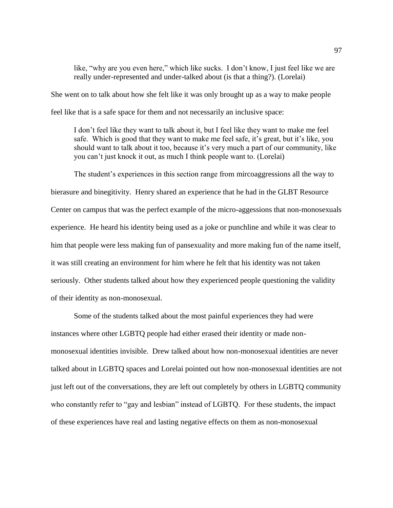like, "why are you even here," which like sucks. I don't know, I just feel like we are really under-represented and under-talked about (is that a thing?). (Lorelai)

She went on to talk about how she felt like it was only brought up as a way to make people feel like that is a safe space for them and not necessarily an inclusive space:

I don't feel like they want to talk about it, but I feel like they want to make me feel safe. Which is good that they want to make me feel safe, it's great, but it's like, you should want to talk about it too, because it's very much a part of our community, like you can't just knock it out, as much I think people want to. (Lorelai)

The student's experiences in this section range from mircoaggressions all the way to bierasure and binegitivity. Henry shared an experience that he had in the GLBT Resource Center on campus that was the perfect example of the micro-aggessions that non-monosexuals experience. He heard his identity being used as a joke or punchline and while it was clear to him that people were less making fun of pansexuality and more making fun of the name itself, it was still creating an environment for him where he felt that his identity was not taken seriously. Other students talked about how they experienced people questioning the validity of their identity as non-monosexual.

Some of the students talked about the most painful experiences they had were instances where other LGBTQ people had either erased their identity or made nonmonosexual identities invisible. Drew talked about how non-monosexual identities are never talked about in LGBTQ spaces and Lorelai pointed out how non-monosexual identities are not just left out of the conversations, they are left out completely by others in LGBTQ community who constantly refer to "gay and lesbian" instead of LGBTQ. For these students, the impact of these experiences have real and lasting negative effects on them as non-monosexual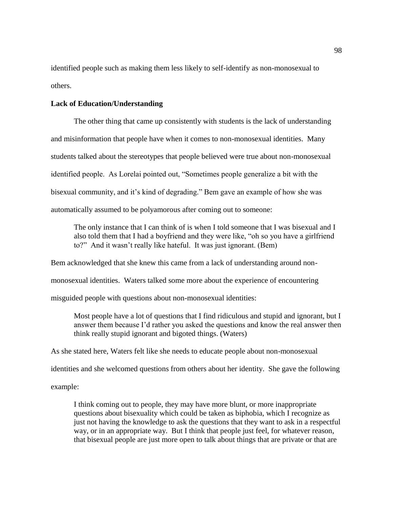identified people such as making them less likely to self-identify as non-monosexual to others.

## **Lack of Education/Understanding**

The other thing that came up consistently with students is the lack of understanding and misinformation that people have when it comes to non-monosexual identities. Many students talked about the stereotypes that people believed were true about non-monosexual identified people. As Lorelai pointed out, "Sometimes people generalize a bit with the bisexual community, and it's kind of degrading." Bem gave an example of how she was automatically assumed to be polyamorous after coming out to someone:

The only instance that I can think of is when I told someone that I was bisexual and I also told them that I had a boyfriend and they were like, "oh so you have a girlfriend to?" And it wasn't really like hateful. It was just ignorant. (Bem)

Bem acknowledged that she knew this came from a lack of understanding around non-

monosexual identities. Waters talked some more about the experience of encountering

misguided people with questions about non-monosexual identities:

Most people have a lot of questions that I find ridiculous and stupid and ignorant, but I answer them because I'd rather you asked the questions and know the real answer then think really stupid ignorant and bigoted things. (Waters)

As she stated here, Waters felt like she needs to educate people about non-monosexual

identities and she welcomed questions from others about her identity. She gave the following

example:

I think coming out to people, they may have more blunt, or more inappropriate questions about bisexuality which could be taken as biphobia, which I recognize as just not having the knowledge to ask the questions that they want to ask in a respectful way, or in an appropriate way. But I think that people just feel, for whatever reason, that bisexual people are just more open to talk about things that are private or that are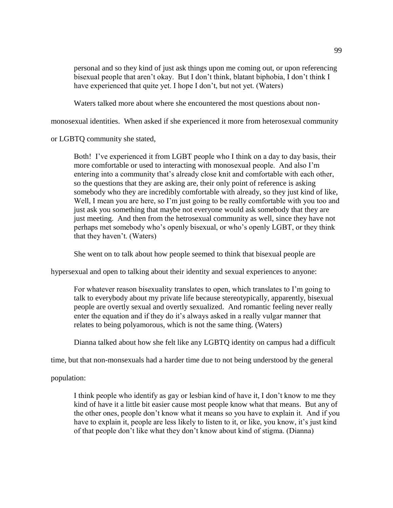personal and so they kind of just ask things upon me coming out, or upon referencing bisexual people that aren't okay. But I don't think, blatant biphobia, I don't think I have experienced that quite yet. I hope I don't, but not yet. (Waters)

Waters talked more about where she encountered the most questions about non-

monosexual identities. When asked if she experienced it more from heterosexual community

or LGBTQ community she stated,

Both! I've experienced it from LGBT people who I think on a day to day basis, their more comfortable or used to interacting with monosexual people. And also I'm entering into a community that's already close knit and comfortable with each other, so the questions that they are asking are, their only point of reference is asking somebody who they are incredibly comfortable with already, so they just kind of like, Well, I mean you are here, so I'm just going to be really comfortable with you too and just ask you something that maybe not everyone would ask somebody that they are just meeting. And then from the hetrosexual community as well, since they have not perhaps met somebody who's openly bisexual, or who's openly LGBT, or they think that they haven't. (Waters)

She went on to talk about how people seemed to think that bisexual people are

hypersexual and open to talking about their identity and sexual experiences to anyone:

For whatever reason bisexuality translates to open, which translates to I'm going to talk to everybody about my private life because stereotypically, apparently, bisexual people are overtly sexual and overtly sexualized. And romantic feeling never really enter the equation and if they do it's always asked in a really vulgar manner that relates to being polyamorous, which is not the same thing. (Waters)

Dianna talked about how she felt like any LGBTQ identity on campus had a difficult

time, but that non-monsexuals had a harder time due to not being understood by the general

population:

I think people who identify as gay or lesbian kind of have it, I don't know to me they kind of have it a little bit easier cause most people know what that means. But any of the other ones, people don't know what it means so you have to explain it. And if you have to explain it, people are less likely to listen to it, or like, you know, it's just kind of that people don't like what they don't know about kind of stigma. (Dianna)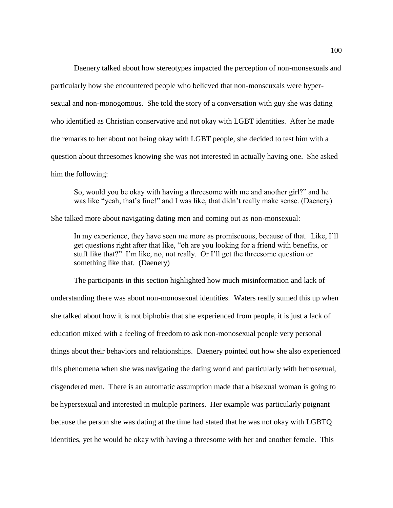Daenery talked about how stereotypes impacted the perception of non-monsexuals and particularly how she encountered people who believed that non-monseuxals were hypersexual and non-monogomous. She told the story of a conversation with guy she was dating who identified as Christian conservative and not okay with LGBT identities. After he made the remarks to her about not being okay with LGBT people, she decided to test him with a question about threesomes knowing she was not interested in actually having one. She asked him the following:

So, would you be okay with having a threesome with me and another girl?" and he was like "yeah, that's fine!" and I was like, that didn't really make sense. (Daenery)

She talked more about navigating dating men and coming out as non-monsexual:

In my experience, they have seen me more as promiscuous, because of that. Like, I'll get questions right after that like, "oh are you looking for a friend with benefits, or stuff like that?" I'm like, no, not really. Or I'll get the threesome question or something like that. (Daenery)

The participants in this section highlighted how much misinformation and lack of understanding there was about non-monosexual identities. Waters really sumed this up when she talked about how it is not biphobia that she experienced from people, it is just a lack of education mixed with a feeling of freedom to ask non-monosexual people very personal things about their behaviors and relationships. Daenery pointed out how she also experienced this phenomena when she was navigating the dating world and particularly with hetrosexual, cisgendered men. There is an automatic assumption made that a bisexual woman is going to be hypersexual and interested in multiple partners. Her example was particularly poignant because the person she was dating at the time had stated that he was not okay with LGBTQ identities, yet he would be okay with having a threesome with her and another female. This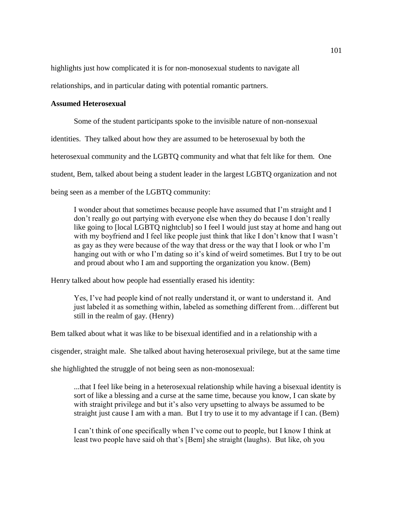highlights just how complicated it is for non-monosexual students to navigate all

relationships, and in particular dating with potential romantic partners.

# **Assumed Heterosexual**

Some of the student participants spoke to the invisible nature of non-nonsexual

identities. They talked about how they are assumed to be heterosexual by both the

heterosexual community and the LGBTQ community and what that felt like for them. One

student, Bem, talked about being a student leader in the largest LGBTQ organization and not

being seen as a member of the LGBTQ community:

I wonder about that sometimes because people have assumed that I'm straight and I don't really go out partying with everyone else when they do because I don't really like going to [local LGBTQ nightclub] so I feel I would just stay at home and hang out with my boyfriend and I feel like people just think that like I don't know that I wasn't as gay as they were because of the way that dress or the way that I look or who I'm hanging out with or who I'm dating so it's kind of weird sometimes. But I try to be out and proud about who I am and supporting the organization you know. (Bem)

Henry talked about how people had essentially erased his identity:

Yes, I've had people kind of not really understand it, or want to understand it. And just labeled it as something within, labeled as something different from…different but still in the realm of gay. (Henry)

Bem talked about what it was like to be bisexual identified and in a relationship with a

cisgender, straight male. She talked about having heterosexual privilege, but at the same time

she highlighted the struggle of not being seen as non-monosexual:

...that I feel like being in a heterosexual relationship while having a bisexual identity is sort of like a blessing and a curse at the same time, because you know, I can skate by with straight privilege and but it's also very upsetting to always be assumed to be straight just cause I am with a man. But I try to use it to my advantage if I can. (Bem)

I can't think of one specifically when I've come out to people, but I know I think at least two people have said oh that's [Bem] she straight (laughs). But like, oh you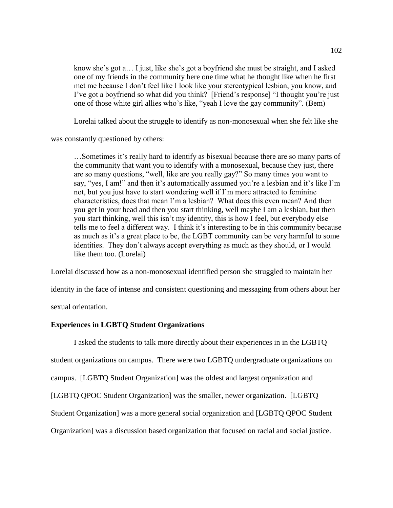know she's got a… I just, like she's got a boyfriend she must be straight, and I asked one of my friends in the community here one time what he thought like when he first met me because I don't feel like I look like your stereotypical lesbian, you know, and I've got a boyfriend so what did you think? [Friend's response] "I thought you're just one of those white girl allies who's like, "yeah I love the gay community". (Bem)

Lorelai talked about the struggle to identify as non-monosexual when she felt like she

was constantly questioned by others:

…Sometimes it's really hard to identify as bisexual because there are so many parts of the community that want you to identify with a monosexual, because they just, there are so many questions, "well, like are you really gay?" So many times you want to say, "yes, I am!" and then it's automatically assumed you're a lesbian and it's like I'm not, but you just have to start wondering well if I'm more attracted to feminine characteristics, does that mean I'm a lesbian? What does this even mean? And then you get in your head and then you start thinking, well maybe I am a lesbian, but then you start thinking, well this isn't my identity, this is how I feel, but everybody else tells me to feel a different way. I think it's interesting to be in this community because as much as it's a great place to be, the LGBT community can be very harmful to some identities. They don't always accept everything as much as they should, or I would like them too. (Lorelai)

Lorelai discussed how as a non-monosexual identified person she struggled to maintain her

identity in the face of intense and consistent questioning and messaging from others about her

sexual orientation.

## **Experiences in LGBTQ Student Organizations**

I asked the students to talk more directly about their experiences in in the LGBTQ student organizations on campus. There were two LGBTQ undergraduate organizations on campus. [LGBTQ Student Organization] was the oldest and largest organization and [LGBTQ QPOC Student Organization] was the smaller, newer organization. [LGBTQ Student Organization] was a more general social organization and [LGBTQ QPOC Student Organization] was a discussion based organization that focused on racial and social justice.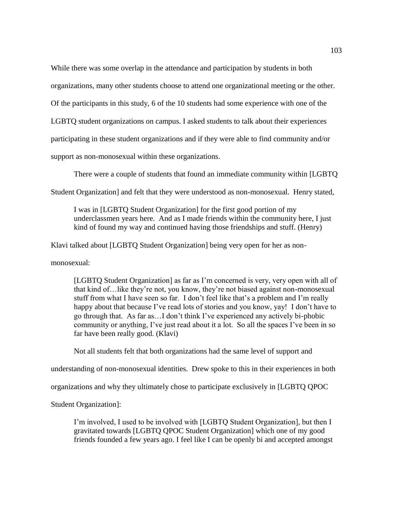While there was some overlap in the attendance and participation by students in both

organizations, many other students choose to attend one organizational meeting or the other.

Of the participants in this study, 6 of the 10 students had some experience with one of the

LGBTQ student organizations on campus. I asked students to talk about their experiences

participating in these student organizations and if they were able to find community and/or

support as non-monosexual within these organizations.

There were a couple of students that found an immediate community within [LGBTQ

Student Organization] and felt that they were understood as non-monosexual. Henry stated,

I was in [LGBTQ Student Organization] for the first good portion of my underclassmen years here. And as I made friends within the community here, I just kind of found my way and continued having those friendships and stuff. (Henry)

Klavi talked about [LGBTQ Student Organization] being very open for her as non-

monosexual:

[LGBTQ Student Organization] as far as I'm concerned is very, very open with all of that kind of…like they're not, you know, they're not biased against non-monosexual stuff from what I have seen so far. I don't feel like that's a problem and I'm really happy about that because I've read lots of stories and you know, yay! I don't have to go through that. As far as…I don't think I've experienced any actively bi-phobic community or anything, I've just read about it a lot. So all the spaces I've been in so far have been really good. (Klavi)

Not all students felt that both organizations had the same level of support and

understanding of non-monosexual identities. Drew spoke to this in their experiences in both

organizations and why they ultimately chose to participate exclusively in [LGBTQ QPOC

Student Organization]:

I'm involved, I used to be involved with [LGBTQ Student Organization], but then I gravitated towards [LGBTQ QPOC Student Organization] which one of my good friends founded a few years ago. I feel like I can be openly bi and accepted amongst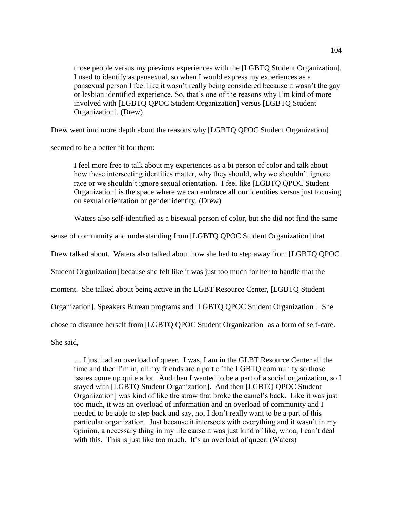those people versus my previous experiences with the [LGBTQ Student Organization]. I used to identify as pansexual, so when I would express my experiences as a pansexual person I feel like it wasn't really being considered because it wasn't the gay or lesbian identified experience. So, that's one of the reasons why I'm kind of more involved with [LGBTQ QPOC Student Organization] versus [LGBTQ Student Organization]. (Drew)

Drew went into more depth about the reasons why [LGBTQ QPOC Student Organization]

seemed to be a better fit for them:

I feel more free to talk about my experiences as a bi person of color and talk about how these intersecting identities matter, why they should, why we shouldn't ignore race or we shouldn't ignore sexual orientation. I feel like [LGBTQ QPOC Student Organization] is the space where we can embrace all our identities versus just focusing on sexual orientation or gender identity. (Drew)

Waters also self-identified as a bisexual person of color, but she did not find the same

sense of community and understanding from [LGBTQ QPOC Student Organization] that

Drew talked about. Waters also talked about how she had to step away from [LGBTQ QPOC

Student Organization] because she felt like it was just too much for her to handle that the

moment. She talked about being active in the LGBT Resource Center, [LGBTQ Student

Organization], Speakers Bureau programs and [LGBTQ QPOC Student Organization]. She

chose to distance herself from [LGBTQ QPOC Student Organization] as a form of self-care.

She said,

… I just had an overload of queer. I was, I am in the GLBT Resource Center all the time and then I'm in, all my friends are a part of the LGBTQ community so those issues come up quite a lot. And then I wanted to be a part of a social organization, so I stayed with [LGBTQ Student Organization]. And then [LGBTQ QPOC Student Organization] was kind of like the straw that broke the camel's back. Like it was just too much, it was an overload of information and an overload of community and I needed to be able to step back and say, no, I don't really want to be a part of this particular organization. Just because it intersects with everything and it wasn't in my opinion, a necessary thing in my life cause it was just kind of like, whoa, I can't deal with this. This is just like too much. It's an overload of queer. (Waters)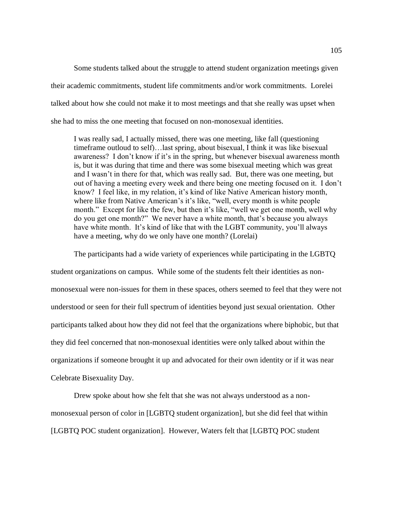Some students talked about the struggle to attend student organization meetings given their academic commitments, student life commitments and/or work commitments. Lorelei talked about how she could not make it to most meetings and that she really was upset when she had to miss the one meeting that focused on non-monosexual identities.

I was really sad, I actually missed, there was one meeting, like fall (questioning timeframe outloud to self)…last spring, about bisexual, I think it was like bisexual awareness? I don't know if it's in the spring, but whenever bisexual awareness month is, but it was during that time and there was some bisexual meeting which was great and I wasn't in there for that, which was really sad. But, there was one meeting, but out of having a meeting every week and there being one meeting focused on it. I don't know? I feel like, in my relation, it's kind of like Native American history month, where like from Native American's it's like, "well, every month is white people month." Except for like the few, but then it's like, "well we get one month, well why do you get one month?" We never have a white month, that's because you always have white month. It's kind of like that with the LGBT community, you'll always have a meeting, why do we only have one month? (Lorelai)

The participants had a wide variety of experiences while participating in the LGBTQ student organizations on campus. While some of the students felt their identities as nonmonosexual were non-issues for them in these spaces, others seemed to feel that they were not understood or seen for their full spectrum of identities beyond just sexual orientation. Other participants talked about how they did not feel that the organizations where biphobic, but that they did feel concerned that non-monosexual identities were only talked about within the organizations if someone brought it up and advocated for their own identity or if it was near Celebrate Bisexuality Day.

Drew spoke about how she felt that she was not always understood as a nonmonosexual person of color in [LGBTQ student organization], but she did feel that within [LGBTQ POC student organization]. However, Waters felt that [LGBTQ POC student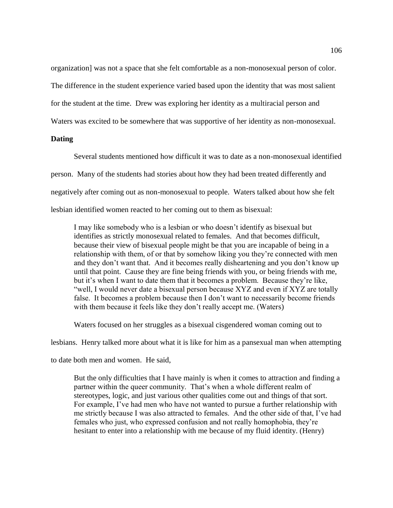organization] was not a space that she felt comfortable as a non-monosexual person of color.

The difference in the student experience varied based upon the identity that was most salient

for the student at the time. Drew was exploring her identity as a multiracial person and

Waters was excited to be somewhere that was supportive of her identity as non-monosexual.

# **Dating**

Several students mentioned how difficult it was to date as a non-monosexual identified person. Many of the students had stories about how they had been treated differently and negatively after coming out as non-monosexual to people. Waters talked about how she felt lesbian identified women reacted to her coming out to them as bisexual:

I may like somebody who is a lesbian or who doesn't identify as bisexual but identifies as strictly monosexual related to females. And that becomes difficult, because their view of bisexual people might be that you are incapable of being in a relationship with them, of or that by somehow liking you they're connected with men and they don't want that. And it becomes really disheartening and you don't know up until that point. Cause they are fine being friends with you, or being friends with me, but it's when I want to date them that it becomes a problem. Because they're like, "well, I would never date a bisexual person because XYZ and even if XYZ are totally false. It becomes a problem because then I don't want to necessarily become friends with them because it feels like they don't really accept me. (Waters)

Waters focused on her struggles as a bisexual cisgendered woman coming out to

lesbians. Henry talked more about what it is like for him as a pansexual man when attempting

to date both men and women. He said,

But the only difficulties that I have mainly is when it comes to attraction and finding a partner within the queer community. That's when a whole different realm of stereotypes, logic, and just various other qualities come out and things of that sort. For example, I've had men who have not wanted to pursue a further relationship with me strictly because I was also attracted to females. And the other side of that, I've had females who just, who expressed confusion and not really homophobia, they're hesitant to enter into a relationship with me because of my fluid identity. (Henry)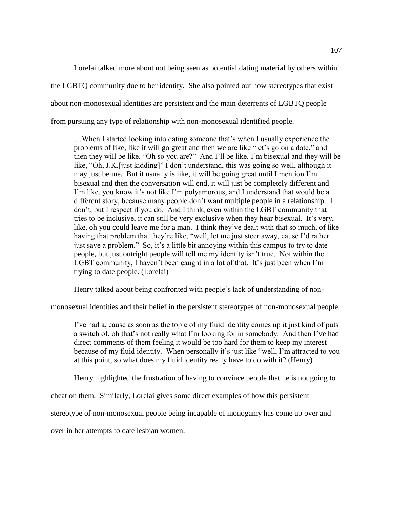Lorelai talked more about not being seen as potential dating material by others within the LGBTQ community due to her identity. She also pointed out how stereotypes that exist about non-monosexual identities are persistent and the main deterrents of LGBTQ people from pursuing any type of relationship with non-monosexual identified people.

…When I started looking into dating someone that's when I usually experience the problems of like, like it will go great and then we are like "let's go on a date," and then they will be like, "Oh so you are?" And I'll be like, I'm bisexual and they will be like, "Oh, J.K.[just kidding]" I don't understand, this was going so well, although it may just be me. But it usually is like, it will be going great until I mention I'm bisexual and then the conversation will end, it will just be completely different and I'm like, you know it's not like I'm polyamorous, and I understand that would be a different story, because many people don't want multiple people in a relationship. I don't, but I respect if you do. And I think, even within the LGBT community that tries to be inclusive, it can still be very exclusive when they hear bisexual. It's very, like, oh you could leave me for a man. I think they've dealt with that so much, of like having that problem that they're like, "well, let me just steer away, cause I'd rather just save a problem." So, it's a little bit annoying within this campus to try to date people, but just outright people will tell me my identity isn't true. Not within the LGBT community, I haven't been caught in a lot of that. It's just been when I'm trying to date people. (Lorelai)

Henry talked about being confronted with people's lack of understanding of non-

monosexual identities and their belief in the persistent stereotypes of non-monosexual people.

I've had a, cause as soon as the topic of my fluid identity comes up it just kind of puts a switch of, oh that's not really what I'm looking for in somebody. And then I've had direct comments of them feeling it would be too hard for them to keep my interest because of my fluid identity. When personally it's just like "well, I'm attracted to you at this point, so what does my fluid identity really have to do with it? (Henry)

Henry highlighted the frustration of having to convince people that he is not going to

cheat on them. Similarly, Lorelai gives some direct examples of how this persistent

stereotype of non-monosexual people being incapable of monogamy has come up over and

over in her attempts to date lesbian women.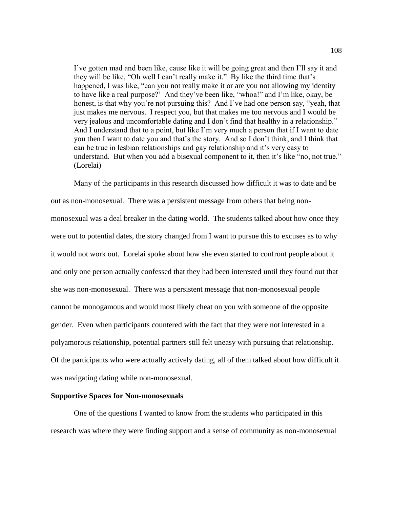I've gotten mad and been like, cause like it will be going great and then I'll say it and they will be like, "Oh well I can't really make it." By like the third time that's happened, I was like, "can you not really make it or are you not allowing my identity to have like a real purpose?' And they've been like, "whoa!" and I'm like, okay, be honest, is that why you're not pursuing this? And I've had one person say, "yeah, that just makes me nervous. I respect you, but that makes me too nervous and I would be very jealous and uncomfortable dating and I don't find that healthy in a relationship." And I understand that to a point, but like I'm very much a person that if I want to date you then I want to date you and that's the story. And so I don't think, and I think that can be true in lesbian relationships and gay relationship and it's very easy to understand. But when you add a bisexual component to it, then it's like "no, not true." (Lorelai)

Many of the participants in this research discussed how difficult it was to date and be out as non-monosexual. There was a persistent message from others that being nonmonosexual was a deal breaker in the dating world. The students talked about how once they were out to potential dates, the story changed from I want to pursue this to excuses as to why it would not work out. Lorelai spoke about how she even started to confront people about it and only one person actually confessed that they had been interested until they found out that she was non-monosexual. There was a persistent message that non-monosexual people cannot be monogamous and would most likely cheat on you with someone of the opposite gender. Even when participants countered with the fact that they were not interested in a polyamorous relationship, potential partners still felt uneasy with pursuing that relationship. Of the participants who were actually actively dating, all of them talked about how difficult it was navigating dating while non-monosexual.

#### **Supportive Spaces for Non-monosexuals**

One of the questions I wanted to know from the students who participated in this research was where they were finding support and a sense of community as non-monosexual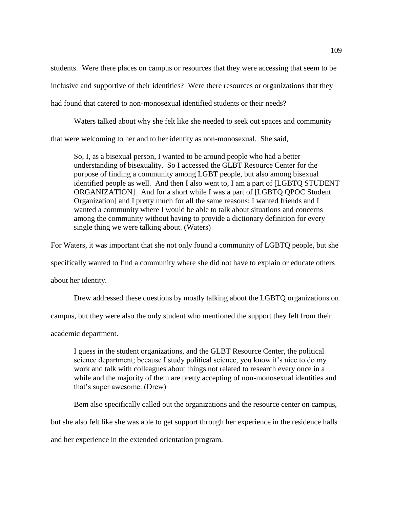students. Were there places on campus or resources that they were accessing that seem to be inclusive and supportive of their identities? Were there resources or organizations that they had found that catered to non-monosexual identified students or their needs?

Waters talked about why she felt like she needed to seek out spaces and community that were welcoming to her and to her identity as non-monosexual. She said,

So, I, as a bisexual person, I wanted to be around people who had a better understanding of bisexuality. So I accessed the GLBT Resource Center for the purpose of finding a community among LGBT people, but also among bisexual identified people as well. And then I also went to, I am a part of [LGBTQ STUDENT ORGANIZATION]. And for a short while I was a part of [LGBTQ QPOC Student Organization] and I pretty much for all the same reasons: I wanted friends and I wanted a community where I would be able to talk about situations and concerns among the community without having to provide a dictionary definition for every single thing we were talking about. (Waters)

For Waters, it was important that she not only found a community of LGBTQ people, but she

specifically wanted to find a community where she did not have to explain or educate others

about her identity.

Drew addressed these questions by mostly talking about the LGBTQ organizations on

campus, but they were also the only student who mentioned the support they felt from their

academic department.

I guess in the student organizations, and the GLBT Resource Center, the political science department; because I study political science, you know it's nice to do my work and talk with colleagues about things not related to research every once in a while and the majority of them are pretty accepting of non-monosexual identities and that's super awesome. (Drew)

Bem also specifically called out the organizations and the resource center on campus,

but she also felt like she was able to get support through her experience in the residence halls

and her experience in the extended orientation program.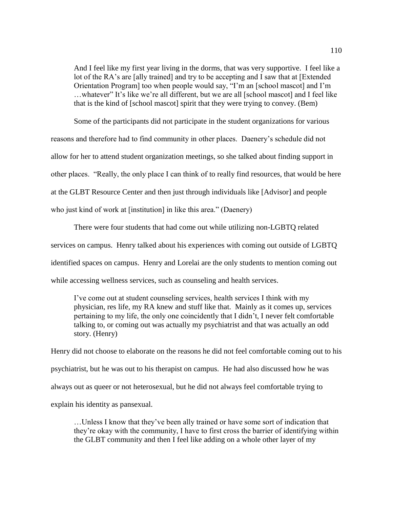And I feel like my first year living in the dorms, that was very supportive. I feel like a lot of the RA's are [ally trained] and try to be accepting and I saw that at [Extended Orientation Program] too when people would say, "I'm an [school mascot] and I'm …whatever" It's like we're all different, but we are all [school mascot] and I feel like that is the kind of [school mascot] spirit that they were trying to convey. (Bem)

Some of the participants did not participate in the student organizations for various reasons and therefore had to find community in other places. Daenery's schedule did not allow for her to attend student organization meetings, so she talked about finding support in other places. "Really, the only place I can think of to really find resources, that would be here at the GLBT Resource Center and then just through individuals like [Advisor] and people who just kind of work at [institution] in like this area." (Daenery)

There were four students that had come out while utilizing non-LGBTQ related services on campus. Henry talked about his experiences with coming out outside of LGBTQ identified spaces on campus. Henry and Lorelai are the only students to mention coming out while accessing wellness services, such as counseling and health services.

I've come out at student counseling services, health services I think with my physician, res life, my RA knew and stuff like that. Mainly as it comes up, services pertaining to my life, the only one coincidently that I didn't, I never felt comfortable talking to, or coming out was actually my psychiatrist and that was actually an odd story. (Henry)

Henry did not choose to elaborate on the reasons he did not feel comfortable coming out to his psychiatrist, but he was out to his therapist on campus. He had also discussed how he was always out as queer or not heterosexual, but he did not always feel comfortable trying to explain his identity as pansexual.

…Unless I know that they've been ally trained or have some sort of indication that they're okay with the community, I have to first cross the barrier of identifying within the GLBT community and then I feel like adding on a whole other layer of my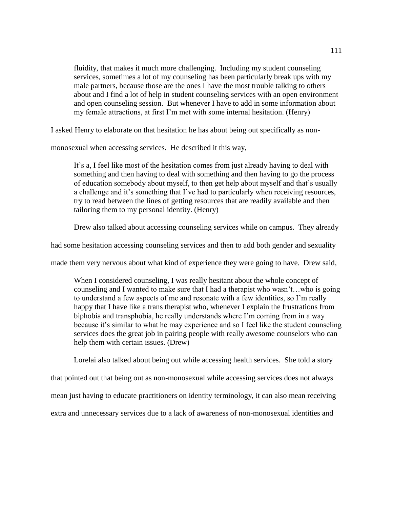fluidity, that makes it much more challenging. Including my student counseling services, sometimes a lot of my counseling has been particularly break ups with my male partners, because those are the ones I have the most trouble talking to others about and I find a lot of help in student counseling services with an open environment and open counseling session. But whenever I have to add in some information about my female attractions, at first I'm met with some internal hesitation. (Henry)

I asked Henry to elaborate on that hesitation he has about being out specifically as non-

monosexual when accessing services. He described it this way,

It's a, I feel like most of the hesitation comes from just already having to deal with something and then having to deal with something and then having to go the process of education somebody about myself, to then get help about myself and that's usually a challenge and it's something that I've had to particularly when receiving resources, try to read between the lines of getting resources that are readily available and then tailoring them to my personal identity. (Henry)

Drew also talked about accessing counseling services while on campus. They already

had some hesitation accessing counseling services and then to add both gender and sexuality

made them very nervous about what kind of experience they were going to have. Drew said,

When I considered counseling, I was really hesitant about the whole concept of counseling and I wanted to make sure that I had a therapist who wasn't…who is going to understand a few aspects of me and resonate with a few identities, so I'm really happy that I have like a trans therapist who, whenever I explain the frustrations from biphobia and transphobia, he really understands where I'm coming from in a way because it's similar to what he may experience and so I feel like the student counseling services does the great job in pairing people with really awesome counselors who can help them with certain issues. (Drew)

Lorelai also talked about being out while accessing health services. She told a story

that pointed out that being out as non-monosexual while accessing services does not always

mean just having to educate practitioners on identity terminology, it can also mean receiving

extra and unnecessary services due to a lack of awareness of non-monosexual identities and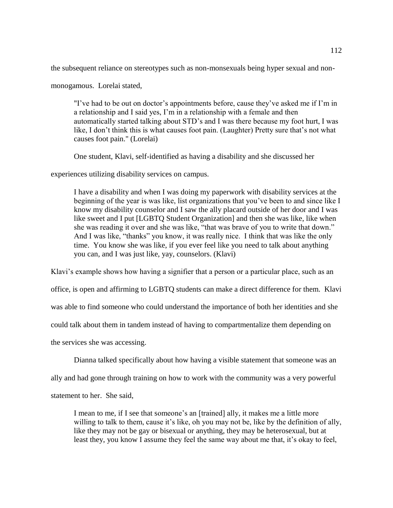the subsequent reliance on stereotypes such as non-monsexuals being hyper sexual and non-

monogamous. Lorelai stated,

"I've had to be out on doctor's appointments before, cause they've asked me if I'm in a relationship and I said yes, I'm in a relationship with a female and then automatically started talking about STD's and I was there because my foot hurt, I was like, I don't think this is what causes foot pain. (Laughter) Pretty sure that's not what causes foot pain." (Lorelai)

One student, Klavi, self-identified as having a disability and she discussed her

experiences utilizing disability services on campus.

I have a disability and when I was doing my paperwork with disability services at the beginning of the year is was like, list organizations that you've been to and since like I know my disability counselor and I saw the ally placard outside of her door and I was like sweet and I put [LGBTQ Student Organization] and then she was like, like when she was reading it over and she was like, "that was brave of you to write that down." And I was like, "thanks" you know, it was really nice. I think that was like the only time. You know she was like, if you ever feel like you need to talk about anything you can, and I was just like, yay, counselors. (Klavi)

Klavi's example shows how having a signifier that a person or a particular place, such as an

office, is open and affirming to LGBTQ students can make a direct difference for them. Klavi

was able to find someone who could understand the importance of both her identities and she

could talk about them in tandem instead of having to compartmentalize them depending on

the services she was accessing.

Dianna talked specifically about how having a visible statement that someone was an

ally and had gone through training on how to work with the community was a very powerful

statement to her. She said,

I mean to me, if I see that someone's an [trained] ally, it makes me a little more willing to talk to them, cause it's like, oh you may not be, like by the definition of ally, like they may not be gay or bisexual or anything, they may be heterosexual, but at least they, you know I assume they feel the same way about me that, it's okay to feel,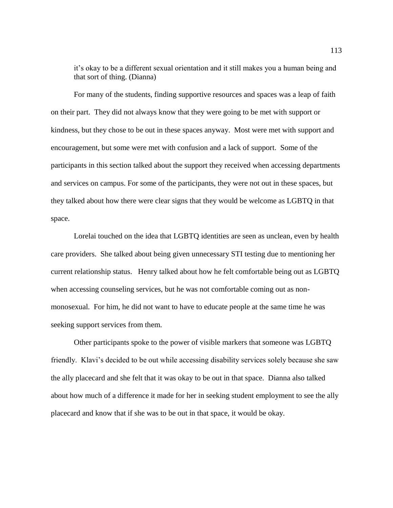it's okay to be a different sexual orientation and it still makes you a human being and that sort of thing. (Dianna)

For many of the students, finding supportive resources and spaces was a leap of faith on their part. They did not always know that they were going to be met with support or kindness, but they chose to be out in these spaces anyway. Most were met with support and encouragement, but some were met with confusion and a lack of support. Some of the participants in this section talked about the support they received when accessing departments and services on campus. For some of the participants, they were not out in these spaces, but they talked about how there were clear signs that they would be welcome as LGBTQ in that space.

Lorelai touched on the idea that LGBTQ identities are seen as unclean, even by health care providers. She talked about being given unnecessary STI testing due to mentioning her current relationship status. Henry talked about how he felt comfortable being out as LGBTQ when accessing counseling services, but he was not comfortable coming out as nonmonosexual. For him, he did not want to have to educate people at the same time he was seeking support services from them.

Other participants spoke to the power of visible markers that someone was LGBTQ friendly. Klavi's decided to be out while accessing disability services solely because she saw the ally placecard and she felt that it was okay to be out in that space. Dianna also talked about how much of a difference it made for her in seeking student employment to see the ally placecard and know that if she was to be out in that space, it would be okay.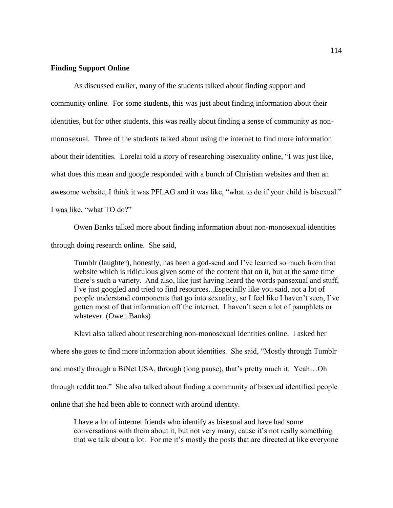## **Finding Support Online**

As discussed earlier, many of the students talked about finding support and community online. For some students, this was just about finding information about their identities, but for other students, this was really about finding a sense of community as nonmonosexual. Three of the students talked about using the internet to find more information about their identities. Lorelai told a story of researching bisexuality online, "I was just like, what does this mean and google responded with a bunch of Christian websites and then an awesome website, I think it was PFLAG and it was like, "what to do if your child is bisexual." I was like, "what TO do?"

Owen Banks talked more about finding information about non-monosexual identities through doing research online. She said,

Tumblr (laughter), honestly, has been a god-send and I've learned so much from that website which is ridiculous given some of the content that on it, but at the same time there's such a variety. And also, like just having heard the words pansexual and stuff, I've just googled and tried to find resources...Especially like you said, not a lot of people understand components that go into sexuality, so I feel like I haven't seen, I've gotten most of that information off the internet. I haven't seen a lot of pamphlets or whatever. (Owen Banks)

Klavi also talked about researching non-monosexual identities online. I asked her where she goes to find more information about identities. She said, "Mostly through Tumblr and mostly through a BiNet USA, through (long pause), that's pretty much it. Yeah…Oh through reddit too." She also talked about finding a community of bisexual identified people online that she had been able to connect with around identity.

I have a lot of internet friends who identify as bisexual and have had some conversations with them about it, but not very many, cause it's not really something that we talk about a lot. For me it's mostly the posts that are directed at like everyone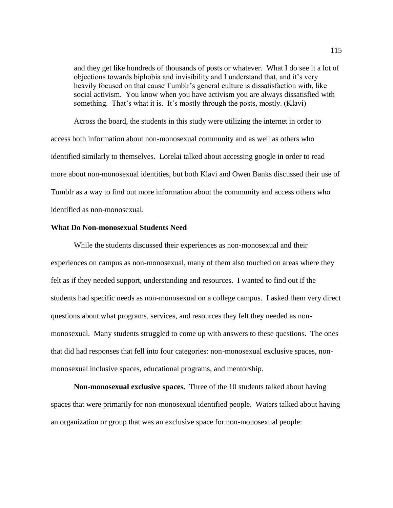and they get like hundreds of thousands of posts or whatever. What I do see it a lot of objections towards biphobia and invisibility and I understand that, and it's very heavily focused on that cause Tumblr's general culture is dissatisfaction with, like social activism. You know when you have activism you are always dissatisfied with something. That's what it is. It's mostly through the posts, mostly. (Klavi)

Across the board, the students in this study were utilizing the internet in order to access both information about non-monosexual community and as well as others who identified similarly to themselves. Lorelai talked about accessing google in order to read more about non-monosexual identities, but both Klavi and Owen Banks discussed their use of Tumblr as a way to find out more information about the community and access others who identified as non-monosexual.

## **What Do Non-monosexual Students Need**

While the students discussed their experiences as non-monosexual and their experiences on campus as non-monosexual, many of them also touched on areas where they felt as if they needed support, understanding and resources. I wanted to find out if the students had specific needs as non-monosexual on a college campus. I asked them very direct questions about what programs, services, and resources they felt they needed as nonmonosexual. Many students struggled to come up with answers to these questions. The ones that did had responses that fell into four categories: non-monosexual exclusive spaces, nonmonosexual inclusive spaces, educational programs, and mentorship.

**Non-monosexual exclusive spaces.** Three of the 10 students talked about having spaces that were primarily for non-monosexual identified people. Waters talked about having an organization or group that was an exclusive space for non-monosexual people: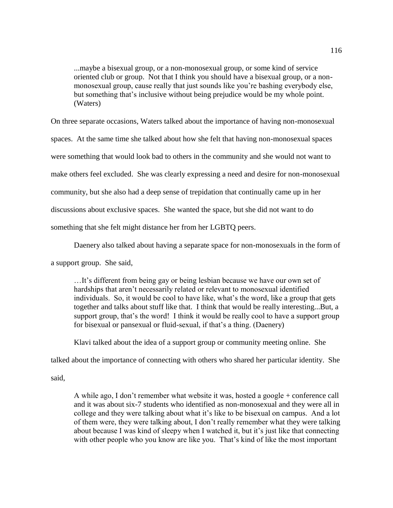...maybe a bisexual group, or a non-monosexual group, or some kind of service oriented club or group. Not that I think you should have a bisexual group, or a nonmonosexual group, cause really that just sounds like you're bashing everybody else, but something that's inclusive without being prejudice would be my whole point. (Waters)

On three separate occasions, Waters talked about the importance of having non-monosexual

spaces. At the same time she talked about how she felt that having non-monosexual spaces

were something that would look bad to others in the community and she would not want to

make others feel excluded. She was clearly expressing a need and desire for non-monosexual

community, but she also had a deep sense of trepidation that continually came up in her

discussions about exclusive spaces. She wanted the space, but she did not want to do

something that she felt might distance her from her LGBTQ peers.

Daenery also talked about having a separate space for non-monosexuals in the form of

a support group. She said,

…It's different from being gay or being lesbian because we have our own set of hardships that aren't necessarily related or relevant to monosexual identified individuals. So, it would be cool to have like, what's the word, like a group that gets together and talks about stuff like that. I think that would be really interesting...But, a support group, that's the word! I think it would be really cool to have a support group for bisexual or pansexual or fluid-sexual, if that's a thing. (Daenery)

Klavi talked about the idea of a support group or community meeting online. She

talked about the importance of connecting with others who shared her particular identity. She

said,

A while ago, I don't remember what website it was, hosted a google + conference call and it was about six-7 students who identified as non-monosexual and they were all in college and they were talking about what it's like to be bisexual on campus. And a lot of them were, they were talking about, I don't really remember what they were talking about because I was kind of sleepy when I watched it, but it's just like that connecting with other people who you know are like you. That's kind of like the most important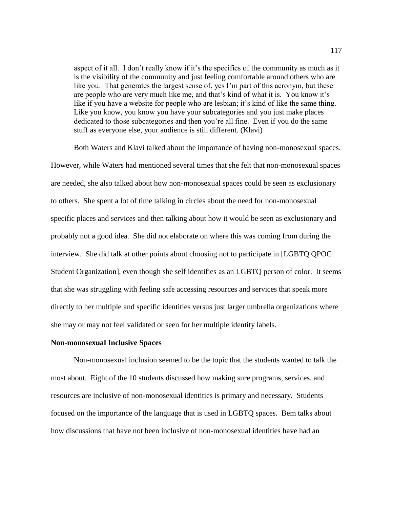aspect of it all. I don't really know if it's the specifics of the community as much as it is the visibility of the community and just feeling comfortable around others who are like you. That generates the largest sense of, yes I'm part of this acronym, but these are people who are very much like me, and that's kind of what it is. You know it's like if you have a website for people who are lesbian; it's kind of like the same thing. Like you know, you know you have your subcategories and you just make places dedicated to those subcategories and then you're all fine. Even if you do the same stuff as everyone else, your audience is still different. (Klavi)

Both Waters and Klavi talked about the importance of having non-monosexual spaces. However, while Waters had mentioned several times that she felt that non-monosexual spaces are needed, she also talked about how non-monosexual spaces could be seen as exclusionary to others. She spent a lot of time talking in circles about the need for non-monosexual specific places and services and then talking about how it would be seen as exclusionary and probably not a good idea. She did not elaborate on where this was coming from during the interview. She did talk at other points about choosing not to participate in [LGBTQ QPOC Student Organization], even though she self identifies as an LGBTQ person of color. It seems that she was struggling with feeling safe accessing resources and services that speak more directly to her multiple and specific identities versus just larger umbrella organizations where she may or may not feel validated or seen for her multiple identity labels.

#### **Non-monosexual Inclusive Spaces**

Non-monosexual inclusion seemed to be the topic that the students wanted to talk the most about. Eight of the 10 students discussed how making sure programs, services, and resources are inclusive of non-monosexual identities is primary and necessary. Students focused on the importance of the language that is used in LGBTQ spaces. Bem talks about how discussions that have not been inclusive of non-monosexual identities have had an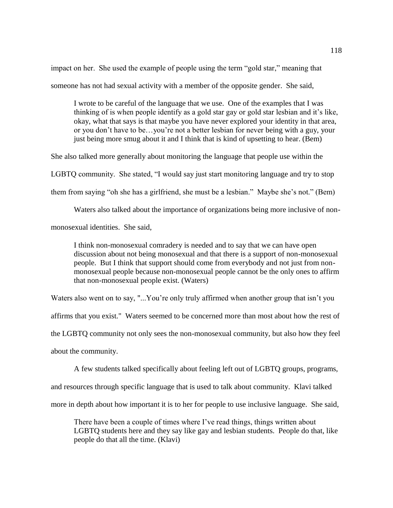impact on her. She used the example of people using the term "gold star," meaning that

someone has not had sexual activity with a member of the opposite gender. She said,

I wrote to be careful of the language that we use. One of the examples that I was thinking of is when people identify as a gold star gay or gold star lesbian and it's like, okay, what that says is that maybe you have never explored your identity in that area, or you don't have to be…you're not a better lesbian for never being with a guy, your just being more smug about it and I think that is kind of upsetting to hear. (Bem)

She also talked more generally about monitoring the language that people use within the

LGBTQ community. She stated, "I would say just start monitoring language and try to stop

them from saying "oh she has a girlfriend, she must be a lesbian." Maybe she's not." (Bem)

Waters also talked about the importance of organizations being more inclusive of non-

monosexual identities. She said,

I think non-monosexual comradery is needed and to say that we can have open discussion about not being monosexual and that there is a support of non-monosexual people. But I think that support should come from everybody and not just from nonmonosexual people because non-monosexual people cannot be the only ones to affirm that non-monosexual people exist. (Waters)

Waters also went on to say, "...You're only truly affirmed when another group that isn't you affirms that you exist." Waters seemed to be concerned more than most about how the rest of the LGBTQ community not only sees the non-monosexual community, but also how they feel about the community.

A few students talked specifically about feeling left out of LGBTQ groups, programs,

and resources through specific language that is used to talk about community. Klavi talked

more in depth about how important it is to her for people to use inclusive language. She said,

There have been a couple of times where I've read things, things written about LGBTQ students here and they say like gay and lesbian students. People do that, like people do that all the time. (Klavi)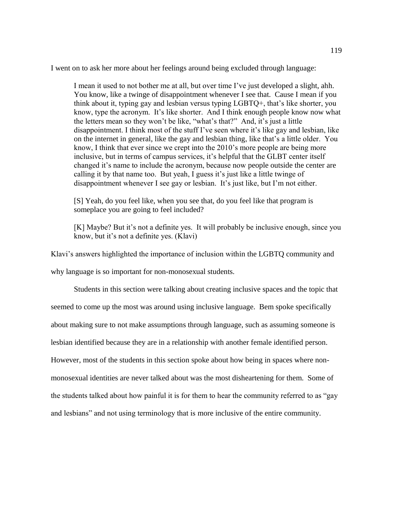I went on to ask her more about her feelings around being excluded through language:

I mean it used to not bother me at all, but over time I've just developed a slight, ahh. You know, like a twinge of disappointment whenever I see that. Cause I mean if you think about it, typing gay and lesbian versus typing LGBTQ+, that's like shorter, you know, type the acronym. It's like shorter. And I think enough people know now what the letters mean so they won't be like, "what's that?" And, it's just a little disappointment. I think most of the stuff I've seen where it's like gay and lesbian, like on the internet in general, like the gay and lesbian thing, like that's a little older. You know, I think that ever since we crept into the 2010's more people are being more inclusive, but in terms of campus services, it's helpful that the GLBT center itself changed it's name to include the acronym, because now people outside the center are calling it by that name too. But yeah, I guess it's just like a little twinge of disappointment whenever I see gay or lesbian. It's just like, but I'm not either.

[S] Yeah, do you feel like, when you see that, do you feel like that program is someplace you are going to feel included?

[K] Maybe? But it's not a definite yes. It will probably be inclusive enough, since you know, but it's not a definite yes. (Klavi)

Klavi's answers highlighted the importance of inclusion within the LGBTQ community and

why language is so important for non-monosexual students.

Students in this section were talking about creating inclusive spaces and the topic that seemed to come up the most was around using inclusive language. Bem spoke specifically about making sure to not make assumptions through language, such as assuming someone is lesbian identified because they are in a relationship with another female identified person. However, most of the students in this section spoke about how being in spaces where nonmonosexual identities are never talked about was the most disheartening for them. Some of the students talked about how painful it is for them to hear the community referred to as "gay and lesbians" and not using terminology that is more inclusive of the entire community.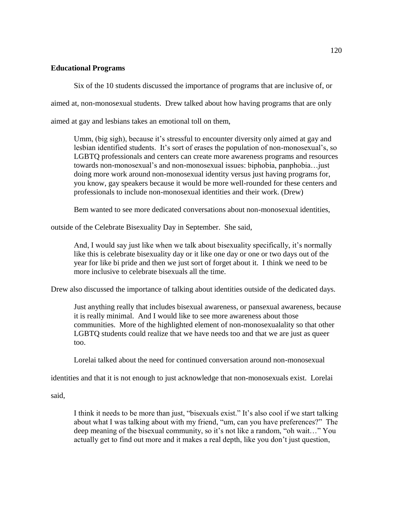## **Educational Programs**

Six of the 10 students discussed the importance of programs that are inclusive of, or

aimed at, non-monosexual students. Drew talked about how having programs that are only

aimed at gay and lesbians takes an emotional toll on them,

Umm, (big sigh), because it's stressful to encounter diversity only aimed at gay and lesbian identified students. It's sort of erases the population of non-monosexual's, so LGBTQ professionals and centers can create more awareness programs and resources towards non-monosexual's and non-monosexual issues: biphobia, panphobia…just doing more work around non-monosexual identity versus just having programs for, you know, gay speakers because it would be more well-rounded for these centers and professionals to include non-monosexual identities and their work. (Drew)

Bem wanted to see more dedicated conversations about non-monosexual identities,

outside of the Celebrate Bisexuality Day in September. She said,

And, I would say just like when we talk about bisexuality specifically, it's normally like this is celebrate bisexuality day or it like one day or one or two days out of the year for like bi pride and then we just sort of forget about it. I think we need to be more inclusive to celebrate bisexuals all the time.

Drew also discussed the importance of talking about identities outside of the dedicated days.

Just anything really that includes bisexual awareness, or pansexual awareness, because it is really minimal. And I would like to see more awareness about those communities. More of the highlighted element of non-monosexualality so that other LGBTQ students could realize that we have needs too and that we are just as queer too.

Lorelai talked about the need for continued conversation around non-monosexual

identities and that it is not enough to just acknowledge that non-monosexuals exist. Lorelai

said,

I think it needs to be more than just, "bisexuals exist." It's also cool if we start talking about what I was talking about with my friend, "um, can you have preferences?" The deep meaning of the bisexual community, so it's not like a random, "oh wait…" You actually get to find out more and it makes a real depth, like you don't just question,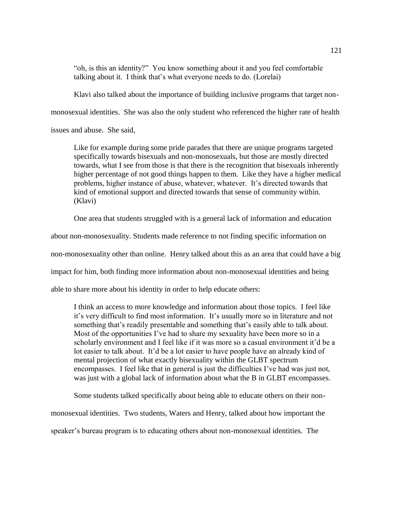"oh, is this an identity?" You know something about it and you feel comfortable talking about it. I think that's what everyone needs to do. (Lorelai)

Klavi also talked about the importance of building inclusive programs that target non-

monosexual identities. She was also the only student who referenced the higher rate of health

issues and abuse. She said,

Like for example during some pride parades that there are unique programs targeted specifically towards bisexuals and non-monosexuals, but those are mostly directed towards, what I see from those is that there is the recognition that bisexuals inherently higher percentage of not good things happen to them. Like they have a higher medical problems, higher instance of abuse, whatever, whatever. It's directed towards that kind of emotional support and directed towards that sense of community within. (Klavi)

One area that students struggled with is a general lack of information and education

about non-monosexuality. Students made reference to not finding specific information on

non-monosexuality other than online. Henry talked about this as an area that could have a big

impact for him, both finding more information about non-monosexual identities and being

able to share more about his identity in order to help educate others:

I think an access to more knowledge and information about those topics. I feel like it's very difficult to find most information. It's usually more so in literature and not something that's readily presentable and something that's easily able to talk about. Most of the opportunities I've had to share my sexuality have been more so in a scholarly environment and I feel like if it was more so a casual environment it'd be a lot easier to talk about. It'd be a lot easier to have people have an already kind of mental projection of what exactly bisexuality within the GLBT spectrum encompasses. I feel like that in general is just the difficulties I've had was just not, was just with a global lack of information about what the B in GLBT encompasses.

Some students talked specifically about being able to educate others on their non-

monosexual identities. Two students, Waters and Henry, talked about how important the

speaker's bureau program is to educating others about non-monosexual identities. The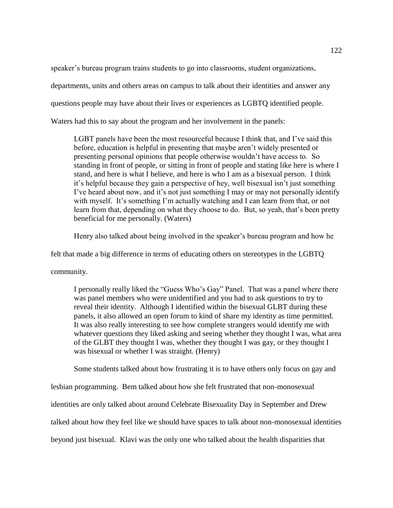speaker's bureau program trains students to go into classrooms, student organizations, departments, units and others areas on campus to talk about their identities and answer any questions people may have about their lives or experiences as LGBTQ identified people. Waters had this to say about the program and her involvement in the panels:

LGBT panels have been the most resourceful because I think that, and I've said this before, education is helpful in presenting that maybe aren't widely presented or presenting personal opinions that people otherwise wouldn't have access to. So standing in front of people, or sitting in front of people and stating like here is where I stand, and here is what I believe, and here is who I am as a bisexual person. I think it's helpful because they gain a perspective of hey, well bisexual isn't just something I've heard about now, and it's not just something I may or may not personally identify with myself. It's something I'm actually watching and I can learn from that, or not learn from that, depending on what they choose to do. But, so yeah, that's been pretty beneficial for me personally. (Waters)

Henry also talked about being involved in the speaker's bureau program and how he

felt that made a big difference in terms of educating others on stereotypes in the LGBTQ

community.

I personally really liked the "Guess Who's Gay" Panel. That was a panel where there was panel members who were unidentified and you had to ask questions to try to reveal their identity. Although I identified within the bisexual GLBT during these panels, it also allowed an open forum to kind of share my identity as time permitted. It was also really interesting to see how complete strangers would identify me with whatever questions they liked asking and seeing whether they thought I was, what area of the GLBT they thought I was, whether they thought I was gay, or they thought I was bisexual or whether I was straight. (Henry)

Some students talked about how frustrating it is to have others only focus on gay and

lesbian programming. Bem talked about how she felt frustrated that non-monosexual

identities are only talked about around Celebrate Bisexuality Day in September and Drew

talked about how they feel like we should have spaces to talk about non-monosexual identities

beyond just bisexual. Klavi was the only one who talked about the health disparities that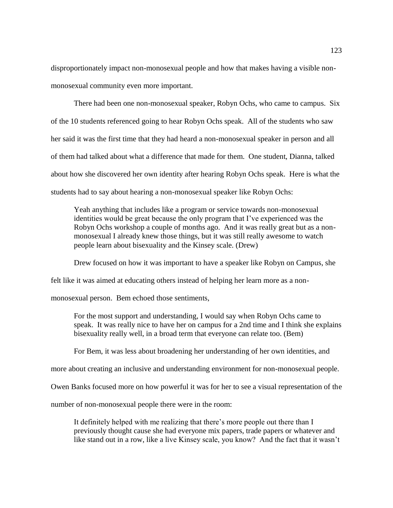disproportionately impact non-monosexual people and how that makes having a visible nonmonosexual community even more important.

There had been one non-monosexual speaker, Robyn Ochs, who came to campus. Six of the 10 students referenced going to hear Robyn Ochs speak. All of the students who saw her said it was the first time that they had heard a non-monosexual speaker in person and all of them had talked about what a difference that made for them. One student, Dianna, talked about how she discovered her own identity after hearing Robyn Ochs speak. Here is what the students had to say about hearing a non-monosexual speaker like Robyn Ochs:

Yeah anything that includes like a program or service towards non-monosexual identities would be great because the only program that I've experienced was the Robyn Ochs workshop a couple of months ago. And it was really great but as a nonmonosexual I already knew those things, but it was still really awesome to watch people learn about bisexuality and the Kinsey scale. (Drew)

Drew focused on how it was important to have a speaker like Robyn on Campus, she

felt like it was aimed at educating others instead of helping her learn more as a non-

monosexual person. Bem echoed those sentiments,

For the most support and understanding, I would say when Robyn Ochs came to speak. It was really nice to have her on campus for a 2nd time and I think she explains bisexuality really well, in a broad term that everyone can relate too. (Bem)

For Bem, it was less about broadening her understanding of her own identities, and

more about creating an inclusive and understanding environment for non-monosexual people.

Owen Banks focused more on how powerful it was for her to see a visual representation of the

number of non-monosexual people there were in the room:

It definitely helped with me realizing that there's more people out there than I previously thought cause she had everyone mix papers, trade papers or whatever and like stand out in a row, like a live Kinsey scale, you know? And the fact that it wasn't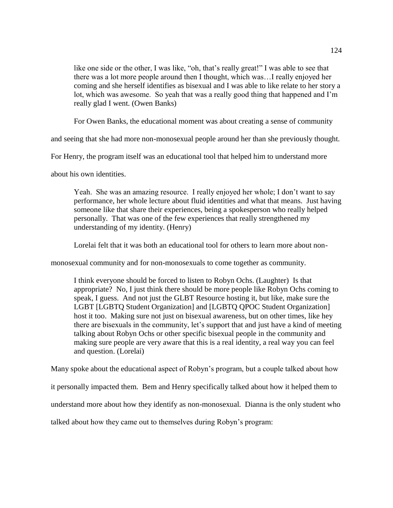like one side or the other, I was like, "oh, that's really great!" I was able to see that there was a lot more people around then I thought, which was…I really enjoyed her coming and she herself identifies as bisexual and I was able to like relate to her story a lot, which was awesome. So yeah that was a really good thing that happened and I'm really glad I went. (Owen Banks)

For Owen Banks, the educational moment was about creating a sense of community

and seeing that she had more non-monosexual people around her than she previously thought.

For Henry, the program itself was an educational tool that helped him to understand more

about his own identities.

Yeah. She was an amazing resource. I really enjoyed her whole; I don't want to say performance, her whole lecture about fluid identities and what that means. Just having someone like that share their experiences, being a spokesperson who really helped personally. That was one of the few experiences that really strengthened my understanding of my identity. (Henry)

Lorelai felt that it was both an educational tool for others to learn more about non-

monosexual community and for non-monosexuals to come together as community.

I think everyone should be forced to listen to Robyn Ochs. (Laughter) Is that appropriate? No, I just think there should be more people like Robyn Ochs coming to speak, I guess. And not just the GLBT Resource hosting it, but like, make sure the LGBT [LGBTQ Student Organization] and [LGBTQ QPOC Student Organization] host it too. Making sure not just on bisexual awareness, but on other times, like hey there are bisexuals in the community, let's support that and just have a kind of meeting talking about Robyn Ochs or other specific bisexual people in the community and making sure people are very aware that this is a real identity, a real way you can feel and question. (Lorelai)

Many spoke about the educational aspect of Robyn's program, but a couple talked about how

it personally impacted them. Bem and Henry specifically talked about how it helped them to

understand more about how they identify as non-monosexual. Dianna is the only student who

talked about how they came out to themselves during Robyn's program: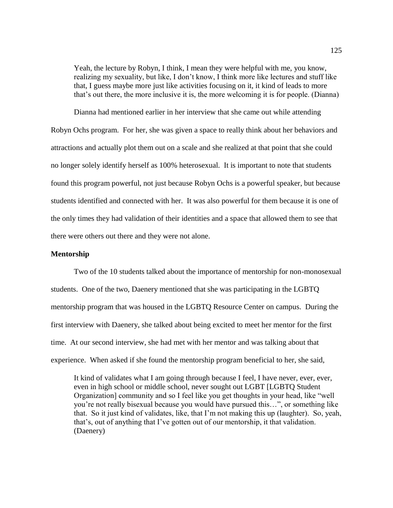Yeah, the lecture by Robyn, I think, I mean they were helpful with me, you know, realizing my sexuality, but like, I don't know, I think more like lectures and stuff like that, I guess maybe more just like activities focusing on it, it kind of leads to more that's out there, the more inclusive it is, the more welcoming it is for people. (Dianna)

Dianna had mentioned earlier in her interview that she came out while attending Robyn Ochs program. For her, she was given a space to really think about her behaviors and attractions and actually plot them out on a scale and she realized at that point that she could no longer solely identify herself as 100% heterosexual. It is important to note that students found this program powerful, not just because Robyn Ochs is a powerful speaker, but because students identified and connected with her. It was also powerful for them because it is one of the only times they had validation of their identities and a space that allowed them to see that there were others out there and they were not alone.

## **Mentorship**

Two of the 10 students talked about the importance of mentorship for non-monosexual students. One of the two, Daenery mentioned that she was participating in the LGBTQ mentorship program that was housed in the LGBTQ Resource Center on campus. During the first interview with Daenery, she talked about being excited to meet her mentor for the first time. At our second interview, she had met with her mentor and was talking about that experience. When asked if she found the mentorship program beneficial to her, she said,

It kind of validates what I am going through because I feel, I have never, ever, ever, even in high school or middle school, never sought out LGBT [LGBTQ Student Organization] community and so I feel like you get thoughts in your head, like "well you're not really bisexual because you would have pursued this…", or something like that. So it just kind of validates, like, that I'm not making this up (laughter). So, yeah, that's, out of anything that I've gotten out of our mentorship, it that validation. (Daenery)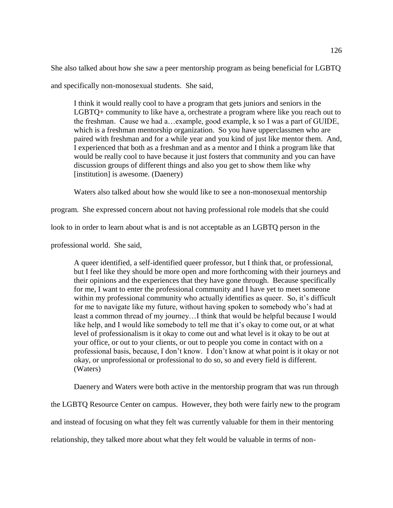She also talked about how she saw a peer mentorship program as being beneficial for LGBTQ

and specifically non-monosexual students. She said,

I think it would really cool to have a program that gets juniors and seniors in the LGBTQ+ community to like have a, orchestrate a program where like you reach out to the freshman. Cause we had a…example, good example, k so I was a part of GUIDE, which is a freshman mentorship organization. So you have upperclassmen who are paired with freshman and for a while year and you kind of just like mentor them. And, I experienced that both as a freshman and as a mentor and I think a program like that would be really cool to have because it just fosters that community and you can have discussion groups of different things and also you get to show them like why [institution] is awesome. (Daenery)

Waters also talked about how she would like to see a non-monosexual mentorship

program. She expressed concern about not having professional role models that she could

look to in order to learn about what is and is not acceptable as an LGBTQ person in the

professional world. She said,

A queer identified, a self-identified queer professor, but I think that, or professional, but I feel like they should be more open and more forthcoming with their journeys and their opinions and the experiences that they have gone through. Because specifically for me, I want to enter the professional community and I have yet to meet someone within my professional community who actually identifies as queer. So, it's difficult for me to navigate like my future, without having spoken to somebody who's had at least a common thread of my journey…I think that would be helpful because I would like help, and I would like somebody to tell me that it's okay to come out, or at what level of professionalism is it okay to come out and what level is it okay to be out at your office, or out to your clients, or out to people you come in contact with on a professional basis, because, I don't know. I don't know at what point is it okay or not okay, or unprofessional or professional to do so, so and every field is different. (Waters)

Daenery and Waters were both active in the mentorship program that was run through

the LGBTQ Resource Center on campus. However, they both were fairly new to the program

and instead of focusing on what they felt was currently valuable for them in their mentoring

relationship, they talked more about what they felt would be valuable in terms of non-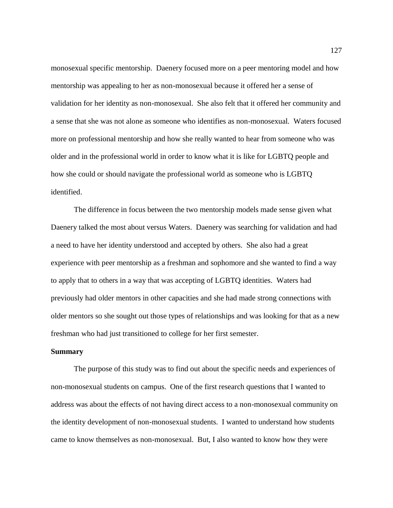monosexual specific mentorship. Daenery focused more on a peer mentoring model and how mentorship was appealing to her as non-monosexual because it offered her a sense of validation for her identity as non-monosexual. She also felt that it offered her community and a sense that she was not alone as someone who identifies as non-monosexual. Waters focused more on professional mentorship and how she really wanted to hear from someone who was older and in the professional world in order to know what it is like for LGBTQ people and how she could or should navigate the professional world as someone who is LGBTQ identified.

The difference in focus between the two mentorship models made sense given what Daenery talked the most about versus Waters. Daenery was searching for validation and had a need to have her identity understood and accepted by others. She also had a great experience with peer mentorship as a freshman and sophomore and she wanted to find a way to apply that to others in a way that was accepting of LGBTQ identities. Waters had previously had older mentors in other capacities and she had made strong connections with older mentors so she sought out those types of relationships and was looking for that as a new freshman who had just transitioned to college for her first semester.

## **Summary**

The purpose of this study was to find out about the specific needs and experiences of non-monosexual students on campus. One of the first research questions that I wanted to address was about the effects of not having direct access to a non-monosexual community on the identity development of non-monosexual students. I wanted to understand how students came to know themselves as non-monosexual. But, I also wanted to know how they were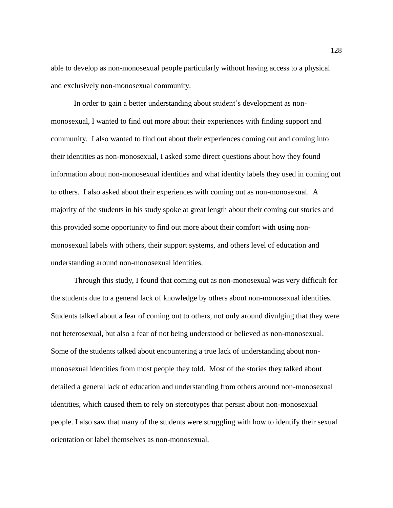able to develop as non-monosexual people particularly without having access to a physical and exclusively non-monosexual community.

In order to gain a better understanding about student's development as nonmonosexual, I wanted to find out more about their experiences with finding support and community. I also wanted to find out about their experiences coming out and coming into their identities as non-monosexual, I asked some direct questions about how they found information about non-monosexual identities and what identity labels they used in coming out to others. I also asked about their experiences with coming out as non-monosexual. A majority of the students in his study spoke at great length about their coming out stories and this provided some opportunity to find out more about their comfort with using nonmonosexual labels with others, their support systems, and others level of education and understanding around non-monosexual identities.

Through this study, I found that coming out as non-monosexual was very difficult for the students due to a general lack of knowledge by others about non-monosexual identities. Students talked about a fear of coming out to others, not only around divulging that they were not heterosexual, but also a fear of not being understood or believed as non-monosexual. Some of the students talked about encountering a true lack of understanding about nonmonosexual identities from most people they told. Most of the stories they talked about detailed a general lack of education and understanding from others around non-monosexual identities, which caused them to rely on stereotypes that persist about non-monosexual people. I also saw that many of the students were struggling with how to identify their sexual orientation or label themselves as non-monosexual.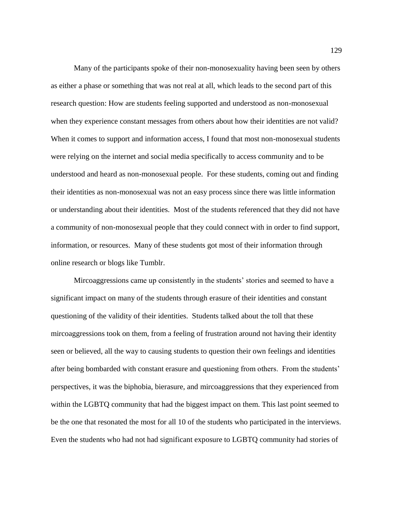Many of the participants spoke of their non-monosexuality having been seen by others as either a phase or something that was not real at all, which leads to the second part of this research question: How are students feeling supported and understood as non-monosexual when they experience constant messages from others about how their identities are not valid? When it comes to support and information access, I found that most non-monosexual students were relying on the internet and social media specifically to access community and to be understood and heard as non-monosexual people. For these students, coming out and finding their identities as non-monosexual was not an easy process since there was little information or understanding about their identities. Most of the students referenced that they did not have a community of non-monosexual people that they could connect with in order to find support, information, or resources. Many of these students got most of their information through online research or blogs like Tumblr.

Mircoaggressions came up consistently in the students' stories and seemed to have a significant impact on many of the students through erasure of their identities and constant questioning of the validity of their identities. Students talked about the toll that these mircoaggressions took on them, from a feeling of frustration around not having their identity seen or believed, all the way to causing students to question their own feelings and identities after being bombarded with constant erasure and questioning from others. From the students' perspectives, it was the biphobia, bierasure, and mircoaggressions that they experienced from within the LGBTQ community that had the biggest impact on them. This last point seemed to be the one that resonated the most for all 10 of the students who participated in the interviews. Even the students who had not had significant exposure to LGBTQ community had stories of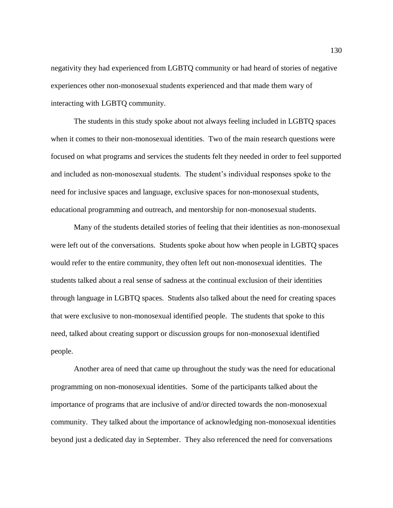negativity they had experienced from LGBTQ community or had heard of stories of negative experiences other non-monosexual students experienced and that made them wary of interacting with LGBTQ community.

The students in this study spoke about not always feeling included in LGBTQ spaces when it comes to their non-monosexual identities. Two of the main research questions were focused on what programs and services the students felt they needed in order to feel supported and included as non-monosexual students. The student's individual responses spoke to the need for inclusive spaces and language, exclusive spaces for non-monosexual students, educational programming and outreach, and mentorship for non-monosexual students.

Many of the students detailed stories of feeling that their identities as non-monosexual were left out of the conversations. Students spoke about how when people in LGBTQ spaces would refer to the entire community, they often left out non-monosexual identities. The students talked about a real sense of sadness at the continual exclusion of their identities through language in LGBTQ spaces. Students also talked about the need for creating spaces that were exclusive to non-monosexual identified people. The students that spoke to this need, talked about creating support or discussion groups for non-monosexual identified people.

Another area of need that came up throughout the study was the need for educational programming on non-monosexual identities. Some of the participants talked about the importance of programs that are inclusive of and/or directed towards the non-monosexual community. They talked about the importance of acknowledging non-monosexual identities beyond just a dedicated day in September. They also referenced the need for conversations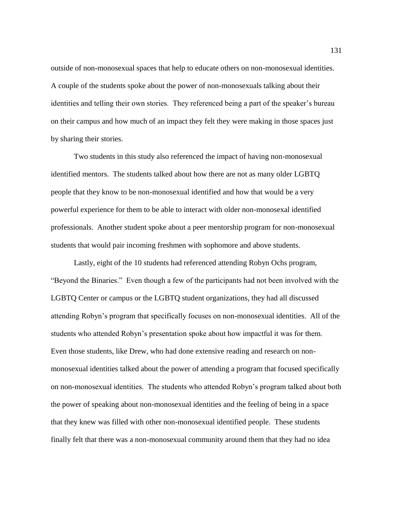outside of non-monosexual spaces that help to educate others on non-monosexual identities. A couple of the students spoke about the power of non-monosexuals talking about their identities and telling their own stories. They referenced being a part of the speaker's bureau on their campus and how much of an impact they felt they were making in those spaces just by sharing their stories.

Two students in this study also referenced the impact of having non-monosexual identified mentors. The students talked about how there are not as many older LGBTQ people that they know to be non-monosexual identified and how that would be a very powerful experience for them to be able to interact with older non-monosexal identified professionals. Another student spoke about a peer mentorship program for non-monosexual students that would pair incoming freshmen with sophomore and above students.

Lastly, eight of the 10 students had referenced attending Robyn Ochs program, "Beyond the Binaries." Even though a few of the participants had not been involved with the LGBTQ Center or campus or the LGBTQ student organizations, they had all discussed attending Robyn's program that specifically focuses on non-monosexual identities. All of the students who attended Robyn's presentation spoke about how impactful it was for them. Even those students, like Drew, who had done extensive reading and research on nonmonosexual identities talked about the power of attending a program that focused specifically on non-monosexual identities. The students who attended Robyn's program talked about both the power of speaking about non-monosexual identities and the feeling of being in a space that they knew was filled with other non-monosexual identified people. These students finally felt that there was a non-monosexual community around them that they had no idea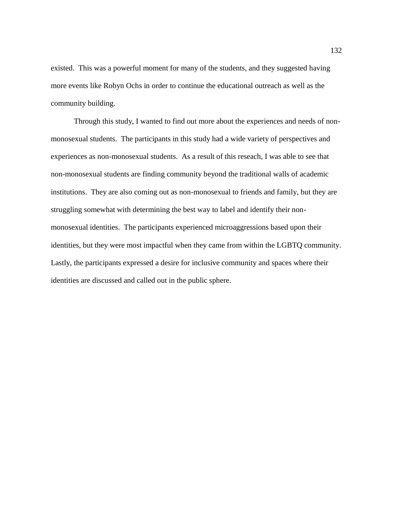existed. This was a powerful moment for many of the students, and they suggested having more events like Robyn Ochs in order to continue the educational outreach as well as the community building.

Through this study, I wanted to find out more about the experiences and needs of nonmonosexual students. The participants in this study had a wide variety of perspectives and experiences as non-monosexual students. As a result of this reseach, I was able to see that non-monosexual students are finding community beyond the traditional walls of academic institutions. They are also coming out as non-monosexual to friends and family, but they are struggling somewhat with determining the best way to label and identify their nonmonosexual identities. The participants experienced microaggressions based upon their identities, but they were most impactful when they came from within the LGBTQ community. Lastly, the participants expressed a desire for inclusive community and spaces where their identities are discussed and called out in the public sphere.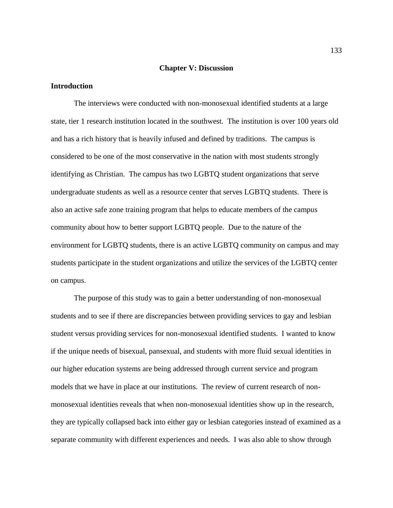#### **Chapter V: Discussion**

# **Introduction**

The interviews were conducted with non-monosexual identified students at a large state, tier 1 research institution located in the southwest. The institution is over 100 years old and has a rich history that is heavily infused and defined by traditions. The campus is considered to be one of the most conservative in the nation with most students strongly identifying as Christian. The campus has two LGBTQ student organizations that serve undergraduate students as well as a resource center that serves LGBTQ students. There is also an active safe zone training program that helps to educate members of the campus community about how to better support LGBTQ people. Due to the nature of the environment for LGBTQ students, there is an active LGBTQ community on campus and may students participate in the student organizations and utilize the services of the LGBTQ center on campus.

The purpose of this study was to gain a better understanding of non-monosexual students and to see if there are discrepancies between providing services to gay and lesbian student versus providing services for non-monosexual identified students. I wanted to know if the unique needs of bisexual, pansexual, and students with more fluid sexual identities in our higher education systems are being addressed through current service and program models that we have in place at our institutions. The review of current research of nonmonosexual identities reveals that when non-monosexual identities show up in the research, they are typically collapsed back into either gay or lesbian categories instead of examined as a separate community with different experiences and needs. I was also able to show through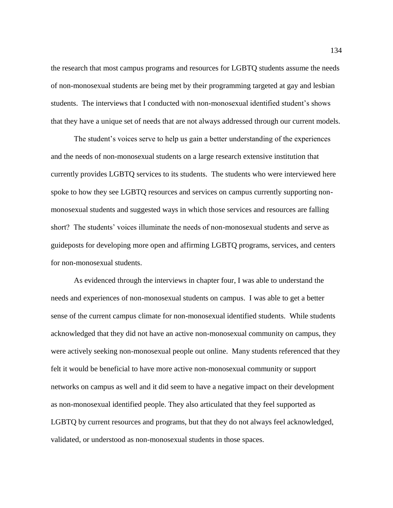the research that most campus programs and resources for LGBTQ students assume the needs of non-monosexual students are being met by their programming targeted at gay and lesbian students. The interviews that I conducted with non-monosexual identified student's shows that they have a unique set of needs that are not always addressed through our current models.

The student's voices serve to help us gain a better understanding of the experiences and the needs of non-monosexual students on a large research extensive institution that currently provides LGBTQ services to its students. The students who were interviewed here spoke to how they see LGBTQ resources and services on campus currently supporting nonmonosexual students and suggested ways in which those services and resources are falling short? The students' voices illuminate the needs of non-monosexual students and serve as guideposts for developing more open and affirming LGBTQ programs, services, and centers for non-monosexual students.

As evidenced through the interviews in chapter four, I was able to understand the needs and experiences of non-monosexual students on campus. I was able to get a better sense of the current campus climate for non-monosexual identified students. While students acknowledged that they did not have an active non-monosexual community on campus, they were actively seeking non-monosexual people out online. Many students referenced that they felt it would be beneficial to have more active non-monosexual community or support networks on campus as well and it did seem to have a negative impact on their development as non-monosexual identified people. They also articulated that they feel supported as LGBTQ by current resources and programs, but that they do not always feel acknowledged, validated, or understood as non-monosexual students in those spaces.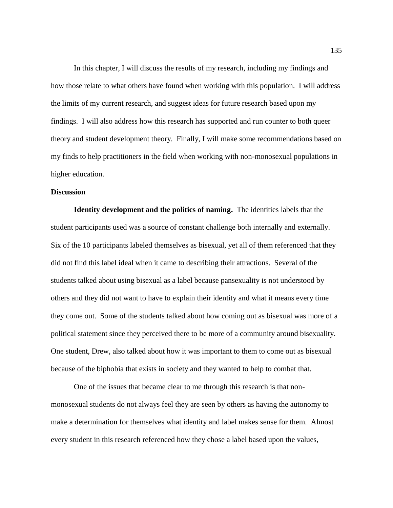In this chapter, I will discuss the results of my research, including my findings and how those relate to what others have found when working with this population. I will address the limits of my current research, and suggest ideas for future research based upon my findings. I will also address how this research has supported and run counter to both queer theory and student development theory. Finally, I will make some recommendations based on my finds to help practitioners in the field when working with non-monosexual populations in higher education.

# **Discussion**

**Identity development and the politics of naming.** The identities labels that the student participants used was a source of constant challenge both internally and externally. Six of the 10 participants labeled themselves as bisexual, yet all of them referenced that they did not find this label ideal when it came to describing their attractions. Several of the students talked about using bisexual as a label because pansexuality is not understood by others and they did not want to have to explain their identity and what it means every time they come out. Some of the students talked about how coming out as bisexual was more of a political statement since they perceived there to be more of a community around bisexuality. One student, Drew, also talked about how it was important to them to come out as bisexual because of the biphobia that exists in society and they wanted to help to combat that.

One of the issues that became clear to me through this research is that nonmonosexual students do not always feel they are seen by others as having the autonomy to make a determination for themselves what identity and label makes sense for them. Almost every student in this research referenced how they chose a label based upon the values,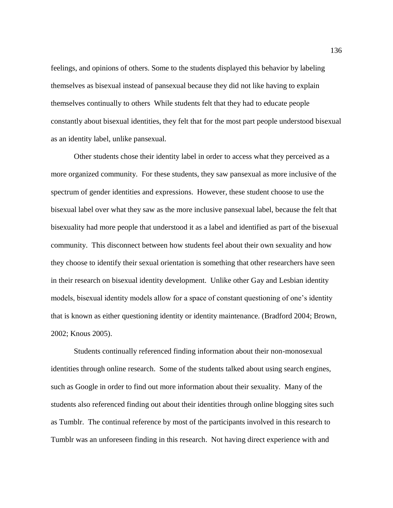feelings, and opinions of others. Some to the students displayed this behavior by labeling themselves as bisexual instead of pansexual because they did not like having to explain themselves continually to others While students felt that they had to educate people constantly about bisexual identities, they felt that for the most part people understood bisexual as an identity label, unlike pansexual.

Other students chose their identity label in order to access what they perceived as a more organized community. For these students, they saw pansexual as more inclusive of the spectrum of gender identities and expressions. However, these student choose to use the bisexual label over what they saw as the more inclusive pansexual label, because the felt that bisexuality had more people that understood it as a label and identified as part of the bisexual community. This disconnect between how students feel about their own sexuality and how they choose to identify their sexual orientation is something that other researchers have seen in their research on bisexual identity development. Unlike other Gay and Lesbian identity models, bisexual identity models allow for a space of constant questioning of one's identity that is known as either questioning identity or identity maintenance. (Bradford 2004; Brown, 2002; Knous 2005).

Students continually referenced finding information about their non-monosexual identities through online research. Some of the students talked about using search engines, such as Google in order to find out more information about their sexuality. Many of the students also referenced finding out about their identities through online blogging sites such as Tumblr. The continual reference by most of the participants involved in this research to Tumblr was an unforeseen finding in this research. Not having direct experience with and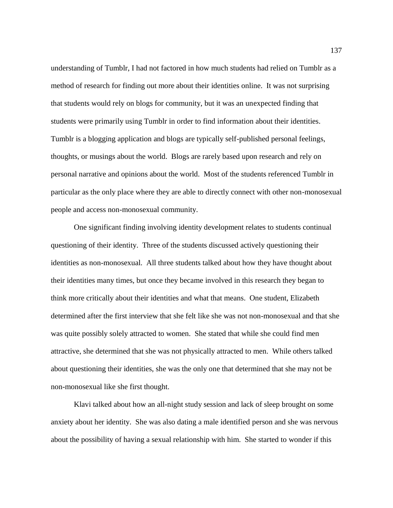understanding of Tumblr, I had not factored in how much students had relied on Tumblr as a method of research for finding out more about their identities online. It was not surprising that students would rely on blogs for community, but it was an unexpected finding that students were primarily using Tumblr in order to find information about their identities. Tumblr is a blogging application and blogs are typically self-published personal feelings, thoughts, or musings about the world. Blogs are rarely based upon research and rely on personal narrative and opinions about the world. Most of the students referenced Tumblr in particular as the only place where they are able to directly connect with other non-monosexual people and access non-monosexual community.

One significant finding involving identity development relates to students continual questioning of their identity. Three of the students discussed actively questioning their identities as non-monosexual. All three students talked about how they have thought about their identities many times, but once they became involved in this research they began to think more critically about their identities and what that means. One student, Elizabeth determined after the first interview that she felt like she was not non-monosexual and that she was quite possibly solely attracted to women. She stated that while she could find men attractive, she determined that she was not physically attracted to men. While others talked about questioning their identities, she was the only one that determined that she may not be non-monosexual like she first thought.

Klavi talked about how an all-night study session and lack of sleep brought on some anxiety about her identity. She was also dating a male identified person and she was nervous about the possibility of having a sexual relationship with him. She started to wonder if this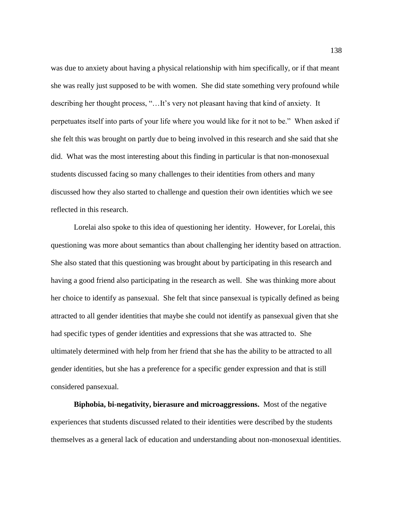was due to anxiety about having a physical relationship with him specifically, or if that meant she was really just supposed to be with women. She did state something very profound while describing her thought process, "…It's very not pleasant having that kind of anxiety. It perpetuates itself into parts of your life where you would like for it not to be." When asked if she felt this was brought on partly due to being involved in this research and she said that she did. What was the most interesting about this finding in particular is that non-monosexual students discussed facing so many challenges to their identities from others and many discussed how they also started to challenge and question their own identities which we see reflected in this research.

Lorelai also spoke to this idea of questioning her identity. However, for Lorelai, this questioning was more about semantics than about challenging her identity based on attraction. She also stated that this questioning was brought about by participating in this research and having a good friend also participating in the research as well. She was thinking more about her choice to identify as pansexual. She felt that since pansexual is typically defined as being attracted to all gender identities that maybe she could not identify as pansexual given that she had specific types of gender identities and expressions that she was attracted to. She ultimately determined with help from her friend that she has the ability to be attracted to all gender identities, but she has a preference for a specific gender expression and that is still considered pansexual.

**Biphobia, bi-negativity, bierasure and microaggressions.** Most of the negative experiences that students discussed related to their identities were described by the students themselves as a general lack of education and understanding about non-monosexual identities.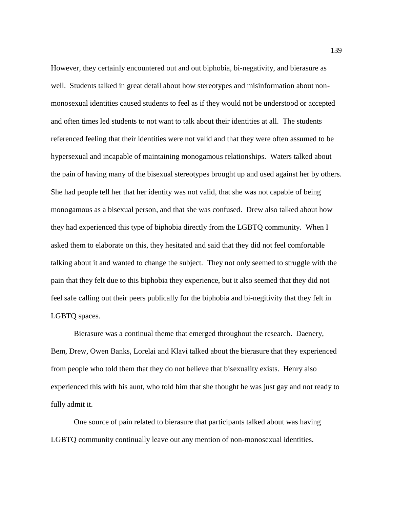However, they certainly encountered out and out biphobia, bi-negativity, and bierasure as well. Students talked in great detail about how stereotypes and misinformation about nonmonosexual identities caused students to feel as if they would not be understood or accepted and often times led students to not want to talk about their identities at all. The students referenced feeling that their identities were not valid and that they were often assumed to be hypersexual and incapable of maintaining monogamous relationships. Waters talked about the pain of having many of the bisexual stereotypes brought up and used against her by others. She had people tell her that her identity was not valid, that she was not capable of being monogamous as a bisexual person, and that she was confused. Drew also talked about how they had experienced this type of biphobia directly from the LGBTQ community. When I asked them to elaborate on this, they hesitated and said that they did not feel comfortable talking about it and wanted to change the subject. They not only seemed to struggle with the pain that they felt due to this biphobia they experience, but it also seemed that they did not feel safe calling out their peers publically for the biphobia and bi-negitivity that they felt in LGBTQ spaces.

Bierasure was a continual theme that emerged throughout the research. Daenery, Bem, Drew, Owen Banks, Lorelai and Klavi talked about the bierasure that they experienced from people who told them that they do not believe that bisexuality exists. Henry also experienced this with his aunt, who told him that she thought he was just gay and not ready to fully admit it.

One source of pain related to bierasure that participants talked about was having LGBTQ community continually leave out any mention of non-monosexual identities.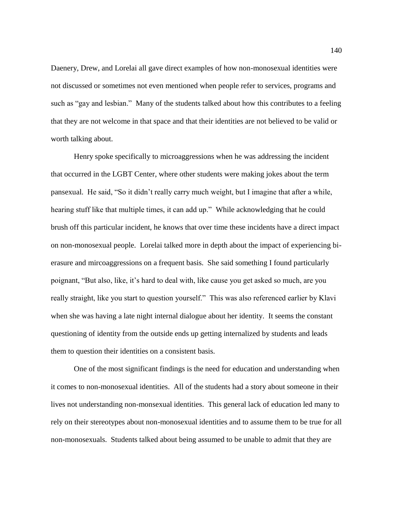Daenery, Drew, and Lorelai all gave direct examples of how non-monosexual identities were not discussed or sometimes not even mentioned when people refer to services, programs and such as "gay and lesbian." Many of the students talked about how this contributes to a feeling that they are not welcome in that space and that their identities are not believed to be valid or worth talking about.

Henry spoke specifically to microaggressions when he was addressing the incident that occurred in the LGBT Center, where other students were making jokes about the term pansexual. He said, "So it didn't really carry much weight, but I imagine that after a while, hearing stuff like that multiple times, it can add up." While acknowledging that he could brush off this particular incident, he knows that over time these incidents have a direct impact on non-monosexual people. Lorelai talked more in depth about the impact of experiencing bierasure and mircoaggressions on a frequent basis. She said something I found particularly poignant, "But also, like, it's hard to deal with, like cause you get asked so much, are you really straight, like you start to question yourself." This was also referenced earlier by Klavi when she was having a late night internal dialogue about her identity. It seems the constant questioning of identity from the outside ends up getting internalized by students and leads them to question their identities on a consistent basis.

One of the most significant findings is the need for education and understanding when it comes to non-monosexual identities. All of the students had a story about someone in their lives not understanding non-monsexual identities. This general lack of education led many to rely on their stereotypes about non-monosexual identities and to assume them to be true for all non-monosexuals. Students talked about being assumed to be unable to admit that they are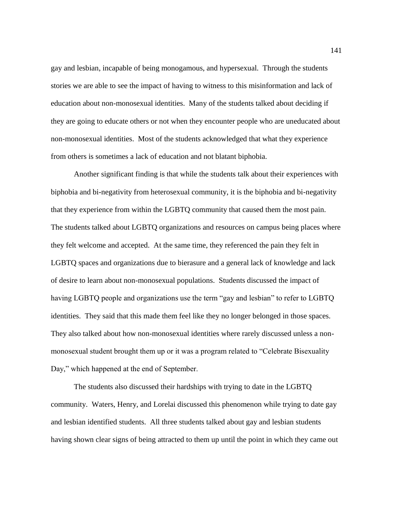gay and lesbian, incapable of being monogamous, and hypersexual. Through the students stories we are able to see the impact of having to witness to this misinformation and lack of education about non-monosexual identities. Many of the students talked about deciding if they are going to educate others or not when they encounter people who are uneducated about non-monosexual identities. Most of the students acknowledged that what they experience from others is sometimes a lack of education and not blatant biphobia.

Another significant finding is that while the students talk about their experiences with biphobia and bi-negativity from heterosexual community, it is the biphobia and bi-negativity that they experience from within the LGBTQ community that caused them the most pain. The students talked about LGBTQ organizations and resources on campus being places where they felt welcome and accepted. At the same time, they referenced the pain they felt in LGBTQ spaces and organizations due to bierasure and a general lack of knowledge and lack of desire to learn about non-monosexual populations. Students discussed the impact of having LGBTQ people and organizations use the term "gay and lesbian" to refer to LGBTQ identities. They said that this made them feel like they no longer belonged in those spaces. They also talked about how non-monosexual identities where rarely discussed unless a nonmonosexual student brought them up or it was a program related to "Celebrate Bisexuality Day," which happened at the end of September.

The students also discussed their hardships with trying to date in the LGBTQ community. Waters, Henry, and Lorelai discussed this phenomenon while trying to date gay and lesbian identified students. All three students talked about gay and lesbian students having shown clear signs of being attracted to them up until the point in which they came out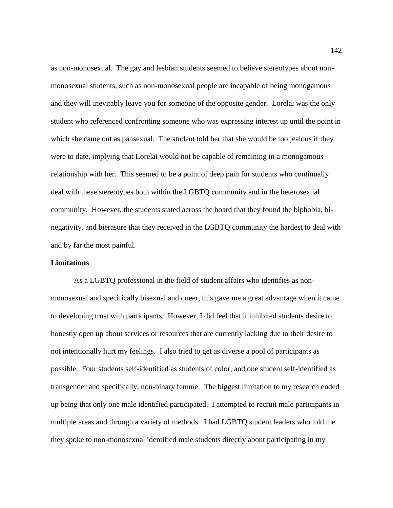as non-monosexual. The gay and lesbian students seemed to believe stereotypes about nonmonosexual students, such as non-monosexual people are incapable of being monogamous and they will inevitably leave you for someone of the opposite gender. Lorelai was the only student who referenced confronting someone who was expressing interest up until the point in which she came out as pansexual. The student told her that she would be too jealous if they were to date, implying that Lorelai would not be capable of remaining in a monogamous relationship with her. This seemed to be a point of deep pain for students who continually deal with these stereotypes both within the LGBTQ community and in the heterosexual community. However, the students stated across the board that they found the biphobia, binegativity, and bierasure that they received in the LGBTQ community the hardest to deal with and by far the most painful.

## **Limitations**

As a LGBTQ professional in the field of student affairs who identifies as nonmonosexual and specifically bisexual and queer, this gave me a great advantage when it came to developing trust with participants. However, I did feel that it inhibited students desire to honestly open up about services or resources that are currently lacking due to their desire to not intentionally hurt my feelings. I also tried to get as diverse a pool of participants as possible. Four students self-identified as students of color, and one student self-identified as transgender and specifically, non-binary femme. The biggest limitation to my research ended up being that only one male identified participated. I attempted to recruit male participants in multiple areas and through a variety of methods. I had LGBTQ student leaders who told me they spoke to non-monosexual identified male students directly about participating in my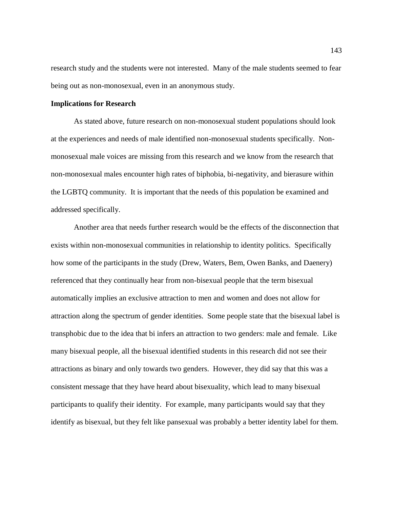research study and the students were not interested. Many of the male students seemed to fear being out as non-monosexual, even in an anonymous study.

#### **Implications for Research**

As stated above, future research on non-monosexual student populations should look at the experiences and needs of male identified non-monosexual students specifically. Nonmonosexual male voices are missing from this research and we know from the research that non-monosexual males encounter high rates of biphobia, bi-negativity, and bierasure within the LGBTQ community. It is important that the needs of this population be examined and addressed specifically.

Another area that needs further research would be the effects of the disconnection that exists within non-monosexual communities in relationship to identity politics. Specifically how some of the participants in the study (Drew, Waters, Bem, Owen Banks, and Daenery) referenced that they continually hear from non-bisexual people that the term bisexual automatically implies an exclusive attraction to men and women and does not allow for attraction along the spectrum of gender identities. Some people state that the bisexual label is transphobic due to the idea that bi infers an attraction to two genders: male and female. Like many bisexual people, all the bisexual identified students in this research did not see their attractions as binary and only towards two genders. However, they did say that this was a consistent message that they have heard about bisexuality, which lead to many bisexual participants to qualify their identity. For example, many participants would say that they identify as bisexual, but they felt like pansexual was probably a better identity label for them.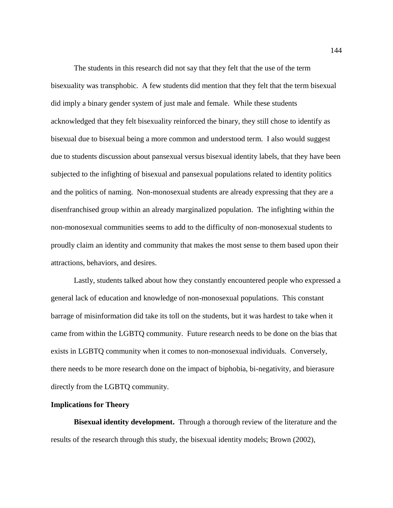The students in this research did not say that they felt that the use of the term bisexuality was transphobic. A few students did mention that they felt that the term bisexual did imply a binary gender system of just male and female. While these students acknowledged that they felt bisexuality reinforced the binary, they still chose to identify as bisexual due to bisexual being a more common and understood term. I also would suggest due to students discussion about pansexual versus bisexual identity labels, that they have been subjected to the infighting of bisexual and pansexual populations related to identity politics and the politics of naming. Non-monosexual students are already expressing that they are a disenfranchised group within an already marginalized population. The infighting within the non-monosexual communities seems to add to the difficulty of non-monosexual students to proudly claim an identity and community that makes the most sense to them based upon their attractions, behaviors, and desires.

Lastly, students talked about how they constantly encountered people who expressed a general lack of education and knowledge of non-monosexual populations. This constant barrage of misinformation did take its toll on the students, but it was hardest to take when it came from within the LGBTQ community. Future research needs to be done on the bias that exists in LGBTQ community when it comes to non-monosexual individuals. Conversely, there needs to be more research done on the impact of biphobia, bi-negativity, and bierasure directly from the LGBTQ community.

# **Implications for Theory**

**Bisexual identity development.** Through a thorough review of the literature and the results of the research through this study, the bisexual identity models; Brown (2002),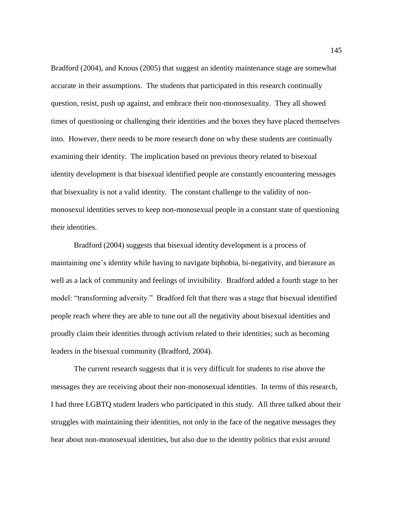Bradford (2004), and Knous (2005) that suggest an identity maintenance stage are somewhat accurate in their assumptions. The students that participated in this research continually question, resist, push up against, and embrace their non-monosexuality. They all showed times of questioning or challenging their identities and the boxes they have placed themselves into. However, there needs to be more research done on why these students are continually examining their identity. The implication based on previous theory related to bisexual identity development is that bisexual identified people are constantly encountering messages that bisexuality is not a valid identity. The constant challenge to the validity of nonmonosexul identities serves to keep non-monosexual people in a constant state of questioning their identities.

Bradford (2004) suggests that bisexual identity development is a process of maintaining one's identity while having to navigate biphobia, bi-negativity, and bierasure as well as a lack of community and feelings of invisibility. Bradford added a fourth stage to her model: "transforming adversity." Bradford felt that there was a stage that bisexual identified people reach where they are able to tune out all the negativity about bisexual identities and proudly claim their identities through activism related to their identities; such as becoming leaders in the bisexual community (Bradford, 2004).

The current research suggests that it is very difficult for students to rise above the messages they are receiving about their non-monosexual identities. In terms of this research, I had three LGBTQ student leaders who participated in this study. All three talked about their struggles with maintaining their identities, not only in the face of the negative messages they hear about non-monosexual identities, but also due to the identity politics that exist around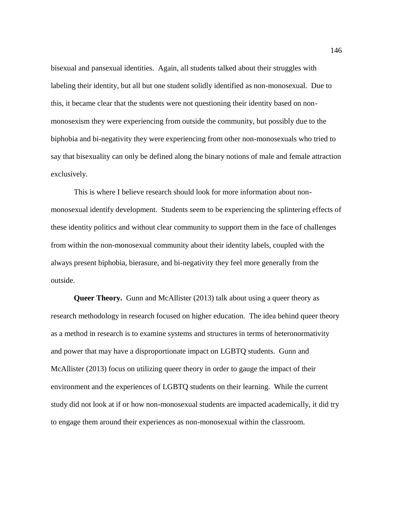bisexual and pansexual identities. Again, all students talked about their struggles with labeling their identity, but all but one student solidly identified as non-monosexual. Due to this, it became clear that the students were not questioning their identity based on nonmonosexism they were experiencing from outside the community, but possibly due to the biphobia and bi-negativity they were experiencing from other non-monosexuals who tried to say that bisexuality can only be defined along the binary notions of male and female attraction exclusively.

This is where I believe research should look for more information about nonmonosexual identify development. Students seem to be experiencing the splintering effects of these identity politics and without clear community to support them in the face of challenges from within the non-monosexual community about their identity labels, coupled with the always present biphobia, bierasure, and bi-negativity they feel more generally from the outside.

**Queer Theory.** Gunn and McAllister (2013) talk about using a queer theory as research methodology in research focused on higher education. The idea behind queer theory as a method in research is to examine systems and structures in terms of heteronormativity and power that may have a disproportionate impact on LGBTQ students. Gunn and McAllister (2013) focus on utilizing queer theory in order to gauge the impact of their environment and the experiences of LGBTQ students on their learning. While the current study did not look at if or how non-monosexual students are impacted academically, it did try to engage them around their experiences as non-monosexual within the classroom.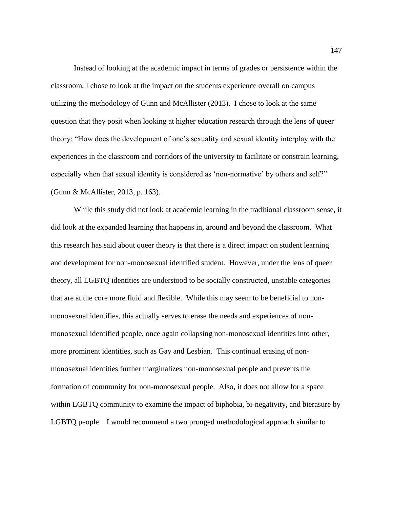Instead of looking at the academic impact in terms of grades or persistence within the classroom, I chose to look at the impact on the students experience overall on campus utilizing the methodology of Gunn and McAllister (2013). I chose to look at the same question that they posit when looking at higher education research through the lens of queer theory: "How does the development of one's sexuality and sexual identity interplay with the experiences in the classroom and corridors of the university to facilitate or constrain learning, especially when that sexual identity is considered as 'non-normative' by others and self?" (Gunn & McAllister, 2013, p. 163).

While this study did not look at academic learning in the traditional classroom sense, it did look at the expanded learning that happens in, around and beyond the classroom. What this research has said about queer theory is that there is a direct impact on student learning and development for non-monosexual identified student. However, under the lens of queer theory, all LGBTQ identities are understood to be socially constructed, unstable categories that are at the core more fluid and flexible. While this may seem to be beneficial to nonmonosexual identifies, this actually serves to erase the needs and experiences of nonmonosexual identified people, once again collapsing non-monosexual identities into other, more prominent identities, such as Gay and Lesbian. This continual erasing of nonmonosexual identities further marginalizes non-monosexual people and prevents the formation of community for non-monosexual people. Also, it does not allow for a space within LGBTQ community to examine the impact of biphobia, bi-negativity, and bierasure by LGBTQ people. I would recommend a two pronged methodological approach similar to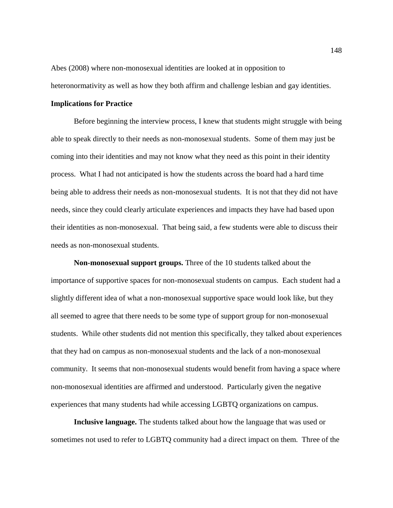Abes (2008) where non-monosexual identities are looked at in opposition to heteronormativity as well as how they both affirm and challenge lesbian and gay identities.

#### **Implications for Practice**

Before beginning the interview process, I knew that students might struggle with being able to speak directly to their needs as non-monosexual students. Some of them may just be coming into their identities and may not know what they need as this point in their identity process. What I had not anticipated is how the students across the board had a hard time being able to address their needs as non-monosexual students. It is not that they did not have needs, since they could clearly articulate experiences and impacts they have had based upon their identities as non-monosexual. That being said, a few students were able to discuss their needs as non-monosexual students.

**Non-monosexual support groups.** Three of the 10 students talked about the importance of supportive spaces for non-monosexual students on campus. Each student had a slightly different idea of what a non-monosexual supportive space would look like, but they all seemed to agree that there needs to be some type of support group for non-monosexual students. While other students did not mention this specifically, they talked about experiences that they had on campus as non-monosexual students and the lack of a non-monosexual community. It seems that non-monosexual students would benefit from having a space where non-monosexual identities are affirmed and understood. Particularly given the negative experiences that many students had while accessing LGBTQ organizations on campus.

**Inclusive language.** The students talked about how the language that was used or sometimes not used to refer to LGBTQ community had a direct impact on them. Three of the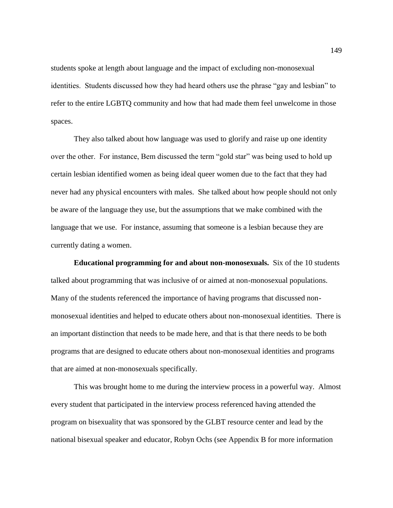students spoke at length about language and the impact of excluding non-monosexual identities. Students discussed how they had heard others use the phrase "gay and lesbian" to refer to the entire LGBTQ community and how that had made them feel unwelcome in those spaces.

They also talked about how language was used to glorify and raise up one identity over the other. For instance, Bem discussed the term "gold star" was being used to hold up certain lesbian identified women as being ideal queer women due to the fact that they had never had any physical encounters with males. She talked about how people should not only be aware of the language they use, but the assumptions that we make combined with the language that we use. For instance, assuming that someone is a lesbian because they are currently dating a women.

**Educational programming for and about non-monosexuals.** Six of the 10 students talked about programming that was inclusive of or aimed at non-monosexual populations. Many of the students referenced the importance of having programs that discussed nonmonosexual identities and helped to educate others about non-monosexual identities. There is an important distinction that needs to be made here, and that is that there needs to be both programs that are designed to educate others about non-monosexual identities and programs that are aimed at non-monosexuals specifically.

This was brought home to me during the interview process in a powerful way. Almost every student that participated in the interview process referenced having attended the program on bisexuality that was sponsored by the GLBT resource center and lead by the national bisexual speaker and educator, Robyn Ochs (see Appendix B for more information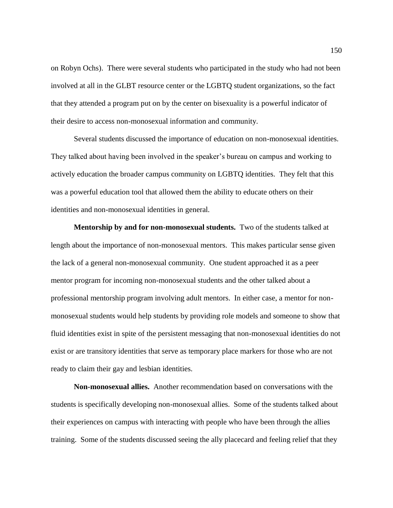on Robyn Ochs). There were several students who participated in the study who had not been involved at all in the GLBT resource center or the LGBTQ student organizations, so the fact that they attended a program put on by the center on bisexuality is a powerful indicator of their desire to access non-monosexual information and community.

Several students discussed the importance of education on non-monosexual identities. They talked about having been involved in the speaker's bureau on campus and working to actively education the broader campus community on LGBTQ identities. They felt that this was a powerful education tool that allowed them the ability to educate others on their identities and non-monosexual identities in general.

**Mentorship by and for non-monosexual students.** Two of the students talked at length about the importance of non-monosexual mentors. This makes particular sense given the lack of a general non-monosexual community. One student approached it as a peer mentor program for incoming non-monosexual students and the other talked about a professional mentorship program involving adult mentors. In either case, a mentor for nonmonosexual students would help students by providing role models and someone to show that fluid identities exist in spite of the persistent messaging that non-monosexual identities do not exist or are transitory identities that serve as temporary place markers for those who are not ready to claim their gay and lesbian identities.

**Non-monosexual allies.** Another recommendation based on conversations with the students is specifically developing non-monosexual allies. Some of the students talked about their experiences on campus with interacting with people who have been through the allies training. Some of the students discussed seeing the ally placecard and feeling relief that they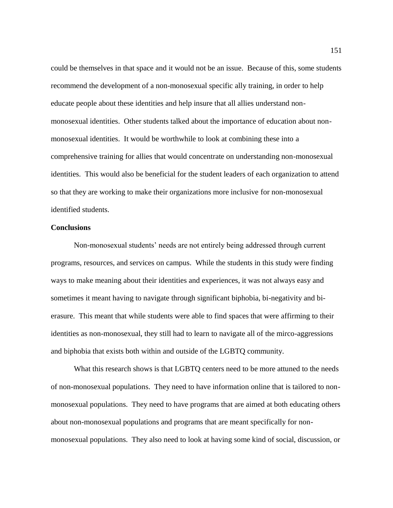could be themselves in that space and it would not be an issue. Because of this, some students recommend the development of a non-monosexual specific ally training, in order to help educate people about these identities and help insure that all allies understand nonmonosexual identities. Other students talked about the importance of education about nonmonosexual identities. It would be worthwhile to look at combining these into a comprehensive training for allies that would concentrate on understanding non-monosexual identities. This would also be beneficial for the student leaders of each organization to attend so that they are working to make their organizations more inclusive for non-monosexual identified students.

### **Conclusions**

Non-monosexual students' needs are not entirely being addressed through current programs, resources, and services on campus. While the students in this study were finding ways to make meaning about their identities and experiences, it was not always easy and sometimes it meant having to navigate through significant biphobia, bi-negativity and bierasure. This meant that while students were able to find spaces that were affirming to their identities as non-monosexual, they still had to learn to navigate all of the mirco-aggressions and biphobia that exists both within and outside of the LGBTQ community.

What this research shows is that LGBTQ centers need to be more attuned to the needs of non-monosexual populations. They need to have information online that is tailored to nonmonosexual populations. They need to have programs that are aimed at both educating others about non-monosexual populations and programs that are meant specifically for nonmonosexual populations. They also need to look at having some kind of social, discussion, or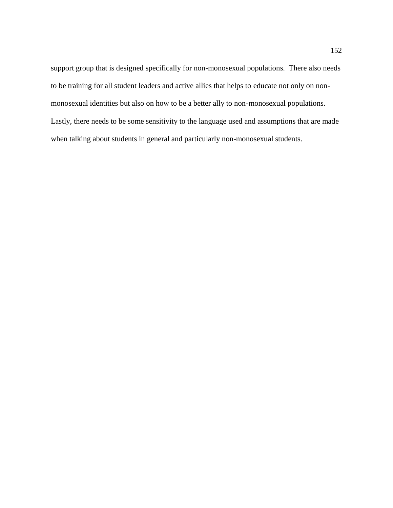support group that is designed specifically for non-monosexual populations. There also needs to be training for all student leaders and active allies that helps to educate not only on nonmonosexual identities but also on how to be a better ally to non-monosexual populations. Lastly, there needs to be some sensitivity to the language used and assumptions that are made when talking about students in general and particularly non-monosexual students.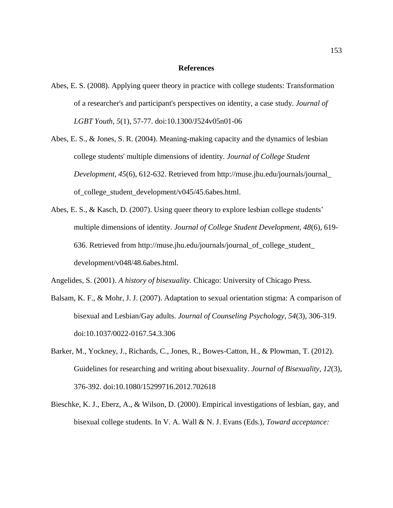#### **References**

- Abes, E. S. (2008). Applying queer theory in practice with college students: Transformation of a researcher's and participant's perspectives on identity, a case study. *Journal of LGBT Youth, 5*(1), 57-77. doi:10.1300/J524v05n01-06
- Abes, E. S., & Jones, S. R. (2004). Meaning-making capacity and the dynamics of lesbian college students' multiple dimensions of identity. *Journal of College Student Development, 45*(6), 612-632. Retrieved from http://muse.jhu.edu/journals/journal [of\\_college\\_student\\_development/v045/45.6abes.html.](http://muse.jhu.edu/journals/journal_%20of_college_student_development/v045/45.6abes.html)
- Abes, E. S., & Kasch, D. (2007). Using queer theory to explore lesbian college students' multiple dimensions of identity. *Journal of College Student Development, 48*(6), 619- 636. Retrieved from [http://muse.jhu.edu/journals/journal\\_of\\_college\\_student\\_](http://muse.jhu.edu/journals/journal_of_college_student_%20development/v048/48.6abes.html)  [development/v048/48.6abes.html.](http://muse.jhu.edu/journals/journal_of_college_student_%20development/v048/48.6abes.html)

Angelides, S. (2001). *A history of bisexuality.* Chicago: University of Chicago Press.

- Balsam, K. F., & Mohr, J. J. (2007). Adaptation to sexual orientation stigma: A comparison of bisexual and Lesbian/Gay adults. *Journal of Counseling Psychology, 54*(3), 306-319. doi:10.1037/0022-0167.54.3.306
- Barker, M., Yockney, J., Richards, C., Jones, R., Bowes-Catton, H., & Plowman, T. (2012). Guidelines for researching and writing about bisexuality. *Journal of Bisexuality, 12*(3), 376-392. doi:10.1080/15299716.2012.702618
- Bieschke, K. J., Eberz, A., & Wilson, D. (2000). Empirical investigations of lesbian, gay, and bisexual college students. In V. A. Wall & N. J. Evans (Eds.), *Toward acceptance:*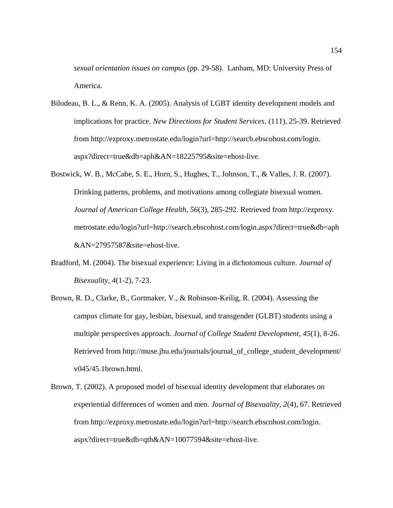*sexual orientation issues on campus* (pp. 29-58). Lanham, MD: University Press of America.

- Bilodeau, B. L., & Renn, K. A. (2005). Analysis of LGBT identity development models and implications for practice. *New Directions for Student Services,* (111), 25-39. Retrieved from [http://ezproxy.metrostate.edu/login?url=http://search.ebscohost.com/login.](http://ezproxy.metrostate.edu/login?url=http://search.ebscohost.com/login.%20aspx?direct=true&db=aph&AN=18225795&site=ehost-live)  [aspx?direct=true&db=aph&AN=18225795&site=ehost-live.](http://ezproxy.metrostate.edu/login?url=http://search.ebscohost.com/login.%20aspx?direct=true&db=aph&AN=18225795&site=ehost-live)
- Bostwick, W. B., McCabe, S. E., Horn, S., Hughes, T., Johnson, T., & Valles, J. R. (2007). Drinking patterns, problems, and motivations among collegiate bisexual women. *Journal of American College Health, 56*(3), 285-292. Retrieved from http://ezproxy. metrostate.edu/login?url=http://search.ebscohost.com/login.aspx?direct=true&db=aph &AN=27957587&site=ehost-live.
- Bradford, M. (2004). The bisexual experience: Living in a dichotomous culture. *Journal of Bisexuality, 4*(1-2), 7-23.
- Brown, R. D., Clarke, B., Gortmaker, V., & Robinson-Keilig, R. (2004). Assessing the campus climate for gay, lesbian, bisexual, and transgender (GLBT) students using a multiple perspectives approach. *Journal of College Student Development, 45*(1), 8-26. Retrieved from [http://muse.jhu.edu/journals/journal\\_of\\_college\\_student\\_development/](http://muse.jhu.edu/journals/journal_of_college_student_development/%20v045/45.1brown.html)  [v045/45.1brown.html.](http://muse.jhu.edu/journals/journal_of_college_student_development/%20v045/45.1brown.html)
- Brown, T. (2002). A proposed model of bisexual identity development that elaborates on experiential differences of women and men. *Journal of Bisexuality, 2*(4), 67. Retrieved from [http://ezproxy.metrostate.edu/login?url=http://search.ebscohost.com/login.](http://ezproxy.metrostate.edu/login?url=http://search.ebscohost.com/login.%20aspx?direct=true&db=qth&AN=10077594&site=ehost-live)  [aspx?direct=true&db=qth&AN=10077594&site=ehost-live.](http://ezproxy.metrostate.edu/login?url=http://search.ebscohost.com/login.%20aspx?direct=true&db=qth&AN=10077594&site=ehost-live)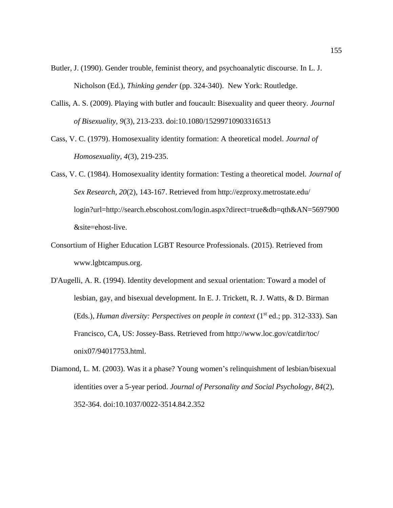- Butler, J. (1990). Gender trouble, feminist theory, and psychoanalytic discourse. In L. J. Nicholson (Ed.), *Thinking gender* (pp. 324-340). New York: Routledge.
- Callis, A. S. (2009). Playing with butler and foucault: Bisexuality and queer theory. *Journal of Bisexuality, 9*(3), 213-233. doi:10.1080/15299710903316513
- Cass, V. C. (1979). Homosexuality identity formation: A theoretical model. *Journal of Homosexuality, 4*(3), 219-235.
- Cass, V. C. (1984). Homosexuality identity formation: Testing a theoretical model. *Journal of Sex Research, 20*(2), 143-167. Retrieved from [http://ezproxy.metrostate.edu/](http://ezproxy.metrostate.edu/%20login?url=http://search.ebscohost.com/login.aspx?direct=true&db=qth&AN=5697900&site=ehost-live)  [login?url=http://search.ebscohost.com/login.aspx?direct=true&db=qth&AN=5697900](http://ezproxy.metrostate.edu/%20login?url=http://search.ebscohost.com/login.aspx?direct=true&db=qth&AN=5697900&site=ehost-live) [&site=ehost-live.](http://ezproxy.metrostate.edu/%20login?url=http://search.ebscohost.com/login.aspx?direct=true&db=qth&AN=5697900&site=ehost-live)
- Consortium of Higher Education LGBT Resource Professionals. (2015). Retrieved from www.lgbtcampus.org.
- D'Augelli, A. R. (1994). Identity development and sexual orientation: Toward a model of lesbian, gay, and bisexual development. In E. J. Trickett, R. J. Watts, & D. Birman (Eds.), *Human diversity: Perspectives on people in context* (1<sup>st</sup> ed.; pp. 312-333). San Francisco, CA, US: Jossey-Bass. Retrieved from [http://www.loc.gov/catdir/toc/](http://www.loc.gov/catdir/toc/%20onix07/94017753.html)  [onix07/94017753.html.](http://www.loc.gov/catdir/toc/%20onix07/94017753.html)
- Diamond, L. M. (2003). Was it a phase? Young women's relinquishment of lesbian/bisexual identities over a 5-year period. *Journal of Personality and Social Psychology, 84*(2), 352-364. doi:10.1037/0022-3514.84.2.352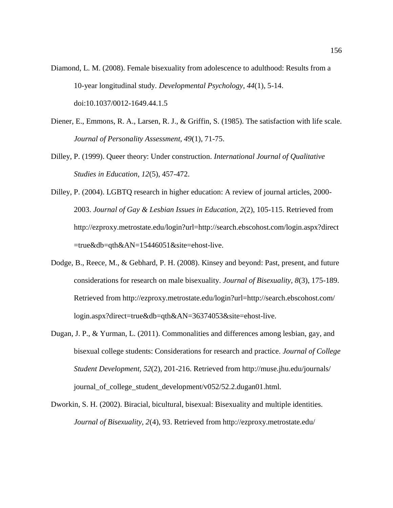- Diamond, L. M. (2008). Female bisexuality from adolescence to adulthood: Results from a 10-year longitudinal study. *Developmental Psychology, 44*(1), 5-14. doi:10.1037/0012-1649.44.1.5
- Diener, E., Emmons, R. A., Larsen, R. J., & Griffin, S. (1985). The satisfaction with life scale. *Journal of Personality Assessment, 49*(1), 71-75.
- Dilley, P. (1999). Queer theory: Under construction. *International Journal of Qualitative Studies in Education, 12*(5), 457-472.
- Dilley, P. (2004). LGBTQ research in higher education: A review of journal articles, 2000- 2003. *Journal of Gay & Lesbian Issues in Education, 2*(2), 105-115. Retrieved from [http://ezproxy.metrostate.edu/login?url=http://search.ebscohost.com/login.aspx?direct](http://ezproxy.metrostate.edu/login?url=http://search.ebscohost.com/login.aspx?direct=true&db=qth&AN=15446051&site=ehost-live) [=true&db=qth&AN=15446051&site=ehost-live.](http://ezproxy.metrostate.edu/login?url=http://search.ebscohost.com/login.aspx?direct=true&db=qth&AN=15446051&site=ehost-live)
- Dodge, B., Reece, M., & Gebhard, P. H. (2008). Kinsey and beyond: Past, present, and future considerations for research on male bisexuality. *Journal of Bisexuality, 8*(3), 175-189. Retrieved from [http://ezproxy.metrostate.edu/login?url=http://search.ebscohost.com/](http://ezproxy.metrostate.edu/login?url=http://search.ebscohost.com/%20login.aspx?direct=true&db=qth&AN=36374053&site=ehost-live)  [login.aspx?direct=true&db=qth&AN=36374053&site=ehost-live.](http://ezproxy.metrostate.edu/login?url=http://search.ebscohost.com/%20login.aspx?direct=true&db=qth&AN=36374053&site=ehost-live)
- Dugan, J. P., & Yurman, L. (2011). Commonalities and differences among lesbian, gay, and bisexual college students: Considerations for research and practice. *Journal of College Student Development, 52*(2), 201-216. Retrieved from [http://muse.jhu.edu/journals/](http://muse.jhu.edu/journals/%20journal_of_college_student_development/v052/52.2.dugan01.html)  [journal\\_of\\_college\\_student\\_development/v052/52.2.dugan01.html.](http://muse.jhu.edu/journals/%20journal_of_college_student_development/v052/52.2.dugan01.html)
- Dworkin, S. H. (2002). Biracial, bicultural, bisexual: Bisexuality and multiple identities. *Journal of Bisexuality, 2*(4), 93. Retrieved from [http://ezproxy.metrostate.edu/](http://ezproxy.metrostate.edu/%20login?url=http://search.ebscohost.com/login.aspx?direct=true&db=qth&AN=10077597&site=ehost-live)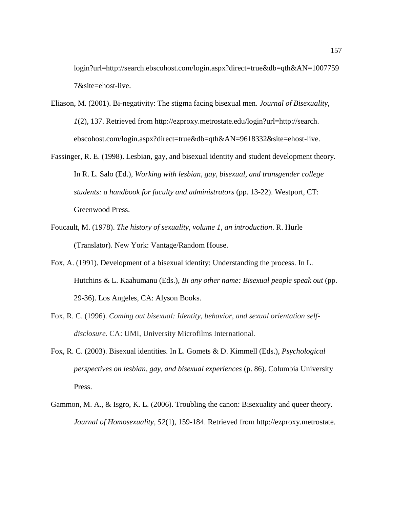[login?url=http://search.ebscohost.com/login.aspx?direct=true&db=qth&AN=1007759](http://ezproxy.metrostate.edu/%20login?url=http://search.ebscohost.com/login.aspx?direct=true&db=qth&AN=10077597&site=ehost-live) [7&site=ehost-live.](http://ezproxy.metrostate.edu/%20login?url=http://search.ebscohost.com/login.aspx?direct=true&db=qth&AN=10077597&site=ehost-live)

- Eliason, M. (2001). Bi-negativity: The stigma facing bisexual men. *Journal of Bisexuality, 1*(2), 137. Retrieved from [http://ezproxy.metrostate.edu/login?url=http://search.](http://ezproxy.metrostate.edu/login?url=http://search.%20ebscohost.com/login.aspx?direct=true&db=qth&AN=9618332&site=ehost-live)  [ebscohost.com/login.aspx?direct=true&db=qth&AN=9618332&site=ehost-live.](http://ezproxy.metrostate.edu/login?url=http://search.%20ebscohost.com/login.aspx?direct=true&db=qth&AN=9618332&site=ehost-live)
- Fassinger, R. E. (1998). Lesbian, gay, and bisexual identity and student development theory. In R. L. Salo (Ed.), *Working with lesbian, gay, bisexual, and transgender college students: a handbook for faculty and administrators* (pp. 13-22). Westport, CT: Greenwood Press.
- Foucault, M. (1978). *The history of sexuality, volume 1, an introduction*. R. Hurle (Translator). New York: Vantage/Random House.
- Fox, A. (1991). Development of a bisexual identity: Understanding the process. In L. Hutchins & L. Kaahumanu (Eds.), *Bi any other name: Bisexual people speak out* (pp. 29-36). Los Angeles, CA: Alyson Books.
- Fox, R. C. (1996). *Coming out bisexual: Identity, behavior, and sexual orientation selfdisclosure*. CA: UMI, University Microfilms International.
- Fox, R. C. (2003). Bisexual identities. In L. Gomets & D. Kimmell (Eds.), *Psychological perspectives on lesbian, gay, and bisexual experiences* (p. 86). Columbia University Press.
- Gammon, M. A., & Isgro, K. L. (2006). Troubling the canon: Bisexuality and queer theory. *Journal of Homosexuality, 52*(1), 159-184. Retrieved from http://ezproxy.metrostate.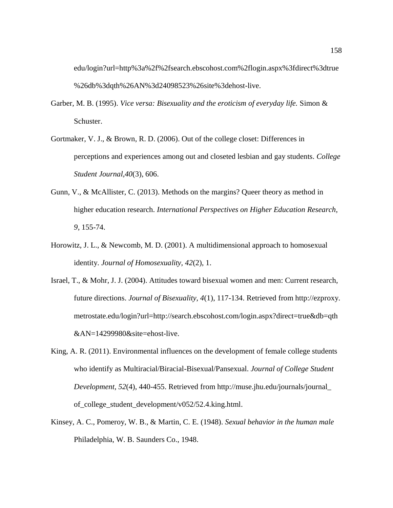edu/login?url=http%3a%2f%2fsearch.ebscohost.com%2flogin.aspx%3fdirect%3dtrue %26db%3dqth%26AN%3d24098523%26site%3dehost-live.

- Garber, M. B. (1995). *Vice versa: Bisexuality and the eroticism of everyday life.* Simon & Schuster.
- Gortmaker, V. J., & Brown, R. D. (2006). Out of the college closet: Differences in perceptions and experiences among out and closeted lesbian and gay students. *College Student Journal,40*(3), 606.
- Gunn, V., & McAllister, C. (2013). Methods on the margins? Queer theory as method in higher education research. *International Perspectives on Higher Education Research, 9*, 155-74.
- Horowitz, J. L., & Newcomb, M. D. (2001). A multidimensional approach to homosexual identity. *Journal of Homosexuality, 42*(2), 1.
- Israel, T., & Mohr, J. J. (2004). Attitudes toward bisexual women and men: Current research, future directions. *Journal of Bisexuality, 4*(1), 117-134. Retrieved from http://ezproxy. metrostate.edu/login?url=http://search.ebscohost.com/login.aspx?direct=true&db=qth &AN=14299980&site=ehost-live.
- King, A. R. (2011). Environmental influences on the development of female college students who identify as Multiracial/Biracial-Bisexual/Pansexual. *Journal of College Student Development, 52*(4), 440-455. Retrieved from [http://muse.jhu.edu/journals/journal\\_](http://muse.jhu.edu/journals/journal_%20of_college_student_development/v052/52.4.king.html)  [of\\_college\\_student\\_development/v052/52.4.king.html.](http://muse.jhu.edu/journals/journal_%20of_college_student_development/v052/52.4.king.html)
- Kinsey, A. C., Pomeroy, W. B., & Martin, C. E. (1948). *Sexual behavior in the human male* Philadelphia, W. B. Saunders Co., 1948.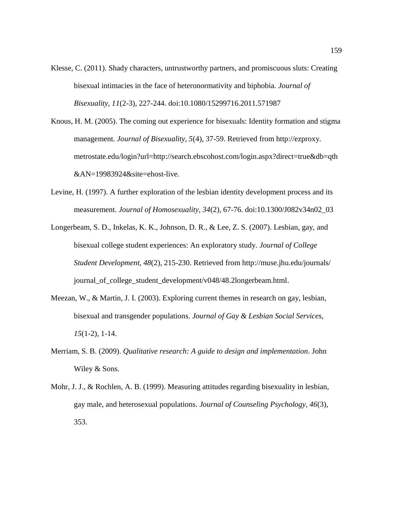- Klesse, C. (2011). Shady characters, untrustworthy partners, and promiscuous sluts: Creating bisexual intimacies in the face of heteronormativity and biphobia. *Journal of Bisexuality, 11*(2-3), 227-244. doi:10.1080/15299716.2011.571987
- Knous, H. M. (2005). The coming out experience for bisexuals: Identity formation and stigma management. *Journal of Bisexuality, 5*(4), 37-59. Retrieved from http://ezproxy. metrostate.edu/login?url=http://search.ebscohost.com/login.aspx?direct=true&db=qth &AN=19983924&site=ehost-live.
- Levine, H. (1997). A further exploration of the lesbian identity development process and its measurement. *Journal of Homosexuality, 34*(2), 67-76. doi:10.1300/J082v34n02\_03
- Longerbeam, S. D., Inkelas, K. K., Johnson, D. R., & Lee, Z. S. (2007). Lesbian, gay, and bisexual college student experiences: An exploratory study. *Journal of College Student Development, 48*(2), 215-230. Retrieved from [http://muse.jhu.edu/journals/](http://muse.jhu.edu/journals/%20journal_of_college_student_development/v048/48.2longerbeam.html)  [journal\\_of\\_college\\_student\\_development/v048/48.2longerbeam.html.](http://muse.jhu.edu/journals/%20journal_of_college_student_development/v048/48.2longerbeam.html)
- Meezan, W., & Martin, J. I. (2003). Exploring current themes in research on gay, lesbian, bisexual and transgender populations. *Journal of Gay & Lesbian Social Services, 15*(1-2), 1-14.
- Merriam, S. B. (2009). *Qualitative research: A guide to design and implementation.* John Wiley & Sons.
- Mohr, J. J., & Rochlen, A. B. (1999). Measuring attitudes regarding bisexuality in lesbian, gay male, and heterosexual populations. *Journal of Counseling Psychology, 46*(3), 353.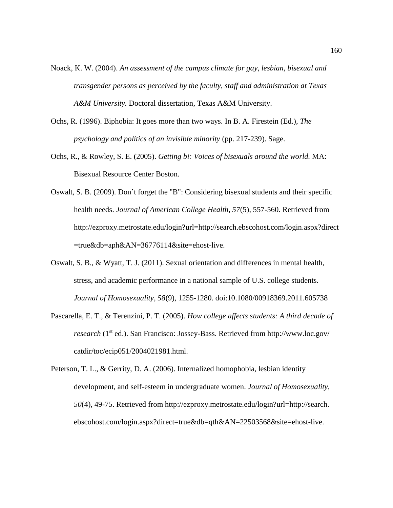- Noack, K. W. (2004). *An assessment of the campus climate for gay, lesbian, bisexual and transgender persons as perceived by the faculty, staff and administration at Texas A&M University.* Doctoral dissertation, Texas A&M University.
- Ochs, R. (1996). Biphobia: It goes more than two ways. In B. A. Firestein (Ed.), *The psychology and politics of an invisible minority* (pp. 217-239). Sage.
- Ochs, R., & Rowley, S. E. (2005). *Getting bi: Voices of bisexuals around the world.* MA: Bisexual Resource Center Boston.
- Oswalt, S. B. (2009). Don't forget the "B": Considering bisexual students and their specific health needs. *Journal of American College Health, 57*(5), 557-560. Retrieved from [http://ezproxy.metrostate.edu/login?url=http://search.ebscohost.com/login.aspx?direct](http://ezproxy.metrostate.edu/login?url=http://search.ebscohost.com/login.aspx?direct=true&db=aph&AN=36776114&site=ehost-live) [=true&db=aph&AN=36776114&site=ehost-live.](http://ezproxy.metrostate.edu/login?url=http://search.ebscohost.com/login.aspx?direct=true&db=aph&AN=36776114&site=ehost-live)
- Oswalt, S. B., & Wyatt, T. J. (2011). Sexual orientation and differences in mental health, stress, and academic performance in a national sample of U.S. college students. *Journal of Homosexuality, 58*(9), 1255-1280. doi:10.1080/00918369.2011.605738
- Pascarella, E. T., & Terenzini, P. T. (2005). *How college affects students: A third decade of research* (1<sup>st</sup> ed.). San Francisco: Jossey-Bass. Retrieved from http://www.loc.gov/ [catdir/toc/ecip051/2004021981.html.](http://www.loc.gov/%20catdir/toc/ecip051/2004021981.html)
- Peterson, T. L., & Gerrity, D. A. (2006). Internalized homophobia, lesbian identity development, and self-esteem in undergraduate women. *Journal of Homosexuality, 50*(4), 49-75. Retrieved from [http://ezproxy.metrostate.edu/login?url=http://search.](http://ezproxy.metrostate.edu/login?url=http://search.%20ebscohost.com/login.aspx?direct=true&db=qth&AN=22503568&site=ehost-live)  [ebscohost.com/login.aspx?direct=true&db=qth&AN=22503568&site=ehost-live.](http://ezproxy.metrostate.edu/login?url=http://search.%20ebscohost.com/login.aspx?direct=true&db=qth&AN=22503568&site=ehost-live)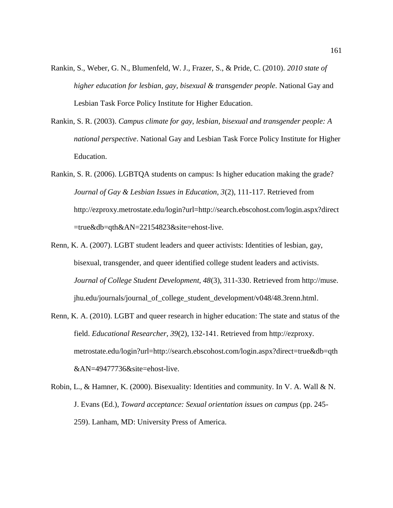- Rankin, S., Weber, G. N., Blumenfeld, W. J., Frazer, S., & Pride, C. (2010). *2010 state of higher education for lesbian, gay, bisexual & transgender people.* National Gay and Lesbian Task Force Policy Institute for Higher Education.
- Rankin, S. R. (2003). *Campus climate for gay, lesbian, bisexual and transgender people: A national perspective*. National Gay and Lesbian Task Force Policy Institute for Higher Education.
- Rankin, S. R. (2006). LGBTQA students on campus: Is higher education making the grade? *Journal of Gay & Lesbian Issues in Education, 3*(2), 111-117. Retrieved from [http://ezproxy.metrostate.edu/login?url=http://search.ebscohost.com/login.aspx?direct](http://ezproxy.metrostate.edu/login?url=http://search.ebscohost.com/login.aspx?direct=true&db=qth&AN=22154823&site=ehost-live) [=true&db=qth&AN=22154823&site=ehost-live.](http://ezproxy.metrostate.edu/login?url=http://search.ebscohost.com/login.aspx?direct=true&db=qth&AN=22154823&site=ehost-live)
- Renn, K. A. (2007). LGBT student leaders and queer activists: Identities of lesbian, gay, bisexual, transgender, and queer identified college student leaders and activists. *Journal of College Student Development, 48*(3), 311-330. Retrieved from http://muse. jhu.edu/journals/journal\_of\_college\_student\_development/v048/48.3renn.html.
- Renn, K. A. (2010). LGBT and queer research in higher education: The state and status of the field. *Educational Researcher, 39*(2), 132-141. Retrieved from http://ezproxy. metrostate.edu/login?url=http://search.ebscohost.com/login.aspx?direct=true&db=qth &AN=49477736&site=ehost-live.
- Robin, L., & Hamner, K. (2000). Bisexuality: Identities and community. In V. A. Wall & N. J. Evans (Ed.), *Toward acceptance: Sexual orientation issues on campus* (pp. 245- 259). Lanham, MD: University Press of America.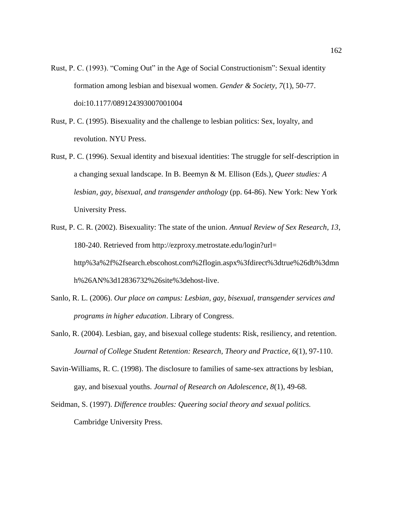- Rust, P. C. (1993). "Coming Out" in the Age of Social Constructionism": Sexual identity formation among lesbian and bisexual women. *Gender & Society, 7*(1), 50-77. doi:10.1177/089124393007001004
- Rust, P. C. (1995). Bisexuality and the challenge to lesbian politics: Sex, loyalty, and revolution. NYU Press.
- Rust, P. C. (1996). Sexual identity and bisexual identities: The struggle for self-description in a changing sexual landscape. In B. Beemyn & M. Ellison (Eds.), *Queer studies: A lesbian, gay, bisexual, and transgender anthology* (pp. 64-86). New York: New York University Press.
- Rust, P. C. R. (2002). Bisexuality: The state of the union. *Annual Review of Sex Research, 13*, 180-240. Retrieved from [http://ezproxy.metrostate.edu/login?url=](http://ezproxy.metrostate.edu/login?url=%20http%3a%2f%2fsearch.ebscohost.com%2flogin.aspx%3fdirect%3dtrue%26db%3dmnh%26AN%3d12836732%26site%3dehost-live)  [http%3a%2f%2fsearch.ebscohost.com%2flogin.aspx%3fdirect%3dtrue%26db%3dmn](http://ezproxy.metrostate.edu/login?url=%20http%3a%2f%2fsearch.ebscohost.com%2flogin.aspx%3fdirect%3dtrue%26db%3dmnh%26AN%3d12836732%26site%3dehost-live) [h%26AN%3d12836732%26site%3dehost-live.](http://ezproxy.metrostate.edu/login?url=%20http%3a%2f%2fsearch.ebscohost.com%2flogin.aspx%3fdirect%3dtrue%26db%3dmnh%26AN%3d12836732%26site%3dehost-live)
- Sanlo, R. L. (2006). *Our place on campus: Lesbian, gay, bisexual, transgender services and programs in higher education*. Library of Congress.
- Sanlo, R. (2004). Lesbian, gay, and bisexual college students: Risk, resiliency, and retention. *Journal of College Student Retention: Research, Theory and Practice, 6*(1), 97-110.
- Savin-Williams, R. C. (1998). The disclosure to families of same-sex attractions by lesbian, gay, and bisexual youths. *Journal of Research on Adolescence, 8*(1), 49-68.
- Seidman, S. (1997). *Difference troubles: Queering social theory and sexual politics.* Cambridge University Press.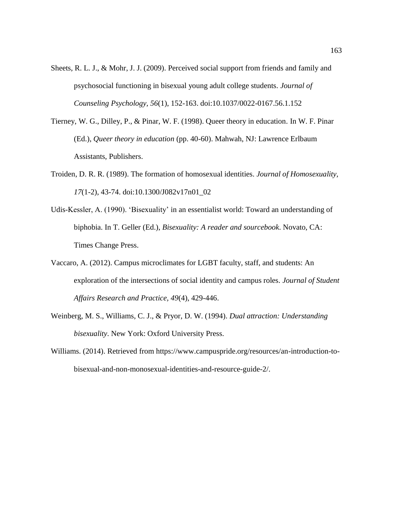- Sheets, R. L. J., & Mohr, J. J. (2009). Perceived social support from friends and family and psychosocial functioning in bisexual young adult college students. *Journal of Counseling Psychology, 56*(1), 152-163. doi:10.1037/0022-0167.56.1.152
- Tierney, W. G., Dilley, P., & Pinar, W. F. (1998). Queer theory in education. In W. F. Pinar (Ed.), *Queer theory in education* (pp. 40-60). Mahwah, NJ: Lawrence Erlbaum Assistants, Publishers.
- Troiden, D. R. R. (1989). The formation of homosexual identities. *Journal of Homosexuality, 17*(1-2), 43-74. doi:10.1300/J082v17n01\_02
- Udis-Kessler, A. (1990). 'Bisexuality' in an essentialist world: Toward an understanding of biphobia. In T. Geller (Ed.), *Bisexuality: A reader and sourcebook*. Novato, CA: Times Change Press.
- Vaccaro, A. (2012). Campus microclimates for LGBT faculty, staff, and students: An exploration of the intersections of social identity and campus roles. *Journal of Student Affairs Research and Practice, 49*(4), 429-446.
- Weinberg, M. S., Williams, C. J., & Pryor, D. W. (1994). *Dual attraction: Understanding bisexuality*. New York: Oxford University Press.
- Williams. (2014). Retrieved from https://www.campuspride.org/resources/an-introduction-tobisexual-and-non-monosexual-identities-and-resource-guide-2/.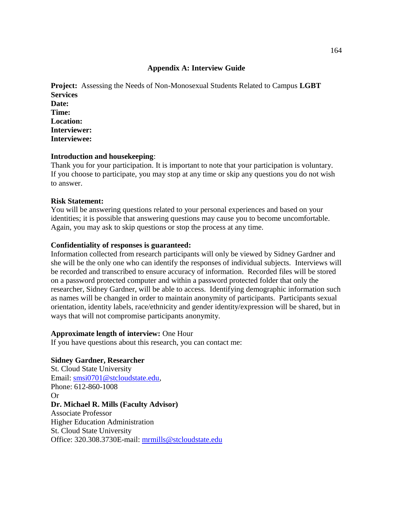## **Appendix A: Interview Guide**

**Project:** Assessing the Needs of Non-Monosexual Students Related to Campus **LGBT Services Date: Time: Location: Interviewer: Interviewee:**

## **Introduction and housekeeping**:

Thank you for your participation. It is important to note that your participation is voluntary. If you choose to participate, you may stop at any time or skip any questions you do not wish to answer.

### **Risk Statement:**

You will be answering questions related to your personal experiences and based on your identities; it is possible that answering questions may cause you to become uncomfortable. Again, you may ask to skip questions or stop the process at any time.

## **Confidentiality of responses is guaranteed:**

Information collected from research participants will only be viewed by Sidney Gardner and she will be the only one who can identify the responses of individual subjects. Interviews will be recorded and transcribed to ensure accuracy of information. Recorded files will be stored on a password protected computer and within a password protected folder that only the researcher, Sidney Gardner, will be able to access. Identifying demographic information such as names will be changed in order to maintain anonymity of participants. Participants sexual orientation, identity labels, race/ethnicity and gender identity/expression will be shared, but in ways that will not compromise participants anonymity.

### **Approximate length of interview:** One Hour

If you have questions about this research, you can contact me:

# **Sidney Gardner, Researcher**

St. Cloud State University Email: [smsi0701@stcloudstate.edu,](mailto:smsi0701@stcloudstate.edu) Phone: 612-860-1008 Or **Dr. Michael R. Mills (Faculty Advisor)** Associate Professor Higher Education Administration St. Cloud State University Office: 320.308.3730E-mail: [mrmills@stcloudstate.edu](mailto:mrmills@stcloudstate.edu)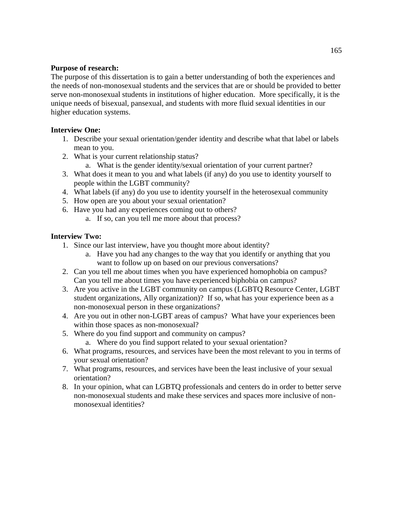# **Purpose of research:**

The purpose of this dissertation is to gain a better understanding of both the experiences and the needs of non-monosexual students and the services that are or should be provided to better serve non-monosexual students in institutions of higher education. More specifically, it is the unique needs of bisexual, pansexual, and students with more fluid sexual identities in our higher education systems.

# **Interview One:**

- 1. Describe your sexual orientation/gender identity and describe what that label or labels mean to you.
- 2. What is your current relationship status?
	- a. What is the gender identity/sexual orientation of your current partner?
- 3. What does it mean to you and what labels (if any) do you use to identity yourself to people within the LGBT community?
- 4. What labels (if any) do you use to identity yourself in the heterosexual community
- 5. How open are you about your sexual orientation?
- 6. Have you had any experiences coming out to others?
	- a. If so, can you tell me more about that process?

# **Interview Two:**

- 1. Since our last interview, have you thought more about identity?
	- a. Have you had any changes to the way that you identify or anything that you want to follow up on based on our previous conversations?
- 2. Can you tell me about times when you have experienced homophobia on campus? Can you tell me about times you have experienced biphobia on campus?
- 3. Are you active in the LGBT community on campus (LGBTQ Resource Center, LGBT student organizations, Ally organization)? If so, what has your experience been as a non-monosexual person in these organizations?
- 4. Are you out in other non-LGBT areas of campus? What have your experiences been within those spaces as non-monosexual?
- 5. Where do you find support and community on campus?
	- a. Where do you find support related to your sexual orientation?
- 6. What programs, resources, and services have been the most relevant to you in terms of your sexual orientation?
- 7. What programs, resources, and services have been the least inclusive of your sexual orientation?
- 8. In your opinion, what can LGBTQ professionals and centers do in order to better serve non-monosexual students and make these services and spaces more inclusive of nonmonosexual identities?